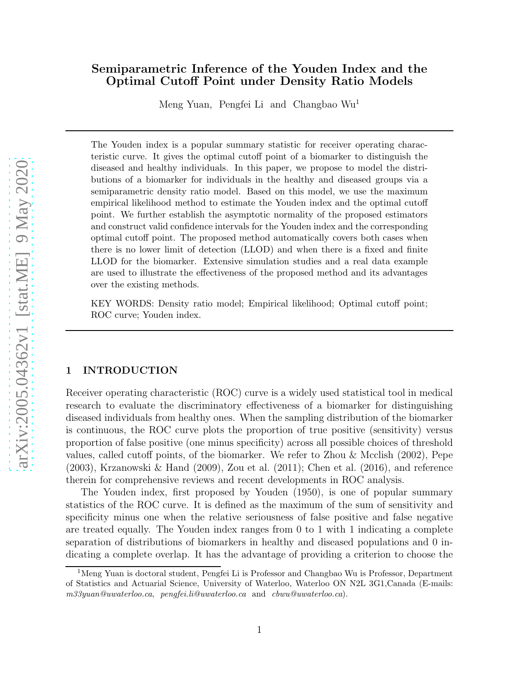# Semiparametric Inference of the Youden Index and the Optimal Cutoff Point under Density Ratio Models

Meng Yuan, Pengfei Li and Changbao Wu<sup>1</sup>

The Youden index is a popular summary statistic for receiver operating characteristic curve. It gives the optimal cutoff point of a biomarker to distinguish the diseased and healthy individuals. In this paper, we propose to model the distributions of a biomarker for individuals in the healthy and diseased groups via a semiparametric density ratio model. Based on this model, we use the maximum empirical likelihood method to estimate the Youden index and the optimal cutoff point. We further establish the asymptotic normality of the proposed estimators and construct valid confidence intervals for the Youden index and the corresponding optimal cutoff point. The proposed method automatically covers both cases when there is no lower limit of detection (LLOD) and when there is a fixed and finite LLOD for the biomarker. Extensive simulation studies and a real data example are used to illustrate the effectiveness of the proposed method and its advantages over the existing methods.

KEY WORDS: Density ratio model; Empirical likelihood; Optimal cutoff point; ROC curve; Youden index.

# 1 INTRODUCTION

Receiver operating characteristic (ROC) curve is a widely used statistical tool in medical research to evaluate the discriminatory effectiveness of a biomarker for distinguishing diseased individuals from healthy ones. When the sampling distribution of the biomarker is continuous, the ROC curve plots the proportion of true positive (sensitivity) versus proportion of false positive (one minus specificity) across all possible choices of threshold values, called cutoff points, of the biomarker. We refer to [Zhou & Mcclish \(2002\)](#page-23-0), [Pepe](#page-21-0) [\(2003\)](#page-21-0), [Krzanowski & Hand \(2009](#page-21-1)), [Zou et al. \(2011\)](#page-23-1); [Chen et al.](#page-21-2) [\(2016](#page-21-2)), and reference therein for comprehensive reviews and recent developments in ROC analysis.

The Youden index, first proposed by [Youden \(1950\)](#page-23-2), is one of popular summary statistics of the ROC curve. It is defined as the maximum of the sum of sensitivity and specificity minus one when the relative seriousness of false positive and false negative are treated equally. The Youden index ranges from 0 to 1 with 1 indicating a complete separation of distributions of biomarkers in healthy and diseased populations and 0 indicating a complete overlap. It has the advantage of providing a criterion to choose the

<sup>1</sup>Meng Yuan is doctoral student, Pengfei Li is Professor and Changbao Wu is Professor, Department of Statistics and Actuarial Science, University of Waterloo, Waterloo ON N2L 3G1,Canada (E-mails: m33yuan@uwaterloo.ca, pengfei.li@uwaterloo.ca and cbwu@uwaterloo.ca).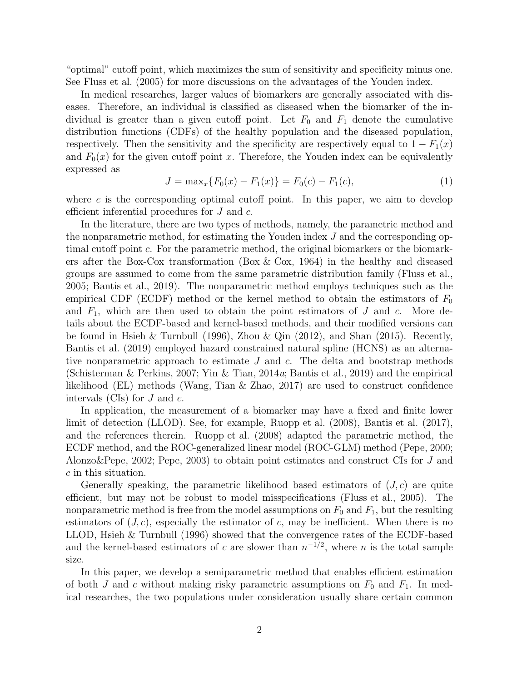"optimal" cutoff point, which maximizes the sum of sensitivity and specificity minus one. See [Fluss et al. \(2005\)](#page-21-3) for more discussions on the advantages of the Youden index.

In medical researches, larger values of biomarkers are generally associated with diseases. Therefore, an individual is classified as diseased when the biomarker of the individual is greater than a given cutoff point. Let  $F_0$  and  $F_1$  denote the cumulative distribution functions (CDFs) of the healthy population and the diseased population, respectively. Then the sensitivity and the specificity are respectively equal to  $1 - F_1(x)$ and  $F_0(x)$  for the given cutoff point x. Therefore, the Youden index can be equivalently expressed as

<span id="page-1-0"></span>
$$
J = \max_x \{ F_0(x) - F_1(x) \} = F_0(c) - F_1(c), \tag{1}
$$

where  $c$  is the corresponding optimal cutoff point. In this paper, we aim to develop efficient inferential procedures for J and c.

In the literature, there are two types of methods, namely, the parametric method and the nonparametric method, for estimating the Youden index J and the corresponding optimal cutoff point c. For the parametric method, the original biomarkers or the biomarkers after the Box-Cox transformation [\(Box & Cox, 1964\)](#page-20-0) in the healthy and diseased groups are assumed to come from the same parametric distribution family [\(Fluss et al.](#page-21-3), [2005;](#page-21-3) [Bantis et al.](#page-20-1), [2019\)](#page-20-1). The nonparametric method employs techniques such as the empirical CDF (ECDF) method or the kernel method to obtain the estimators of  $F_0$ and  $F_1$ , which are then used to obtain the point estimators of  $J$  and  $c$ . More details about the ECDF-based and kernel-based methods, and their modified versions can be found in [Hsieh & Turnbull \(1996](#page-21-4)), [Zhou & Qin \(2012](#page-23-3)), and [Shan \(2015\)](#page-22-0). Recently, [Bantis et al. \(2019](#page-20-1)) employed hazard constrained natural spline (HCNS) as an alternative nonparametric approach to estimate  $J$  and  $c$ . The delta and bootstrap methods [\(Schisterman & Perkins, 2007](#page-22-1); [Yin & Tian](#page-23-4), [2014](#page-23-4)a; [Bantis et al., 2019\)](#page-20-1) and the empirical likelihood (EL) methods [\(Wang, Tian & Zhao, 2017\)](#page-23-5) are used to construct confidence intervals (CIs) for  $J$  and  $c$ .

In application, the measurement of a biomarker may have a fixed and finite lower limit of detection (LLOD). See, for example, [Ruopp et al. \(2008\)](#page-22-2), [Bantis et al. \(2017\)](#page-20-2), and the references therein. [Ruopp et al. \(2008\)](#page-22-2) adapted the parametric method, the ECDF method, and the ROC-generalized linear model (ROC-GLM) method [\(Pepe](#page-21-5), [2000](#page-21-5); [Alonzo&Pepe, 2002;](#page-20-3) [Pepe, 2003\)](#page-21-0) to obtain point estimates and construct CIs for J and c in this situation.

Generally speaking, the parametric likelihood based estimators of  $(J, c)$  are quite efficient, but may not be robust to model misspecifications [\(Fluss et](#page-21-3) al., [2005\)](#page-21-3). The nonparametric method is free from the model assumptions on  $F_0$  and  $F_1$ , but the resulting estimators of  $(J, c)$ , especially the estimator of c, may be inefficient. When there is no LLOD, [Hsieh & Turnbull \(1996\)](#page-21-4) showed that the convergence rates of the ECDF-based and the kernel-based estimators of c are slower than  $n^{-1/2}$ , where n is the total sample size.

In this paper, we develop a semiparametric method that enables efficient estimation of both J and c without making risky parametric assumptions on  $F_0$  and  $F_1$ . In medical researches, the two populations under consideration usually share certain common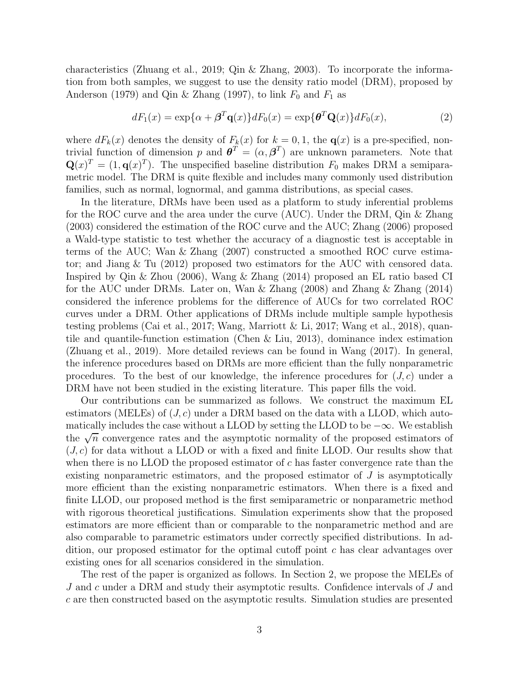characteristics [\(Zhuang et al.](#page-23-6), [2019;](#page-23-6) [Qin & Zhang, 2003](#page-22-3)). To incorporate the information from both samples, we suggest to use the density ratio model (DRM), proposed by [Anderson \(1979\)](#page-20-4) and [Qin & Zhang \(1997\)](#page-22-4), to link  $F_0$  and  $F_1$  as

<span id="page-2-0"></span>
$$
dF_1(x) = \exp{\{\alpha + \beta^T \mathbf{q}(x)\}} dF_0(x) = \exp{\{\theta^T \mathbf{Q}(x)\}} dF_0(x), \tag{2}
$$

where  $dF_k(x)$  denotes the density of  $F_k(x)$  for  $k = 0, 1$ , the  $\mathbf{q}(x)$  is a pre-specified, nontrivial function of dimension p and  $\boldsymbol{\theta}^T = (\alpha, \boldsymbol{\beta}^T)$  are unknown parameters. Note that  $\mathbf{Q}(x)^T = (1, \mathbf{q}(x)^T)$ . The unspecified baseline distribution  $F_0$  makes DRM a semiparametric model. The DRM is quite flexible and includes many commonly used distribution families, such as normal, lognormal, and gamma distributions, as special cases.

In the literature, DRMs have been used as a platform to study inferential problems for the ROC curve and the area under the curve (AUC). Under the DRM, [Qin & Zhang](#page-22-3) [\(2003\)](#page-22-3) considered the estimation of the ROC curve and the AUC; [Zhang \(2006\)](#page-23-7) proposed a Wald-type statistic to test whether the accuracy of a diagnostic test is acceptable in terms of the AUC; [Wan & Zhang \(2007\)](#page-22-5) constructed a smoothed ROC curve estimator; and [Jiang & Tu \(2012](#page-21-6)) proposed two estimators for the AUC with censored data. Inspired by [Qin & Zhou \(2006](#page-22-6)), [Wang & Zhang \(2014](#page-23-8)) proposed an EL ratio based CI for the AUC under DRMs. Later on, [Wan & Zhang \(2008](#page-22-7)) and [Zhang &](#page-23-9) Zhang [\(2014\)](#page-23-9) considered the inference problems for the difference of AUCs for two correlated ROC curves under a DRM. Other applications of DRMs include multiple sample hypothesis testing problems [\(Cai et al.](#page-21-7), [2017](#page-21-7); [Wang, Marriott & Li](#page-22-8), [2017](#page-22-8); [Wang et al.](#page-22-9), [2018](#page-22-9)), quantile and quantile-function estimation [\(Chen & Liu](#page-20-5), [2013](#page-20-5)), dominance index estimation [\(Zhuang et al., 2019\)](#page-23-6). More detailed reviews can be found in [Wang \(2017\)](#page-22-10). In general, the inference procedures based on DRMs are more efficient than the fully nonparametric procedures. To the best of our knowledge, the inference procedures for  $(J, c)$  under a DRM have not been studied in the existing literature. This paper fills the void.

Our contributions can be summarized as follows. We construct the maximum EL estimators (MELEs) of  $(J, c)$  under a DRM based on the data with a LLOD, which automatically includes the case without a LLOD by setting the LLOD to be  $-\infty$ . We establish the  $\sqrt{n}$  convergence rates and the asymptotic normality of the proposed estimators of  $(J, c)$  for data without a LLOD or with a fixed and finite LLOD. Our results show that when there is no LLOD the proposed estimator of  $c$  has faster convergence rate than the existing nonparametric estimators, and the proposed estimator of  $J$  is asymptotically more efficient than the existing nonparametric estimators. When there is a fixed and finite LLOD, our proposed method is the first semiparametric or nonparametric method with rigorous theoretical justifications. Simulation experiments show that the proposed estimators are more efficient than or comparable to the nonparametric method and are also comparable to parametric estimators under correctly specified distributions. In addition, our proposed estimator for the optimal cutoff point c has clear advantages over existing ones for all scenarios considered in the simulation.

The rest of the paper is organized as follows. In Section [2,](#page-3-0) we propose the MELEs of J and c under a DRM and study their asymptotic results. Confidence intervals of J and c are then constructed based on the asymptotic results. Simulation studies are presented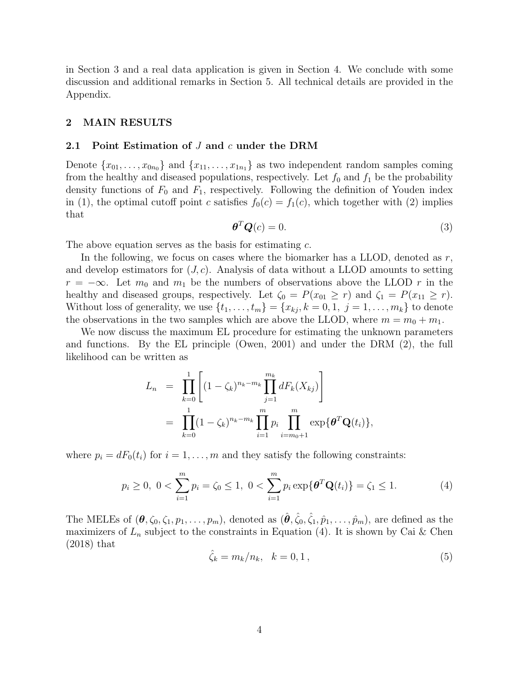in Section [3](#page-6-0) and a real data application is given in Section [4.](#page-13-0) We conclude with some discussion and additional remarks in Section [5.](#page-15-0) All technical details are provided in the Appendix.

## <span id="page-3-3"></span><span id="page-3-0"></span>2 MAIN RESULTS

#### 2.1 Point Estimation of  $J$  and  $c$  under the DRM

Denote  $\{x_{01}, \ldots, x_{0n_0}\}\$  and  $\{x_{11}, \ldots, x_{1n_1}\}\$  as two independent random samples coming from the healthy and diseased populations, respectively. Let  $f_0$  and  $f_1$  be the probability density functions of  $F_0$  and  $F_1$ , respectively. Following the definition of Youden index in [\(1\)](#page-1-0), the optimal cutoff point c satisfies  $f_0(c) = f_1(c)$ , which together with [\(2\)](#page-2-0) implies that

<span id="page-3-2"></span>
$$
\boldsymbol{\theta}^T \boldsymbol{Q}(c) = 0. \tag{3}
$$

The above equation serves as the basis for estimating c.

In the following, we focus on cases where the biomarker has a LLOD, denoted as  $r$ , and develop estimators for  $(J, c)$ . Analysis of data without a LLOD amounts to setting  $r = -\infty$ . Let  $m_0$  and  $m_1$  be the numbers of observations above the LLOD r in the healthy and diseased groups, respectively. Let  $\zeta_0 = P(x_{01} \ge r)$  and  $\zeta_1 = P(x_{11} \ge r)$ . Without loss of generality, we use  $\{t_1, \ldots, t_m\} = \{x_{kj}, k = 0, 1, j = 1, \ldots, m_k\}$  to denote the observations in the two samples which are above the LLOD, where  $m = m_0 + m_1$ .

We now discuss the maximum EL procedure for estimating the unknown parameters and functions. By the EL principle [\(Owen, 2001\)](#page-21-8) and under the DRM [\(2\)](#page-2-0), the full likelihood can be written as

$$
L_n = \prod_{k=0}^{1} \left[ (1 - \zeta_k)^{n_k - m_k} \prod_{j=1}^{m_k} dF_k(X_{kj}) \right]
$$
  
= 
$$
\prod_{k=0}^{1} (1 - \zeta_k)^{n_k - m_k} \prod_{i=1}^{m} p_i \prod_{i=m_0+1}^{m} \exp{\{\theta^T \mathbf{Q}(t_i)\}},
$$

where  $p_i = dF_0(t_i)$  for  $i = 1, \ldots, m$  and they satisfy the following constraints:

<span id="page-3-1"></span>
$$
p_i \ge 0, \ 0 < \sum_{i=1}^m p_i = \zeta_0 \le 1, \ 0 < \sum_{i=1}^m p_i \exp\{\boldsymbol{\theta}^T \mathbf{Q}(t_i)\} = \zeta_1 \le 1. \tag{4}
$$

The MELEs of  $(\theta, \zeta_0, \zeta_1, p_1, \ldots, p_m)$ , denoted as  $(\hat{\theta}, \hat{\zeta}_0, \hat{\zeta}_1, \hat{p}_1, \ldots, \hat{p}_m)$ , are defined as the maximizers of  $L_n$  subject to the constraints in Equation [\(4\)](#page-3-1). It is shown by [Cai & Chen](#page-21-9) [\(2018\)](#page-21-9) that

$$
\hat{\zeta}_k = m_k / n_k, \quad k = 0, 1 \,, \tag{5}
$$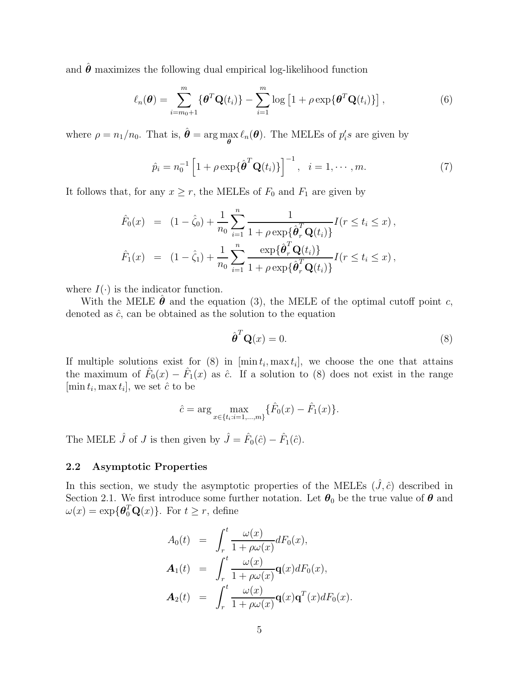and  $\hat{\theta}$  maximizes the following dual empirical log-likelihood function

$$
\ell_n(\boldsymbol{\theta}) = \sum_{i=m_0+1}^m \{ \boldsymbol{\theta}^T \mathbf{Q}(t_i) \} - \sum_{i=1}^m \log \left[ 1 + \rho \exp \{ \boldsymbol{\theta}^T \mathbf{Q}(t_i) \} \right],\tag{6}
$$

where  $\rho = n_1/n_0$ . That is,  $\hat{\theta} = \arg \max_{\theta} \ell_n(\theta)$ . The MELEs of  $p_i$ 's are given by

$$
\hat{p}_i = n_0^{-1} \left[ 1 + \rho \exp\{\hat{\boldsymbol{\theta}}^T \mathbf{Q}(t_i)\} \right]^{-1}, \quad i = 1, \cdots, m. \tag{7}
$$

It follows that, for any  $x \ge r$ , the MELEs of  $F_0$  and  $F_1$  are given by

$$
\hat{F}_0(x) = (1 - \hat{\zeta}_0) + \frac{1}{n_0} \sum_{i=1}^n \frac{1}{1 + \rho \exp\{\hat{\theta}_r^T \mathbf{Q}(t_i)\}} I(r \le t_i \le x),
$$
  

$$
\hat{F}_1(x) = (1 - \hat{\zeta}_1) + \frac{1}{n_0} \sum_{i=1}^n \frac{\exp\{\hat{\theta}_r^T \mathbf{Q}(t_i)\}}{1 + \rho \exp\{\hat{\theta}_r^T \mathbf{Q}(t_i)\}} I(r \le t_i \le x),
$$

where  $I(\cdot)$  is the indicator function.

With the MELE  $\hat{\theta}$  and the equation [\(3\)](#page-3-2), the MELE of the optimal cutoff point c, denoted as  $\hat{c}$ , can be obtained as the solution to the equation

<span id="page-4-0"></span>
$$
\hat{\boldsymbol{\theta}}^T \mathbf{Q}(x) = 0. \tag{8}
$$

If multiple solutions exist for  $(8)$  in  $[\min t_i, \max t_i]$ , we choose the one that attains the maximum of  $\hat{F}_0(x) - \hat{F}_1(x)$  as  $\hat{c}$ . If a solution to [\(8\)](#page-4-0) does not exist in the range  $[\min t_i, \max t_i],$  we set  $\hat{c}$  to be

$$
\hat{c} = \arg \max_{x \in \{t_i : i = 1, \dots, m\}} \{ \hat{F}_0(x) - \hat{F}_1(x) \}.
$$

The MELE  $\hat{J}$  of  $J$  is then given by  $\hat{J} = \hat{F}_0(\hat{c}) - \hat{F}_1(\hat{c})$ .

#### 2.2 Asymptotic Properties

In this section, we study the asymptotic properties of the MELEs  $(\hat{J}, \hat{c})$  described in Section [2.1.](#page-3-3) We first introduce some further notation. Let  $\theta_0$  be the true value of  $\theta$  and  $\omega(x) = \exp\{\boldsymbol{\theta}_0^T \mathbf{Q}(x)\}\.$  For  $t \geq r$ , define

$$
A_0(t) = \int_r^t \frac{\omega(x)}{1 + \rho \omega(x)} dF_0(x),
$$
  
\n
$$
A_1(t) = \int_r^t \frac{\omega(x)}{1 + \rho \omega(x)} \mathbf{q}(x) dF_0(x),
$$
  
\n
$$
A_2(t) = \int_r^t \frac{\omega(x)}{1 + \rho \omega(x)} \mathbf{q}(x) \mathbf{q}^T(x) dF_0(x).
$$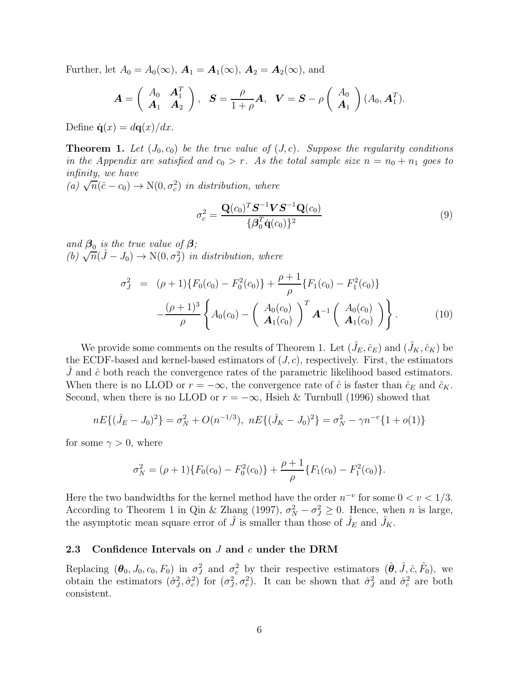Further, let  $A_0 = A_0(\infty)$ ,  $\mathbf{A}_1 = \mathbf{A}_1(\infty)$ ,  $\mathbf{A}_2 = \mathbf{A}_2(\infty)$ , and

$$
\boldsymbol{A} = \left( \begin{array}{cc} A_0 & \boldsymbol{A}_1^T \\ \boldsymbol{A}_1 & \boldsymbol{A}_2 \end{array} \right), \quad \boldsymbol{S} = \frac{\rho}{1+\rho} \boldsymbol{A}, \quad \boldsymbol{V} = \boldsymbol{S} - \rho \left( \begin{array}{c} A_0 \\ \boldsymbol{A}_1 \end{array} \right) (A_0, \boldsymbol{A}_1^T).
$$

Define  $\dot{\mathbf{q}}(x) = d\mathbf{q}(x)/dx$ .

**Theorem 1.** Let  $(J_0, c_0)$  be the true value of  $(J, c)$ . Suppose the regularity conditions in the Appendix are satisfied and  $c_0 > r$ . As the total sample size  $n = n_0 + n_1$  goes to infinity, we have

 $(a)$   $\sqrt{n}(\hat{c}-c_0) \rightarrow N(0, \sigma_c^2)$  in distribution, where

<span id="page-5-0"></span>
$$
\sigma_c^2 = \frac{\mathbf{Q}(c_0)^T \mathbf{S}^{-1} \mathbf{V} \mathbf{S}^{-1} \mathbf{Q}(c_0)}{\{\boldsymbol{\beta}_0^T \dot{\mathbf{q}}(c_0)\}^2}
$$
(9)

and  $\beta_0$  is the true value of  $\beta$ ; (b)  $\sqrt{n}(\hat{J} - J_0) \rightarrow N(0, \sigma_J^2)$  in distribution, where

<span id="page-5-1"></span>
$$
\sigma_J^2 = (\rho + 1) \{ F_0(c_0) - F_0^2(c_0) \} + \frac{\rho + 1}{\rho} \{ F_1(c_0) - F_1^2(c_0) \} - \frac{(\rho + 1)^3}{\rho} \left\{ A_0(c_0) - \left( \frac{A_0(c_0)}{A_1(c_0)} \right)^T \mathbf{A}^{-1} \left( \frac{A_0(c_0)}{A_1(c_0)} \right) \right\}.
$$
 (10)

We provide some comments on the results of Theorem 1. Let  $(\hat{J}_E, \hat{c}_E)$  and  $(\hat{J}_K, \hat{c}_K)$  be the ECDF-based and kernel-based estimators of  $(J, c)$ , respectively. First, the estimators  $J$  and  $\hat{c}$  both reach the convergence rates of the parametric likelihood based estimators. When there is no LLOD or  $r = -\infty$ , the convergence rate of  $\hat{c}$  is faster than  $\hat{c}_E$  and  $\hat{c}_K$ . Second, when there is no LLOD or  $r = -\infty$ , [Hsieh & Turnbull \(1996\)](#page-21-4) showed that

$$
nE\{(\hat{J}_E - J_0)^2\} = \sigma_N^2 + O(n^{-1/3}), \ nE\{(\hat{J}_K - J_0)^2\} = \sigma_N^2 - \gamma n^{-\nu} \{1 + o(1)\}
$$

for some  $\gamma > 0$ , where

$$
\sigma_N^2 = (\rho + 1) \{ F_0(c_0) - F_0^2(c_0) \} + \frac{\rho + 1}{\rho} \{ F_1(c_0) - F_1^2(c_0) \}.
$$

Here the two bandwidths for the kernel method have the order  $n^{-v}$  for some  $0 < v < 1/3$ . According to Theorem 1 in [Qin & Zhang \(1997](#page-22-4)),  $\sigma_N^2 - \sigma_J^2 \geq 0$ . Hence, when *n* is large, the asymptotic mean square error of  $\hat{J}$  is smaller than those of  $\hat{J}_E$  and  $\hat{J}_K$ .

#### 2.3 Confidence Intervals on J and c under the DRM

Replacing  $(\theta_0, J_0, c_0, F_0)$  in  $\sigma_J^2$  and  $\sigma_c^2$  by their respective estimators  $(\hat{\theta}, \hat{J}, \hat{c}, \hat{F}_0)$ , we obtain the estimators  $(\hat{\sigma}_J^2, \hat{\sigma}_c^2)$  for  $(\sigma_J^2, \sigma_c^2)$ . It can be shown that  $\hat{\sigma}_J^2$  and  $\hat{\sigma}_c^2$  are both consistent.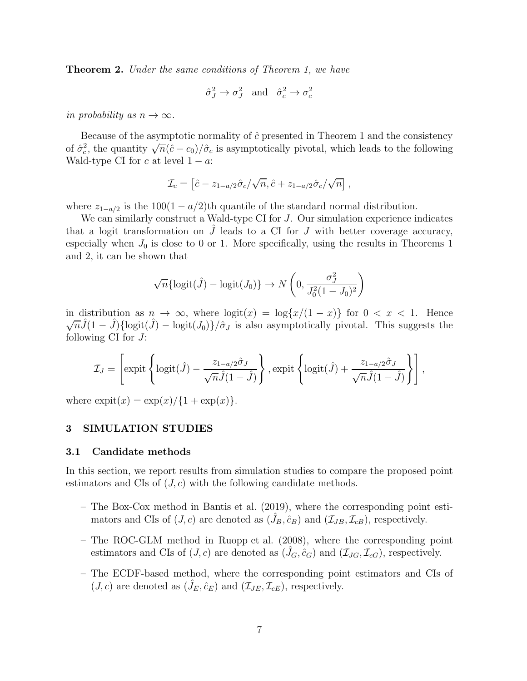**Theorem 2.** Under the same conditions of Theorem 1, we have

$$
\hat{\sigma}_J^2 \to \sigma_J^2
$$
 and  $\hat{\sigma}_c^2 \to \sigma_c^2$ 

in probability as  $n \to \infty$ .

Because of the asymptotic normality of  $\hat{c}$  presented in Theorem 1 and the consistency of  $\hat{\sigma}_c^2$ , the quantity  $\sqrt{n}(\hat{c}-c_0)/\hat{\sigma}_c$  is asymptotically pivotal, which leads to the following Wald-type CI for c at level  $1 - a$ :

$$
\mathcal{I}_c = \left[ \hat{c} - z_{1-a/2} \hat{\sigma}_c / \sqrt{n}, \hat{c} + z_{1-a/2} \hat{\sigma}_c / \sqrt{n} \right],
$$

where  $z_{1-a/2}$  is the 100(1 – a/2)th quantile of the standard normal distribution.

We can similarly construct a Wald-type CI for  $J$ . Our simulation experience indicates that a logit transformation on  $J$  leads to a CI for  $J$  with better coverage accuracy, especially when  $J_0$  is close to 0 or 1. More specifically, using the results in Theorems 1 and 2, it can be shown that

$$
\sqrt{n} \{ \text{logit}(\hat{J}) - \text{logit}(J_0) \} \rightarrow N\left(0, \frac{\sigma_J^2}{J_0^2 (1 - J_0)^2}\right)
$$

in distribution as  $n \to \infty$ , where  $\log(x) = \log\{x/(1-x)\}\$  for  $0 < x < 1$ . Hence  $\sqrt{n}\hat{J}(1-\hat{J})\{\text{logit}(\hat{J})-\text{logit}(J_0)\}/\hat{\sigma}_J$  is also asymptotically pivotal. This suggests the following CI for  $J$ :

$$
\mathcal{I}_J = \left[ \text{expit}\left\{ \text{logit}(\hat{J}) - \frac{z_{1-a/2}\hat{\sigma}_J}{\sqrt{n}\hat{J}(1-\hat{J})} \right\}, \text{expit}\left\{ \text{logit}(\hat{J}) + \frac{z_{1-a/2}\hat{\sigma}_J}{\sqrt{n}\hat{J}(1-\hat{J})} \right\} \right],
$$

where  $\exp(\frac{x}{x}) = \exp(\frac{x}{4} + \exp(\frac{x}{x})$ .

#### <span id="page-6-0"></span>3 SIMULATION STUDIES

#### 3.1 Candidate methods

In this section, we report results from simulation studies to compare the proposed point estimators and CIs of  $(J, c)$  with the following candidate methods.

- The Box-Cox method in [Bantis et al. \(2019\)](#page-20-1), where the corresponding point estimators and CIs of  $(J, c)$  are denoted as  $(\hat{J}_B, \hat{c}_B)$  and  $(\mathcal{I}_{JB}, \mathcal{I}_{cB})$ , respectively.
- The ROC-GLM method in [Ruopp et al. \(2008\)](#page-22-2), where the corresponding point estimators and CIs of  $(J, c)$  are denoted as  $(J_G, \hat{c}_G)$  and  $(\mathcal{I}_{JG}, \mathcal{I}_{cG})$ , respectively.
- The ECDF-based method, where the corresponding point estimators and CIs of  $(J, c)$  are denoted as  $(\hat{J}_E, \hat{c}_E)$  and  $(\mathcal{I}_{JE}, \mathcal{I}_{cE})$ , respectively.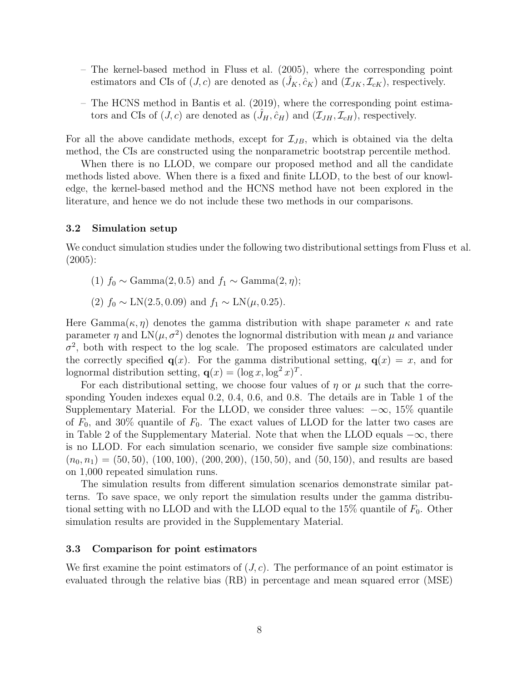- The kernel-based method in [Fluss et al. \(2005\)](#page-21-3), where the corresponding point estimators and CIs of  $(J, c)$  are denoted as  $(\hat{J}_K, \hat{c}_K)$  and  $(\mathcal{I}_{JK}, \mathcal{I}_{cK})$ , respectively.
- The HCNS method in [Bantis et al. \(2019\)](#page-20-1), where the corresponding point estimators and CIs of  $(J, c)$  are denoted as  $(\hat{J}_H, \hat{c}_H)$  and  $(\mathcal{I}_{JH}, \mathcal{I}_{cH})$ , respectively.

For all the above candidate methods, except for  $\mathcal{I}_{JB}$ , which is obtained via the delta method, the CIs are constructed using the nonparametric bootstrap percentile method.

When there is no LLOD, we compare our proposed method and all the candidate methods listed above. When there is a fixed and finite LLOD, to the best of our knowledge, the kernel-based method and the HCNS method have not been explored in the literature, and hence we do not include these two methods in our comparisons.

### 3.2 Simulation setup

We conduct simulation studies under the following two distributional settings from [Fluss et al.](#page-21-3) [\(2005\)](#page-21-3):

- (1)  $f_0 \sim \text{Gamma}(2, 0.5)$  and  $f_1 \sim \text{Gamma}(2, \eta)$ ;
- (2)  $f_0 \sim \text{LN}(2.5, 0.09)$  and  $f_1 \sim \text{LN}(\mu, 0.25)$ .

Here  $Gamma(\kappa, \eta)$  denotes the gamma distribution with shape parameter  $\kappa$  and rate parameter  $\eta$  and  $LN(\mu, \sigma^2)$  denotes the lognormal distribution with mean  $\mu$  and variance  $\sigma^2$ , both with respect to the log scale. The proposed estimators are calculated under the correctly specified  $q(x)$ . For the gamma distributional setting,  $q(x) = x$ , and for lognormal distribution setting,  $\mathbf{q}(x) = (\log x, \log^2 x)^T$ .

For each distributional setting, we choose four values of  $\eta$  or  $\mu$  such that the corresponding Youden indexes equal 0.2, 0.4, 0.6, and 0.8. The details are in Table 1 of the Supplementary Material. For the LLOD, we consider three values:  $-\infty$ , 15% quantile of  $F_0$ , and 30% quantile of  $F_0$ . The exact values of LLOD for the latter two cases are in Table 2 of the Supplementary Material. Note that when the LLOD equals  $-\infty$ , there is no LLOD. For each simulation scenario, we consider five sample size combinations:  $(n_0, n_1) = (50, 50), (100, 100), (200, 200), (150, 50), \text{ and } (50, 150), \text{ and results are based}$ on 1,000 repeated simulation runs.

The simulation results from different simulation scenarios demonstrate similar patterns. To save space, we only report the simulation results under the gamma distributional setting with no LLOD and with the LLOD equal to the 15% quantile of  $F_0$ . Other simulation results are provided in the Supplementary Material.

## 3.3 Comparison for point estimators

We first examine the point estimators of  $(J, c)$ . The performance of an point estimator is evaluated through the relative bias (RB) in percentage and mean squared error (MSE)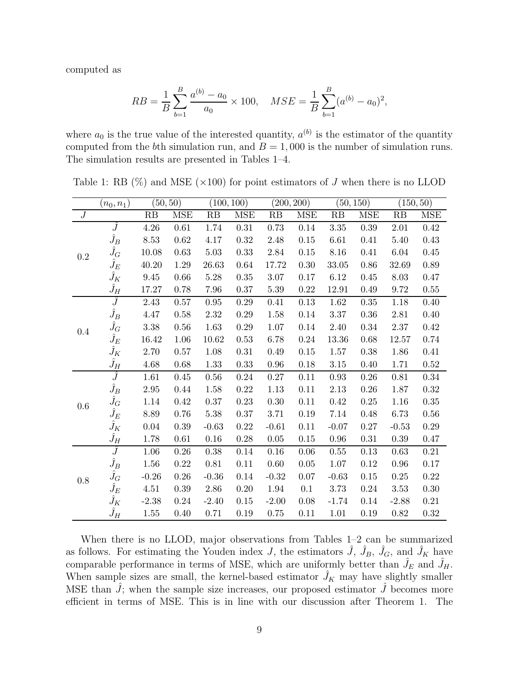computed as

$$
RB = \frac{1}{B} \sum_{b=1}^{B} \frac{a^{(b)} - a_0}{a_0} \times 100, \quad MSE = \frac{1}{B} \sum_{b=1}^{B} (a^{(b)} - a_0)^2,
$$

where  $a_0$  is the true value of the interested quantity,  $a^{(b)}$  is the estimator of the quantity computed from the bth simulation run, and  $B = 1,000$  is the number of simulation runs. The simulation results are presented in Tables [1–](#page-8-0)[4.](#page-10-0)

|                | $(n_0,n_1)$   |                 | (50, 50)   |            | (100, 100) |          | (200, 200) |           | (50, 150)  |          | (150, 50)  |
|----------------|---------------|-----------------|------------|------------|------------|----------|------------|-----------|------------|----------|------------|
| $\overline{J}$ |               | $\overline{RB}$ | <b>MSE</b> | RB         | <b>MSE</b> | RB       | <b>MSE</b> | RB        | <b>MSE</b> | RB       | <b>MSE</b> |
|                | Ĵ             | $4.26\,$        | $0.61\,$   | 1.74       | $0.31\,$   | $0.73\,$ | $0.14\,$   | 3.35      | 0.39       | 2.01     | $0.42\,$   |
|                | $\hat{J}_B$   | 8.53            | 0.62       | 4.17       | 0.32       | 2.48     | 0.15       | 6.61      | 0.41       | 5.40     | 0.43       |
| 0.2            | $\hat{J}_G$   | 10.08           | 0.63       | 5.03       | 0.33       | 2.84     | 0.15       | 8.16      | 0.41       | 6.04     | 0.45       |
|                | $\hat{J}_E$   | 40.20           | 1.29       | 26.63      | 0.64       | 17.72    | 0.30       | 33.05     | 0.86       | 32.69    | 0.89       |
|                | $\hat{J}_K$   | $9.45\,$        | 0.66       | $5.28\,$   | $0.35\,$   | $3.07\,$ | $0.17\,$   | 6.12      | 0.45       | 8.03     | 0.47       |
|                | $\hat{J}_H$   | 17.27           | 0.78       | 7.96       | $0.37\,$   | 5.39     | $0.22\,$   | $12.91\,$ | 0.49       | 9.72     | $0.55\,$   |
|                | $\widehat{J}$ | $2.43\,$        | 0.57       | $\rm 0.95$ | $0.29\,$   | 0.41     | $0.13\,$   | 1.62      | $0.35\,$   | 1.18     | $0.40\,$   |
|                | $\hat{J}_B$   | 4.47            | $0.58\,$   | $2.32\,$   | 0.29       | 1.58     | $0.14\,$   | $3.37\,$  | 0.36       | $2.81\,$ | $0.40\,$   |
| 0.4            | $\hat{J}_G$   | $3.38\,$        | 0.56       | 1.63       | $0.29\,$   | $1.07\,$ | 0.14       | $2.40\,$  | 0.34       | $2.37\,$ | $0.42\,$   |
|                | $\hat{J}_E$   | 16.42           | 1.06       | 10.62      | 0.53       | 6.78     | 0.24       | $13.36\,$ | 0.68       | 12.57    | 0.74       |
|                | $\hat{J}_K$   | 2.70            | 0.57       | 1.08       | $0.31\,$   | 0.49     | $0.15\,$   | 1.57      | 0.38       | 1.86     | 0.41       |
|                | $\hat{J}_H$   | 4.68            | 0.68       | 1.33       | 0.33       | 0.96     | 0.18       | 3.15      | 0.40       | 1.71     | $0.52\,$   |
|                | $\hat{J}$     | 1.61            | $0.45\,$   | $0.56\,$   | $0.24\,$   | $0.27\,$ | 0.11       | 0.93      | 0.26       | 0.81     | 0.34       |
|                | $\hat{J}_B$   | $2.95\,$        | 0.44       | 1.58       | $0.22\,$   | $1.13\,$ | $0.11\,$   | $2.13\,$  | $0.26\,$   | 1.87     | $0.32\,$   |
| 0.6            | $\hat{J}_G$   | 1.14            | $0.42\,$   | $0.37\,$   | $0.23\,$   | $0.30\,$ | 0.11       | 0.42      | 0.25       | 1.16     | $0.35\,$   |
|                | $\hat{J}_E$   | 8.89            | $0.76\,$   | $5.38\,$   | $0.37\,$   | 3.71     | 0.19       | 7.14      | 0.48       | $6.73\,$ | $0.56\,$   |
|                | $\hat{J}_K$   | 0.04            | $0.39\,$   | $-0.63$    | $0.22\,$   | $-0.61$  | 0.11       | $-0.07$   | 0.27       | $-0.53$  | $0.29\,$   |
|                | $\hat{J}_H$   | 1.78            | 0.61       | $0.16\,$   | 0.28       | 0.05     | 0.15       | 0.96      | 0.31       | $0.39\,$ | 0.47       |
|                | $\widehat{J}$ | 1.06            | 0.26       | $0.38\,$   | 0.14       | $0.16\,$ | 0.06       | 0.55      | 0.13       | 0.63     | 0.21       |
|                | $\hat{J}_B$   | 1.56            | 0.22       | 0.81       | 0.11       | 0.60     | $0.05\,$   | 1.07      | 0.12       | 0.96     | 0.17       |
| 0.8            | $\hat{J}_G$   | $-0.26$         | $0.26\,$   | $-0.36$    | 0.14       | $-0.32$  | 0.07       | $-0.63$   | $0.15\,$   | 0.25     | $0.22\,$   |
|                | $\hat{J}_E$   | 4.51            | $0.39\,$   | 2.86       | $0.20\,$   | 1.94     | 0.1        | 3.73      | 0.24       | 3.53     | $0.30\,$   |
|                | $\hat{J}_K$   | $-2.38$         | 0.24       | $-2.40$    | $0.15\,$   | $-2.00$  | 0.08       | $-1.74$   | 0.14       | $-2.88$  | $0.21\,$   |
|                | $\hat{J}_H$   | 1.55            | 0.40       | 0.71       | 0.19       | 0.75     | 0.11       | 1.01      | 0.19       | 0.82     | 0.32       |

<span id="page-8-0"></span>Table 1: RB  $(\%)$  and MSE  $(\times 100)$  for point estimators of J when there is no LLOD

When there is no LLOD, major observations from Tables  $1-2$  can be summarized as follows. For estimating the Youden index J, the estimators  $\hat{J}$ ,  $\hat{J}_B$ ,  $\hat{J}_G$ , and  $\hat{J}_K$  have comparable performance in terms of MSE, which are uniformly better than  $\hat{J}_E$  and  $\hat{J}_H$ . When sample sizes are small, the kernel-based estimator  $\hat{J}_K$  may have slightly smaller MSE than  $J$ ; when the sample size increases, our proposed estimator  $J$  becomes more efficient in terms of MSE. This is in line with our discussion after Theorem 1. The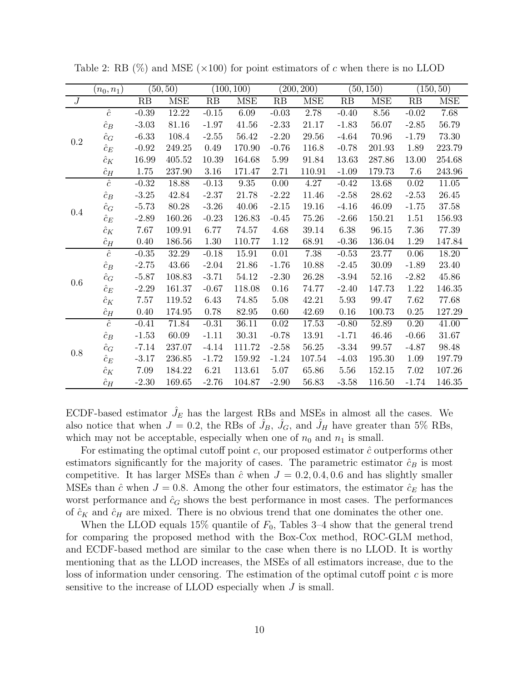|                  | $(n_0, n_1)$ |         | (50, 50)   |          | (100, 100) |          | (200, 200) |         | (50, 150) |          | (150, 50)  |
|------------------|--------------|---------|------------|----------|------------|----------|------------|---------|-----------|----------|------------|
| $\boldsymbol{J}$ |              | RB      | <b>MSE</b> | RB       | <b>MSE</b> | RB       | <b>MSE</b> | RB      | MSE       | RB       | <b>MSE</b> |
|                  | $\hat{c}$    | $-0.39$ | 12.22      | $-0.15$  | $6.09\,$   | $-0.03$  | $2.78\,$   | $-0.40$ | 8.56      | $-0.02$  | 7.68       |
|                  | $\hat{c}_B$  | $-3.03$ | 81.16      | $-1.97$  | 41.56      | $-2.33$  | 21.17      | $-1.83$ | 56.07     | $-2.85$  | 56.79      |
| 0.2              | $\hat{c}_G$  | $-6.33$ | 108.4      | $-2.55$  | $56.42\,$  | $-2.20$  | 29.56      | $-4.64$ | 70.96     | $-1.79$  | 73.30      |
|                  | $\hat{c}_E$  | $-0.92$ | 249.25     | 0.49     | 170.90     | $-0.76$  | 116.8      | $-0.78$ | 201.93    | 1.89     | 223.79     |
|                  | $\hat{c}_K$  | 16.99   | 405.52     | 10.39    | 164.68     | 5.99     | 91.84      | 13.63   | 287.86    | 13.00    | 254.68     |
|                  | $\hat{c}_H$  | 1.75    | 237.90     | $3.16\,$ | 171.47     | 2.71     | 110.91     | $-1.09$ | 179.73    | 7.6      | 243.96     |
|                  | $\hat{c}$    | $-0.32$ | 18.88      | $-0.13$  | $\,9.35$   | 0.00     | $4.27\,$   | $-0.42$ | 13.68     | $0.02\,$ | 11.05      |
|                  | $\hat{c}_B$  | $-3.25$ | 42.84      | $-2.37$  | 21.78      | $-2.22$  | 11.46      | $-2.58$ | 28.62     | $-2.53$  | 26.45      |
| 0.4              | $\hat{c}_G$  | $-5.73$ | 80.28      | $-3.26$  | 40.06      | $-2.15$  | 19.16      | $-4.16$ | 46.09     | $-1.75$  | 37.58      |
|                  | $\hat{c}_E$  | $-2.89$ | 160.26     | $-0.23$  | 126.83     | $-0.45$  | 75.26      | $-2.66$ | 150.21    | 1.51     | 156.93     |
|                  | $\hat{c}_K$  | 7.67    | 109.91     | 6.77     | 74.57      | 4.68     | 39.14      | 6.38    | 96.15     | 7.36     | 77.39      |
|                  | $\hat{c}_H$  | 0.40    | 186.56     | $1.30\,$ | 110.77     | $1.12\,$ | $68.91\,$  | $-0.36$ | 136.04    | 1.29     | 147.84     |
|                  | $\hat{c}$    | $-0.35$ | 32.29      | $-0.18$  | 15.91      | $0.01\,$ | $7.38\,$   | $-0.53$ | 23.77     | $0.06\,$ | 18.20      |
|                  | $\hat{c}_B$  | $-2.75$ | 43.66      | $-2.04$  | 21.86      | $-1.76$  | 10.88      | $-2.45$ | 30.09     | $-1.89$  | 23.40      |
| 0.6              | $\hat{c}_G$  | $-5.87$ | 108.83     | $-3.71$  | 54.12      | $-2.30$  | 26.28      | $-3.94$ | 52.16     | $-2.82$  | 45.86      |
|                  | $\hat{c}_E$  | $-2.29$ | 161.37     | $-0.67$  | 118.08     | 0.16     | 74.77      | $-2.40$ | 147.73    | 1.22     | 146.35     |
|                  | $\hat{c}_K$  | 7.57    | 119.52     | 6.43     | 74.85      | 5.08     | 42.21      | 5.93    | 99.47     | 7.62     | 77.68      |
|                  | $\hat{c}_H$  | 0.40    | 174.95     | 0.78     | 82.95      | 0.60     | 42.69      | 0.16    | 100.73    | 0.25     | 127.29     |
|                  | $\hat{c}$    | $-0.41$ | 71.84      | $-0.31$  | 36.11      | 0.02     | 17.53      | $-0.80$ | 52.89     | 0.20     | 41.00      |
|                  | $\hat{c}_B$  | $-1.53$ | 60.09      | $-1.11$  | 30.31      | $-0.78$  | 13.91      | $-1.71$ | 46.46     | $-0.66$  | 31.67      |
| 0.8              | $\hat{c}_G$  | $-7.14$ | 237.07     | $-4.14$  | 111.72     | $-2.58$  | 56.25      | $-3.34$ | 99.57     | $-4.87$  | 98.48      |
|                  | $\hat{c}_E$  | $-3.17$ | 236.85     | $-1.72$  | 159.92     | $-1.24$  | 107.54     | $-4.03$ | 195.30    | 1.09     | 197.79     |
|                  | $\hat{c}_K$  | 7.09    | 184.22     | 6.21     | 113.61     | 5.07     | 65.86      | 5.56    | 152.15    | 7.02     | 107.26     |
|                  | $\hat{c}_H$  | $-2.30$ | 169.65     | $-2.76$  | 104.87     | $-2.90$  | 56.83      | $-3.58$ | 116.50    | $-1.74$  | 146.35     |

<span id="page-9-0"></span>Table 2: RB  $(\%)$  and MSE ( $\times$ 100) for point estimators of c when there is no LLOD

ECDF-based estimator  $J_E$  has the largest RBs and MSEs in almost all the cases. We also notice that when  $J = 0.2$ , the RBs of  $\hat{J}_B$ ,  $\hat{J}_G$ , and  $\hat{J}_H$  have greater than 5% RBs, which may not be acceptable, especially when one of  $n_0$  and  $n_1$  is small.

For estimating the optimal cutoff point c, our proposed estimator  $\hat{c}$  outperforms other estimators significantly for the majority of cases. The parametric estimator  $\hat{c}_B$  is most competitive. It has larger MSEs than  $\hat{c}$  when  $J = 0.2, 0.4, 0.6$  and has slightly smaller MSEs than  $\hat{c}$  when  $J = 0.8$ . Among the other four estimators, the estimator  $\hat{c}_E$  has the worst performance and  $\hat{c}_G$  shows the best performance in most cases. The performances of  $\hat{c}_K$  and  $\hat{c}_H$  are mixed. There is no obvious trend that one dominates the other one.

When the LLOD equals 15% quantile of  $F_0$ , Tables 3-4 show that the general trend for comparing the proposed method with the Box-Cox method, ROC-GLM method, and ECDF-based method are similar to the case when there is no LLOD. It is worthy mentioning that as the LLOD increases, the MSEs of all estimators increase, due to the loss of information under censoring. The estimation of the optimal cutoff point  $c$  is more sensitive to the increase of LLOD especially when  $J$  is small.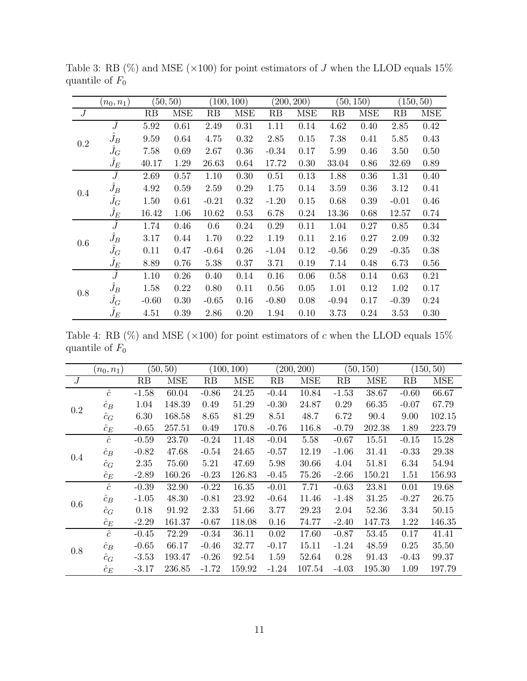|     | $(n_0,n_1)$   | (50, 50) |            | (100, 100) |            |         | (200, 200) |         | (50, 150)  |         | (150, 50) |
|-----|---------------|----------|------------|------------|------------|---------|------------|---------|------------|---------|-----------|
| J   |               | RB       | <b>MSE</b> | RB         | <b>MSE</b> | RB      | MSE        | RB      | <b>MSE</b> | RB      | MSE       |
|     | $\widehat{J}$ | 5.92     | 0.61       | 2.49       | 0.31       | 1.11    | 0.14       | 4.62    | 0.40       | 2.85    | 0.42      |
| 0.2 | $\hat{J}_B$   | 9.59     | 0.64       | 4.75       | 0.32       | 2.85    | 0.15       | 7.38    | 0.41       | 5.85    | 0.43      |
|     | $\hat{J}_G$   | 7.58     | 0.69       | 2.67       | 0.36       | $-0.34$ | 0.17       | 5.99    | 0.46       | 3.50    | 0.50      |
|     | $\hat{J}_E$   | 40.17    | 1.29       | 26.63      | 0.64       | 17.72   | 0.30       | 33.04   | 0.86       | 32.69   | 0.89      |
|     | Ĵ             | 2.69     | 0.57       | 1.10       | 0.30       | 0.51    | 0.13       | 1.88    | 0.36       | 1.31    | 0.40      |
| 0.4 | $\hat{J}_B$   | 4.92     | 0.59       | 2.59       | 0.29       | 1.75    | 0.14       | 3.59    | 0.36       | 3.12    | 0.41      |
|     | $\hat{J}_G$   | 1.50     | 0.61       | $-0.21$    | 0.32       | $-1.20$ | 0.15       | 0.68    | 0.39       | $-0.01$ | 0.46      |
|     | $\hat{J}_E$   | 16.42    | 1.06       | 10.62      | 0.53       | 6.78    | 0.24       | 13.36   | 0.68       | 12.57   | 0.74      |
|     | $\widehat{J}$ | 1.74     | 0.46       | $0.6\,$    | 0.24       | 0.29    | 0.11       | 1.04    | 0.27       | 0.85    | 0.34      |
| 0.6 | $\hat{J}_B$   | 3.17     | 0.44       | 1.70       | 0.22       | 1.19    | 0.11       | 2.16    | 0.27       | 2.09    | 0.32      |
|     | $\hat{J}_G$   | 0.11     | 0.47       | $-0.64$    | 0.26       | $-1.04$ | 0.12       | $-0.56$ | 0.29       | $-0.35$ | 0.38      |
|     | $\hat{J}_E$   | 8.89     | 0.76       | 5.38       | 0.37       | 3.71    | 0.19       | 7.14    | 0.48       | 6.73    | 0.56      |
|     | $\hat{J}$     | 1.10     | 0.26       | 0.40       | 0.14       | 0.16    | 0.06       | 0.58    | 0.14       | 0.63    | 0.21      |
| 0.8 | $\hat{J}_B$   | 1.58     | 0.22       | 0.80       | 0.11       | 0.56    | 0.05       | 1.01    | 0.12       | 1.02    | 0.17      |
|     | $\ddot{J}_G$  | $-0.60$  | 0.30       | $-0.65$    | 0.16       | $-0.80$ | 0.08       | $-0.94$ | 0.17       | $-0.39$ | 0.24      |
|     | $\hat{J}_E$   | 4.51     | 0.39       | 2.86       | 0.20       | 1.94    | 0.10       | 3.73    | 0.24       | 3.53    | 0.30      |

<span id="page-10-1"></span>Table 3: RB (%) and MSE ( $\times 100$ ) for point estimators of  $J$  when the LLOD equals 15% quantile of  $F_0$ 

<span id="page-10-0"></span>Table 4: RB  $(\%)$  and MSE ( $\times$ 100) for point estimators of c when the LLOD equals 15% quantile of  $F_0$ 

|                | $(n_0,n_1)$ |         | (50, 50)   |         | (100, 100) |         | (200, 200) |         | (50, 150)  | 150, 50) |            |
|----------------|-------------|---------|------------|---------|------------|---------|------------|---------|------------|----------|------------|
| $\overline{J}$ |             | RB      | <b>MSE</b> | RB      | <b>MSE</b> | RB      | <b>MSE</b> | RB      | <b>MSE</b> | RB       | <b>MSE</b> |
|                | $\hat{c}$   | $-1.58$ | 60.04      | $-0.86$ | 24.25      | $-0.44$ | 10.84      | $-1.53$ | 38.67      | $-0.60$  | 66.67      |
| $0.2\,$        | $c_B$       | 1.04    | 148.39     | 0.49    | 51.29      | $-0.30$ | 24.87      | 0.29    | 66.35      | $-0.07$  | 67.79      |
|                | $\hat{c}_G$ | 6.30    | 168.58     | 8.65    | 81.29      | 8.51    | 48.7       | 6.72    | 90.4       | 9.00     | 102.15     |
|                | $\hat{c}_E$ | $-0.65$ | 257.51     | 0.49    | 170.8      | $-0.76$ | 116.8      | $-0.79$ | 202.38     | 1.89     | 223.79     |
|                | $\hat{c}$   | $-0.59$ | 23.70      | $-0.24$ | 11.48      | $-0.04$ | 5.58       | $-0.67$ | 15.51      | $-0.15$  | 15.28      |
| 0.4            | $\hat{c}_B$ | $-0.82$ | 47.68      | $-0.54$ | 24.65      | $-0.57$ | 12.19      | $-1.06$ | 31.41      | $-0.33$  | 29.38      |
|                | $\hat{c}_G$ | 2.35    | 75.60      | 5.21    | 47.69      | 5.98    | 30.66      | 4.04    | 51.81      | 6.34     | 54.94      |
|                | $\hat{c}_E$ | $-2.89$ | 160.26     | $-0.23$ | 126.83     | $-0.45$ | 75.26      | $-2.66$ | 150.21     | 1.51     | 156.93     |
|                | $\hat{c}$   | $-0.39$ | 32.90      | $-0.22$ | 16.35      | $-0.01$ | 7.71       | $-0.63$ | 23.81      | 0.01     | 19.68      |
| 0.6            | $\hat{c}_B$ | $-1.05$ | 48.30      | $-0.81$ | 23.92      | $-0.64$ | 11.46      | $-1.48$ | 31.25      | $-0.27$  | 26.75      |
|                | $\hat{c}_G$ | 0.18    | 91.92      | 2.33    | 51.66      | 3.77    | 29.23      | 2.04    | 52.36      | 3.34     | 50.15      |
|                | $\hat{c}_E$ | $-2.29$ | 161.37     | $-0.67$ | 118.08     | 0.16    | 74.77      | $-2.40$ | 147.73     | 1.22     | 146.35     |
|                | $\hat{c}$   | $-0.45$ | 72.29      | $-0.34$ | 36.11      | 0.02    | 17.60      | $-0.87$ | 53.45      | 0.17     | 41.41      |
|                | $\hat{c}_B$ | $-0.65$ | 66.17      | $-0.46$ | 32.77      | $-0.17$ | 15.11      | $-1.24$ | 48.59      | 0.25     | 35.50      |
| 0.8            | $\hat{c}_G$ | $-3.53$ | 193.47     | $-0.26$ | 92.54      | 1.59    | 52.64      | 0.28    | 91.43      | $-0.43$  | 99.37      |
|                | $\hat{c}_E$ | $-3.17$ | 236.85     | $-1.72$ | 159.92     | $-1.24$ | 107.54     | $-4.03$ | 195.30     | 1.09     | 197.79     |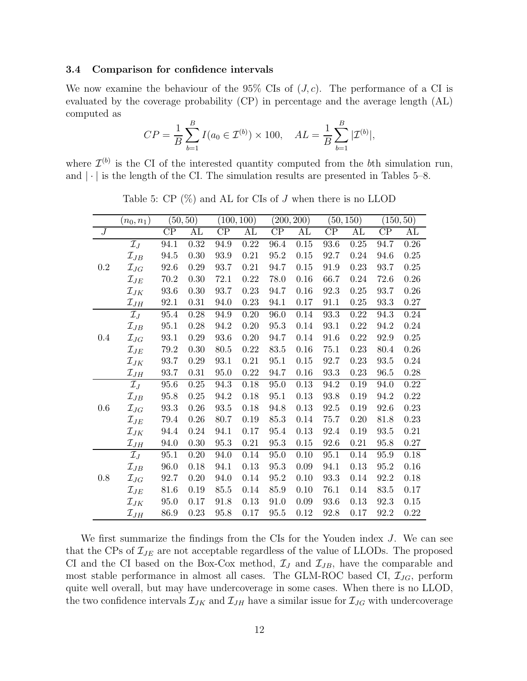#### 3.4 Comparison for confidence intervals

We now examine the behaviour of the 95% CIs of  $(J, c)$ . The performance of a CI is evaluated by the coverage probability (CP) in percentage and the average length (AL) computed as

$$
CP = \frac{1}{B} \sum_{b=1}^{B} I(a_0 \in \mathcal{I}^{(b)}) \times 100, \quad AL = \frac{1}{B} \sum_{b=1}^{B} |\mathcal{I}^{(b)}|,
$$

<span id="page-11-0"></span>where  $\mathcal{I}^{(b)}$  is the CI of the interested quantity computed from the bth simulation run, and  $|\cdot|$  is the length of the CI. The simulation results are presented in Tables [5–](#page-11-0)[8.](#page-13-1)

|                | $(n_0, n_1)$       |                 | (50, 50)               |                 | (100, 100)          |                 | (200, 200) |                 | (50, 150)           |                     | (150, 50) |
|----------------|--------------------|-----------------|------------------------|-----------------|---------------------|-----------------|------------|-----------------|---------------------|---------------------|-----------|
| $\overline{J}$ |                    | $\overline{CP}$ | $\overline{\text{AL}}$ | $\overline{CP}$ | $\overline{\rm AL}$ | $\overline{CP}$ | AL         | $\overline{CP}$ | $\overline{\rm AL}$ | $\overline{CP}$     | AL        |
|                | $\mathcal{I}_J$    | 94.1            | 0.32                   | 94.9            | 0.22                | 96.4            | 0.15       | 93.6            | $\overline{0.25}$   | 94.7                | 0.26      |
|                | $\mathcal{I}_{JB}$ | 94.5            | 0.30                   | 93.9            | $0.21\,$            | 95.2            | $0.15\,$   | 92.7            | 0.24                | 94.6                | $0.25\,$  |
| $\rm 0.2$      | $\mathcal{I}_{JG}$ | 92.6            | 0.29                   | 93.7            | $0.21\,$            | 94.7            | $0.15\,$   | 91.9            | 0.23                | 93.7                | $0.25\,$  |
|                | $\mathcal{I}_{JE}$ | 70.2            | 0.30                   | 72.1            | $0.22\,$            | 78.0            | 0.16       | 66.7            | 0.24                | 72.6                | $0.26\,$  |
|                | $\mathcal{I}_{JK}$ | 93.6            | 0.30                   | 93.7            | $0.23\,$            | 94.7            | 0.16       | 92.3            | 0.25                | 93.7                | $0.26\,$  |
|                | $\mathcal{I}_{JH}$ | 92.1            | 0.31                   | 94.0            | 0.23                | $94.1\,$        | 0.17       | 91.1            | 0.25                | 93.3                | 0.27      |
|                | $\mathcal{I}_J$    | 95.4            | 0.28                   | 94.9            | $0.20\,$            | 96.0            | 0.14       | $93.3\,$        | $0.22\,$            | 94.3                | $0.24\,$  |
|                | $\mathcal{I}_{JB}$ | 95.1            | 0.28                   | 94.2            | 0.20                | 95.3            | 0.14       | 93.1            | 0.22                | 94.2                | $0.24\,$  |
| 0.4            | $\mathcal{I}_{JG}$ | 93.1            | 0.29                   | 93.6            | 0.20                | 94.7            | 0.14       | 91.6            | 0.22                | 92.9                | 0.25      |
|                | $\mathcal{I}_{JE}$ | 79.2            | 0.30                   | 80.5            | 0.22                | 83.5            | 0.16       | 75.1            | 0.23                | 80.4                | $0.26\,$  |
|                | $\mathcal{I}_{JK}$ | 93.7            | 0.29                   | 93.1            | $0.21\,$            | 95.1            | $0.15\,$   | 92.7            | 0.23                | $\boldsymbol{93.5}$ | 0.24      |
|                | $\mathcal{I}_{JH}$ | 93.7            | 0.31                   | 95.0            | $0.22\,$            | 94.7            | 0.16       | 93.3            | 0.23                | 96.5                | $0.28\,$  |
|                | $\mathcal{I}_J$    | 95.6            | $0.25\,$               | 94.3            | $0.18\,$            | $95.0\,$        | $0.13\,$   | $94.2\,$        | 0.19                | 94.0                | $0.22\,$  |
|                | $\mathcal{I}_{JB}$ | 95.8            | 0.25                   | 94.2            | $0.18\,$            | 95.1            | 0.13       | $93.8\,$        | 0.19                | 94.2                | $0.22\,$  |
| 0.6            | $\mathcal{I}_{JG}$ | 93.3            | 0.26                   | 93.5            | $0.18\,$            | 94.8            | 0.13       | $92.5\,$        | 0.19                | 92.6                | 0.23      |
|                | $\mathcal{I}_{JE}$ | 79.4            | 0.26                   | 80.7            | 0.19                | 85.3            | 0.14       | 75.7            | 0.20                | 81.8                | 0.23      |
|                | $\mathcal{I}_{JK}$ | 94.4            | $0.24\,$               | 94.1            | 0.17                | 95.4            | 0.13       | 92.4            | 0.19                | $\boldsymbol{93.5}$ | 0.21      |
|                | $\mathcal{I}_{JH}$ | 94.0            | 0.30                   | 95.3            | $0.21\,$            | 95.3            | $0.15\,$   | 92.6            | $0.21\,$            | 95.8                | $0.27\,$  |
|                | $\mathcal{I}_J$    | 95.1            | 0.20                   | 94.0            | 0.14                | 95.0            | 0.10       | 95.1            | 0.14                | 95.9                | $0.18\,$  |
|                | $\mathcal{I}_{JB}$ | 96.0            | 0.18                   | 94.1            | 0.13                | 95.3            | 0.09       | 94.1            | 0.13                | $95.2\,$            | $0.16\,$  |
| 0.8            | $\mathcal{I}_{JG}$ | 92.7            | 0.20                   | 94.0            | 0.14                | 95.2            | 0.10       | 93.3            | 0.14                | 92.2                | $0.18\,$  |
|                | $\mathcal{I}_{JE}$ | $81.6\,$        | 0.19                   | 85.5            | 0.14                | 85.9            | 0.10       | 76.1            | 0.14                | $83.5\,$            | $0.17\,$  |
|                | $\mathcal{I}_{JK}$ | 95.0            | 0.17                   | 91.8            | 0.13                | 91.0            | 0.09       | 93.6            | 0.13                | 92.3                | $0.15\,$  |
|                | $\mathcal{I}_{JH}$ | 86.9            | 0.23                   | 95.8            | 0.17                | $95.5\,$        | 0.12       | 92.8            | 0.17                | 92.2                | $0.22\,$  |

Table 5:  $\text{CP } (\%)$  and AL for CIs of J when there is no LLOD

We first summarize the findings from the CIs for the Youden index J. We can see that the CPs of  $\mathcal{I}_{JE}$  are not acceptable regardless of the value of LLODs. The proposed CI and the CI based on the Box-Cox method,  $\mathcal{I}_J$  and  $\mathcal{I}_{JB}$ , have the comparable and most stable performance in almost all cases. The GLM-ROC based CI,  $\mathcal{I}_{JG}$ , perform quite well overall, but may have undercoverage in some cases. When there is no LLOD, the two confidence intervals  $\mathcal{I}_{JK}$  and  $\mathcal{I}_{JH}$  have a similar issue for  $\mathcal{I}_{JG}$  with undercoverage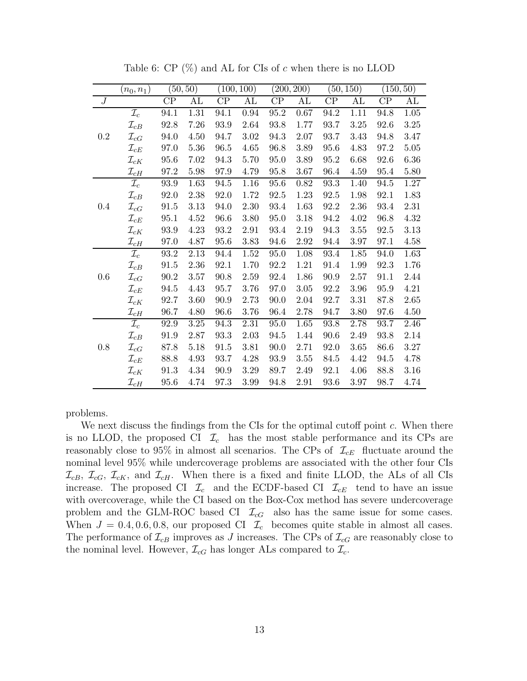|                  | $(n_0, n_1)$       |      | (50, 50) |      | (100, 100) |          | (200, 200) |      | (50, 150) |      | (150, 50) |
|------------------|--------------------|------|----------|------|------------|----------|------------|------|-----------|------|-----------|
| $\boldsymbol{J}$ |                    | CP   | AL       | CP   | AL         | CP       | AL         | CP   | AL        | CP   | AL        |
|                  | $\mathcal{I}_c$    | 94.1 | 1.31     | 94.1 | 0.94       | 95.2     | 0.67       | 94.2 | 1.11      | 94.8 | $1.05\,$  |
|                  | $\mathcal{I}_{cB}$ | 92.8 | 7.26     | 93.9 | 2.64       | 93.8     | 1.77       | 93.7 | 3.25      | 92.6 | $3.25\,$  |
| $\rm 0.2$        | $\mathcal{I}_{cG}$ | 94.0 | 4.50     | 94.7 | $3.02\,$   | 94.3     | 2.07       | 93.7 | 3.43      | 94.8 | 3.47      |
|                  | $\mathcal{I}_{cE}$ | 97.0 | 5.36     | 96.5 | 4.65       | 96.8     | 3.89       | 95.6 | 4.83      | 97.2 | 5.05      |
|                  | $\mathcal{I}_{cK}$ | 95.6 | 7.02     | 94.3 | 5.70       | 95.0     | 3.89       | 95.2 | 6.68      | 92.6 | 6.36      |
|                  | $\mathcal{I}_{cH}$ | 97.2 | 5.98     | 97.9 | 4.79       | 95.8     | 3.67       | 96.4 | 4.59      | 95.4 | 5.80      |
|                  | $\mathcal{I}_c$    | 93.9 | 1.63     | 94.5 | 1.16       | 95.6     | 0.82       | 93.3 | 1.40      | 94.5 | 1.27      |
|                  | $\mathcal{I}_{cB}$ | 92.0 | 2.38     | 92.0 | 1.72       | 92.5     | 1.23       | 92.5 | 1.98      | 92.1 | 1.83      |
| $0.4\,$          | $\mathcal{I}_{cG}$ | 91.5 | 3.13     | 94.0 | 2.30       | 93.4     | 1.63       | 92.2 | 2.36      | 93.4 | 2.31      |
|                  | $\mathcal{I}_{cE}$ | 95.1 | 4.52     | 96.6 | 3.80       | $95.0\,$ | 3.18       | 94.2 | 4.02      | 96.8 | 4.32      |
|                  | $\mathcal{I}_{cK}$ | 93.9 | 4.23     | 93.2 | 2.91       | 93.4     | 2.19       | 94.3 | $3.55\,$  | 92.5 | 3.13      |
|                  | $\mathcal{I}_{cH}$ | 97.0 | 4.87     | 95.6 | 3.83       | 94.6     | 2.92       | 94.4 | 3.97      | 97.1 | 4.58      |
|                  | $\mathcal{I}_c$    | 93.2 | 2.13     | 94.4 | $1.52\,$   | 95.0     | 1.08       | 93.4 | 1.85      | 94.0 | 1.63      |
|                  | $\mathcal{I}_{cB}$ | 91.5 | 2.36     | 92.1 | 1.70       | 92.2     | $1.21\,$   | 91.4 | 1.99      | 92.3 | 1.76      |
| 0.6              | $\mathcal{I}_{cG}$ | 90.2 | 3.57     | 90.8 | 2.59       | 92.4     | 1.86       | 90.9 | 2.57      | 91.1 | 2.44      |
|                  | $\mathcal{I}_{cE}$ | 94.5 | 4.43     | 95.7 | 3.76       | 97.0     | $3.05\,$   | 92.2 | 3.96      | 95.9 | 4.21      |
|                  | $\mathcal{I}_{cK}$ | 92.7 | 3.60     | 90.9 | 2.73       | 90.0     | 2.04       | 92.7 | 3.31      | 87.8 | 2.65      |
|                  | $\mathcal{I}_{cH}$ | 96.7 | 4.80     | 96.6 | 3.76       | 96.4     | 2.78       | 94.7 | 3.80      | 97.6 | 4.50      |
|                  | $\mathcal{I}_c$    | 92.9 | 3.25     | 94.3 | 2.31       | 95.0     | 1.65       | 93.8 | 2.78      | 93.7 | 2.46      |
|                  | $\mathcal{I}_{cB}$ | 91.9 | 2.87     | 93.3 | 2.03       | 94.5     | 1.44       | 90.6 | 2.49      | 93.8 | 2.14      |
| 0.8              | $\mathcal{I}_{cG}$ | 87.8 | 5.18     | 91.5 | 3.81       | 90.0     | 2.71       | 92.0 | $3.65\,$  | 86.6 | $3.27\,$  |
|                  | $\mathcal{I}_{cE}$ | 88.8 | 4.93     | 93.7 | 4.28       | 93.9     | 3.55       | 84.5 | 4.42      | 94.5 | 4.78      |
|                  | $\mathcal{I}_{cK}$ | 91.3 | 4.34     | 90.9 | 3.29       | 89.7     | 2.49       | 92.1 | 4.06      | 88.8 | 3.16      |
|                  | $\mathcal{I}_{cH}$ | 95.6 | 4.74     | 97.3 | 3.99       | 94.8     | 2.91       | 93.6 | 3.97      | 98.7 | 4.74      |

Table 6:  $CP$  (%) and AL for CIs of c when there is no LLOD

problems.

We next discuss the findings from the CIs for the optimal cutoff point c. When there is no LLOD, the proposed CI  $\mathcal{I}_c$  has the most stable performance and its CPs are reasonably close to 95% in almost all scenarios. The CPs of  $\mathcal{I}_{cE}$  fluctuate around the nominal level 95% while undercoverage problems are associated with the other four CIs  $\mathcal{I}_{cB}, \mathcal{I}_{cG}, \mathcal{I}_{cK}, \mathcal{I}_{cK}$ , and  $\mathcal{I}_{cH}$ . When there is a fixed and finite LLOD, the ALs of all CIs increase. The proposed CI  $\mathcal{I}_c$  and the ECDF-based CI  $\mathcal{I}_{cE}$  tend to have an issue with overcoverage, while the CI based on the Box-Cox method has severe undercoverage problem and the GLM-ROC based CI  $\mathcal{I}_{cG}$  also has the same issue for some cases. When  $J = 0.4, 0.6, 0.8$ , our proposed CI  $\mathcal{I}_c$  becomes quite stable in almost all cases. The performance of  $\mathcal{I}_{cB}$  improves as J increases. The CPs of  $\mathcal{I}_{cG}$  are reasonably close to the nominal level. However,  $\mathcal{I}_{cG}$  has longer ALs compared to  $\mathcal{I}_{c}$ .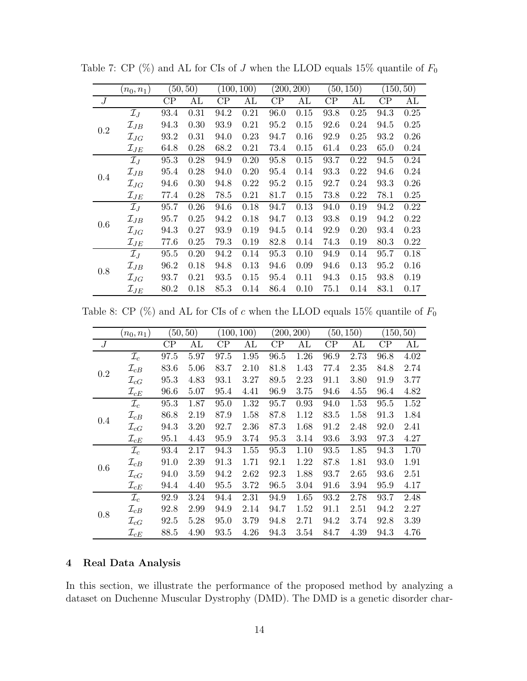|             | $(n_0,n_1)$        |      | (50, 50) |      | (100, 100) |          | (200, 200) |          | (50, 150) |          | (150, 50) |
|-------------|--------------------|------|----------|------|------------|----------|------------|----------|-----------|----------|-----------|
| $J_{\cdot}$ |                    | CP   | AL       | CP   | AL         | $\rm CP$ | AL         | $\rm CP$ | AL        | $\rm CP$ | AL        |
|             | $\mathcal{I}_J$    | 93.4 | 0.31     | 94.2 | 0.21       | 96.0     | 0.15       | 93.8     | 0.25      | 94.3     | 0.25      |
| 0.2         | $\mathcal{I}_{JB}$ | 94.3 | 0.30     | 93.9 | 0.21       | 95.2     | 0.15       | 92.6     | 0.24      | 94.5     | 0.25      |
|             | $\mathcal{I}_{JG}$ | 93.2 | 0.31     | 94.0 | 0.23       | 94.7     | 0.16       | 92.9     | 0.25      | 93.2     | 0.26      |
|             | $\mathcal{I}_{JE}$ | 64.8 | 0.28     | 68.2 | 0.21       | 73.4     | 0.15       | 61.4     | 0.23      | 65.0     | 0.24      |
|             | $\mathcal{I}_J$    | 95.3 | 0.28     | 94.9 | 0.20       | 95.8     | 0.15       | 93.7     | 0.22      | 94.5     | 0.24      |
| 0.4         | $\mathcal{I}_{JB}$ | 95.4 | 0.28     | 94.0 | 0.20       | 95.4     | 0.14       | 93.3     | 0.22      | 94.6     | 0.24      |
|             | $\mathcal{I}_{JG}$ | 94.6 | 0.30     | 94.8 | 0.22       | 95.2     | 0.15       | 92.7     | 0.24      | 93.3     | 0.26      |
|             | $\mathcal{I}_{JE}$ | 77.4 | 0.28     | 78.5 | 0.21       | 81.7     | 0.15       | 73.8     | 0.22      | 78.1     | 0.25      |
|             | $\mathcal{I}_J$    | 95.7 | 0.26     | 94.6 | 0.18       | 94.7     | 0.13       | 94.0     | 0.19      | 94.2     | 0.22      |
| 0.6         | $\mathcal{I}_{JB}$ | 95.7 | 0.25     | 94.2 | 0.18       | 94.7     | 0.13       | 93.8     | 0.19      | 94.2     | 0.22      |
|             | $\mathcal{I}_{JG}$ | 94.3 | 0.27     | 93.9 | 0.19       | 94.5     | 0.14       | 92.9     | 0.20      | 93.4     | 0.23      |
|             | $\mathcal{I}_{JE}$ | 77.6 | 0.25     | 79.3 | 0.19       | 82.8     | 0.14       | 74.3     | 0.19      | 80.3     | 0.22      |
|             | $\mathcal{I}_J$    | 95.5 | 0.20     | 94.2 | 0.14       | 95.3     | 0.10       | 94.9     | 0.14      | 95.7     | 0.18      |
| 0.8         | $\mathcal{I}_{JB}$ | 96.2 | 0.18     | 94.8 | 0.13       | 94.6     | 0.09       | 94.6     | 0.13      | 95.2     | 0.16      |
|             | $\mathcal{I}_{JG}$ | 93.7 | 0.21     | 93.5 | 0.15       | 95.4     | 0.11       | 94.3     | 0.15      | 93.8     | 0.19      |
|             | $\mathcal{I}_{JE}$ | 80.2 | 0.18     | 85.3 | 0.14       | 86.4     | 0.10       | 75.1     | 0.14      | 83.1     | 0.17      |

Table 7: CP (%) and AL for CIs of J when the LLOD equals 15% quantile of  $F_0$ 

<span id="page-13-1"></span>Table 8: CP  $(\%)$  and AL for CIs of c when the LLOD equals 15% quantile of  $F_0$ 

|     | $(n_0,n_1)$        |          | (50, 50) |          | (100, 100) |          | (200, 200) |          | (50, 150) |          | (150, 50) |
|-----|--------------------|----------|----------|----------|------------|----------|------------|----------|-----------|----------|-----------|
| J   |                    | $\rm CP$ | AL       | $\rm CP$ | AL         | $\rm CP$ | AL         | $\rm CP$ | AL        | $\rm CP$ | AL        |
|     | $\mathcal{I}_c$    | 97.5     | 5.97     | 97.5     | 1.95       | 96.5     | 1.26       | 96.9     | 2.73      | 96.8     | 4.02      |
| 0.2 | $\mathcal{I}_{cB}$ | 83.6     | 5.06     | 83.7     | 2.10       | 81.8     | 1.43       | 77.4     | 2.35      | 84.8     | 2.74      |
|     | $\mathcal{I}_{cG}$ | 95.3     | 4.83     | 93.1     | 3.27       | 89.5     | 2.23       | 91.1     | 3.80      | 91.9     | 3.77      |
|     | $\mathcal{I}_{cE}$ | 96.6     | 5.07     | 95.4     | 4.41       | 96.9     | 3.75       | 94.6     | 4.55      | 96.4     | 4.82      |
|     | $\mathcal{I}_c$    | 95.3     | 1.87     | 95.0     | 1.32       | 95.7     | 0.93       | 94.0     | 1.53      | 95.5     | 1.52      |
| 0.4 | $\mathcal{I}_{cB}$ | 86.8     | 2.19     | 87.9     | 1.58       | 87.8     | 1.12       | 83.5     | 1.58      | 91.3     | 1.84      |
|     | $\mathcal{I}_{cG}$ | 94.3     | 3.20     | 92.7     | 2.36       | 87.3     | 1.68       | 91.2     | 2.48      | 92.0     | 2.41      |
|     | $\mathcal{I}_{cE}$ | 95.1     | 4.43     | 95.9     | 3.74       | 95.3     | 3.14       | 93.6     | 3.93      | 97.3     | 4.27      |
|     | $\mathcal{I}_c$    | 93.4     | 2.17     | 94.3     | 1.55       | 95.3     | 1.10       | 93.5     | 1.85      | 94.3     | 1.70      |
| 0.6 | $\mathcal{I}_{cB}$ | 91.0     | 2.39     | 91.3     | 1.71       | 92.1     | 1.22       | 87.8     | 1.81      | 93.0     | 1.91      |
|     | $\mathcal{I}_{cG}$ | 94.0     | 3.59     | 94.2     | 2.62       | 92.3     | 1.88       | 93.7     | 2.65      | 93.6     | 2.51      |
|     | $\mathcal{I}_{cE}$ | 94.4     | 4.40     | 95.5     | 3.72       | 96.5     | 3.04       | 91.6     | 3.94      | 95.9     | 4.17      |
|     | $\mathcal{I}_c$    | 92.9     | 3.24     | 94.4     | 2.31       | 94.9     | 1.65       | 93.2     | 2.78      | 93.7     | 2.48      |
| 0.8 | $\mathcal{I}_{cB}$ | 92.8     | 2.99     | 94.9     | 2.14       | 94.7     | 1.52       | 91.1     | 2.51      | 94.2     | 2.27      |
|     | $\mathcal{I}_{cG}$ | 92.5     | 5.28     | 95.0     | 3.79       | 94.8     | 2.71       | 94.2     | 3.74      | 92.8     | 3.39      |
|     | $\mathcal{I}_{cE}$ | 88.5     | 4.90     | 93.5     | 4.26       | 94.3     | 3.54       | 84.7     | 4.39      | 94.3     | 4.76      |

# <span id="page-13-0"></span>4 Real Data Analysis

In this section, we illustrate the performance of the proposed method by analyzing a dataset on Duchenne Muscular Dystrophy (DMD). The DMD is a genetic disorder char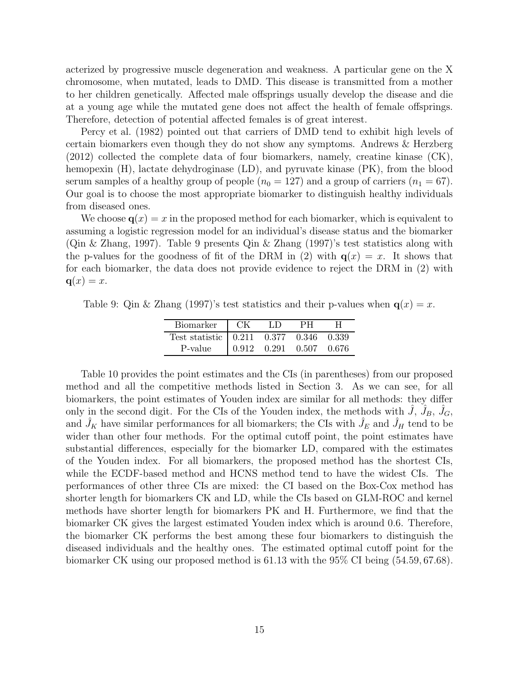acterized by progressive muscle degeneration and weakness. A particular gene on the X chromosome, when mutated, leads to DMD. This disease is transmitted from a mother to her children genetically. Affected male offsprings usually develop the disease and die at a young age while the mutated gene does not affect the health of female offsprings. Therefore, detection of potential affected females is of great interest.

[Percy et al. \(1982\)](#page-21-10) pointed out that carriers of DMD tend to exhibit high levels of certain biomarkers even though they do not show any symptoms. [Andrews & Herzberg](#page-20-6) [\(2012\)](#page-20-6) collected the complete data of four biomarkers, namely, creatine kinase (CK), hemopexin (H), lactate dehydroginase (LD), and pyruvate kinase (PK), from the blood serum samples of a healthy group of people  $(n_0 = 127)$  and a group of carriers  $(n_1 = 67)$ . Our goal is to choose the most appropriate biomarker to distinguish healthy individuals from diseased ones.

We choose  $q(x) = x$  in the proposed method for each biomarker, which is equivalent to assuming a logistic regression model for an individual's disease status and the biomarker [\(Qin & Zhang, 1997\)](#page-22-4). Table [9](#page-14-0) presents [Qin & Zhang \(1997\)](#page-22-4)'s test statistics along with the p-values for the goodness of fit of the DRM in [\(2\)](#page-2-0) with  $q(x) = x$ . It shows that for each biomarker, the data does not provide evidence to reject the DRM in [\(2\)](#page-2-0) with  $q(x) = x$ .

<span id="page-14-0"></span>Table 9: [Qin & Zhang \(1997\)](#page-22-4)'s test statistics and their p-values when  $q(x) = x$ .

| Biomarker                                   | – CK  | LD. | PН              |       |
|---------------------------------------------|-------|-----|-----------------|-------|
| Test statistic   0.211  0.377  0.346  0.339 |       |     |                 |       |
| P-value                                     | 0.912 |     | $0.291$ $0.507$ | 0.676 |

Table [10](#page-15-1) provides the point estimates and the CIs (in parentheses) from our proposed method and all the competitive methods listed in Section [3.](#page-6-0) As we can see, for all biomarkers, the point estimates of Youden index are similar for all methods: they differ only in the second digit. For the CIs of the Youden index, the methods with  $\hat{J}$ ,  $\hat{J}_B$ ,  $\hat{J}_G$ , and  $\hat{J}_K$  have similar performances for all biomarkers; the CIs with  $\hat{J}_E$  and  $\hat{J}_H$  tend to be wider than other four methods. For the optimal cutoff point, the point estimates have substantial differences, especially for the biomarker LD, compared with the estimates of the Youden index. For all biomarkers, the proposed method has the shortest CIs, while the ECDF-based method and HCNS method tend to have the widest CIs. The performances of other three CIs are mixed: the CI based on the Box-Cox method has shorter length for biomarkers CK and LD, while the CIs based on GLM-ROC and kernel methods have shorter length for biomarkers PK and H. Furthermore, we find that the biomarker CK gives the largest estimated Youden index which is around 0.6. Therefore, the biomarker CK performs the best among these four biomarkers to distinguish the diseased individuals and the healthy ones. The estimated optimal cutoff point for the biomarker CK using our proposed method is 61.13 with the 95% CI being (54.59, 67.68).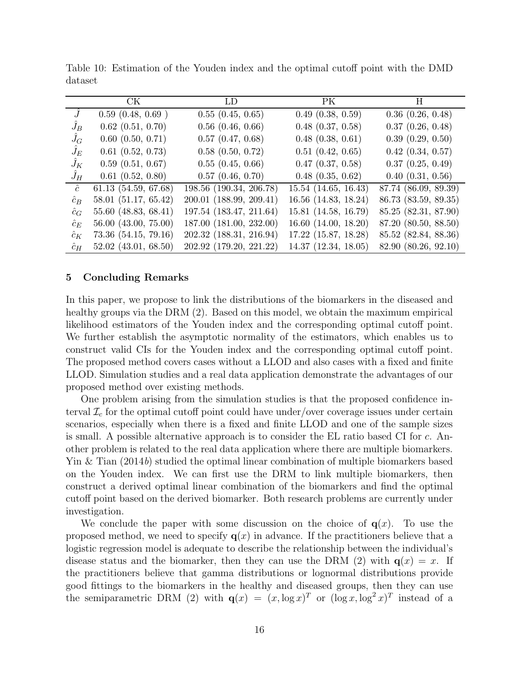|             | CK.                      | LD                      | PK                       | H                     |
|-------------|--------------------------|-------------------------|--------------------------|-----------------------|
|             | 0.59(0.48, 0.69)         | 0.55(0.45, 0.65)        | 0.49(0.38, 0.59)         | $0.36$ $(0.26, 0.48)$ |
| $J_B$       | $0.62$ $(0.51, 0.70)$    | $0.56$ $(0.46, 0.66)$   | $0.48$ $(0.37, 0.58)$    | $0.37$ $(0.26, 0.48)$ |
| $J_G$       | $0.60$ $(0.50, 0.71)$    | $0.57$ $(0.47, 0.68)$   | $0.48$ $(0.38, 0.61)$    | 0.39(0.29, 0.50)      |
| $J_E$       | $0.61$ $(0.52, 0.73)$    | $0.58$ $(0.50, 0.72)$   | 0.51(0.42, 0.65)         | $0.42$ $(0.34, 0.57)$ |
| $J_K$       | $0.59$ $(0.51, 0.67)$    | 0.55(0.45, 0.66)        | $0.47$ $(0.37, 0.58)$    | 0.37(0.25, 0.49)      |
| $J_H$       | $0.61$ $(0.52, 0.80)$    | $0.57$ $(0.46, 0.70)$   | $0.48$ $(0.35, 0.62)$    | $0.40$ $(0.31, 0.56)$ |
| $\hat{c}$   | $61.13$ $(54.59, 67.68)$ | 198.56 (190.34, 206.78) | $15.54$ $(14.65, 16.43)$ | 87.74 (86.09, 89.39)  |
| $\hat{c}_B$ | 58.01(51.17, 65.42)      | 200.01 (188.99, 209.41) | 16.56 (14.83, 18.24)     | 86.73 (83.59, 89.35)  |
| $\hat{c}_G$ | 55.60 (48.83, 68.41)     | 197.54 (183.47, 211.64) | 15.81 (14.58, 16.79)     | 85.25 (82.31, 87.90)  |
| $\hat{c}_E$ | 56.00 (43.00, 75.00)     | 187.00 (181.00, 232.00) | $16.60$ $(14.00, 18.20)$ | 87.20 (80.50, 88.50)  |
| $\hat{c}_K$ | 73.36 (54.15, 79.16)     | 202.32 (188.31, 216.94) | $17.22$ (15.87, 18.28)   | 85.52 (82.84, 88.36)  |
| $\hat{c}_H$ | $52.02$ (43.01, 68.50)   | 202.92 (179.20, 221.22) | $14.37$ $(12.34, 18.05)$ | 82.90 (80.26, 92.10)  |

<span id="page-15-1"></span>Table 10: Estimation of the Youden index and the optimal cutoff point with the DMD dataset

#### <span id="page-15-0"></span>5 Concluding Remarks

In this paper, we propose to link the distributions of the biomarkers in the diseased and healthy groups via the DRM [\(2\)](#page-2-0). Based on this model, we obtain the maximum empirical likelihood estimators of the Youden index and the corresponding optimal cutoff point. We further establish the asymptotic normality of the estimators, which enables us to construct valid CIs for the Youden index and the corresponding optimal cutoff point. The proposed method covers cases without a LLOD and also cases with a fixed and finite LLOD. Simulation studies and a real data application demonstrate the advantages of our proposed method over existing methods.

One problem arising from the simulation studies is that the proposed confidence interval  $\mathcal{I}_c$  for the optimal cutoff point could have under/over coverage issues under certain scenarios, especially when there is a fixed and finite LLOD and one of the sample sizes is small. A possible alternative approach is to consider the EL ratio based CI for c. Another problem is related to the real data application where there are multiple biomarkers. [Yin & Tian \(2014](#page-23-10)b) studied the optimal linear combination of multiple biomarkers based on the Youden index. We can first use the DRM to link multiple biomarkers, then construct a derived optimal linear combination of the biomarkers and find the optimal cutoff point based on the derived biomarker. Both research problems are currently under investigation.

We conclude the paper with some discussion on the choice of  $q(x)$ . To use the proposed method, we need to specify  $q(x)$  in advance. If the practitioners believe that a logistic regression model is adequate to describe the relationship between the individual's disease status and the biomarker, then they can use the DRM [\(2\)](#page-2-0) with  $q(x) = x$ . If the practitioners believe that gamma distributions or lognormal distributions provide good fittings to the biomarkers in the healthy and diseased groups, then they can use the semiparametric DRM [\(2\)](#page-2-0) with  $\mathbf{q}(x) = (x, \log x)^T$  or  $(\log x, \log^2 x)^T$  instead of a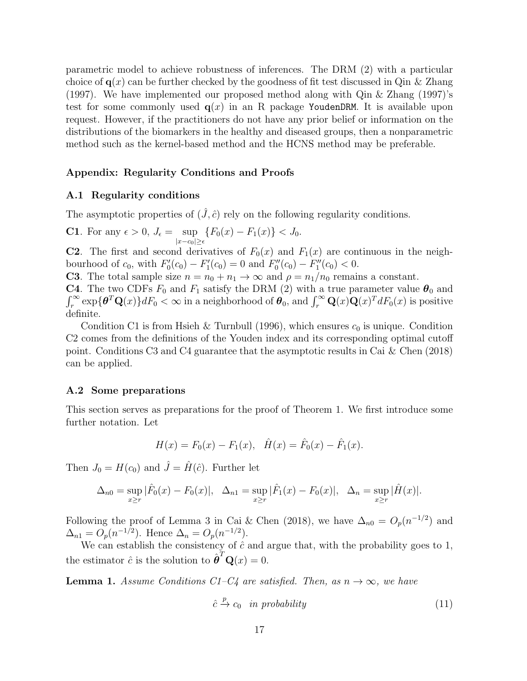parametric model to achieve robustness of inferences. The DRM [\(2\)](#page-2-0) with a particular choice of  $q(x)$  can be further checked by the goodness of fit test discussed in [Qin & Zhang](#page-22-4) [\(1997\)](#page-22-4). We have implemented our proposed method along with [Qin & Zhang \(1997\)](#page-22-4)'s test for some commonly used  $q(x)$  in an R package YoudenDRM. It is available upon request. However, if the practitioners do not have any prior belief or information on the distributions of the biomarkers in the healthy and diseased groups, then a nonparametric method such as the kernel-based method and the HCNS method may be preferable.

## Appendix: Regularity Conditions and Proofs

### A.1 Regularity conditions

The asymptotic properties of  $(\hat{J}, \hat{c})$  rely on the following regularity conditions.

**C1.** For any 
$$
\epsilon > 0
$$
,  $J_{\epsilon} = \sup_{|x - c_0| \ge \epsilon} \{ F_0(x) - F_1(x) \} < J_0$ .

**C2**. The first and second derivatives of  $F_0(x)$  and  $F_1(x)$  are continuous in the neighbourhood of  $c_0$ , with  $F'_0(c_0) - F'_1(c_0) = 0$  and  $F''_0(c_0) - F''_1(c_0) < 0$ .

**C3**. The total sample size  $n = n_0 + n_1 \rightarrow \infty$  and  $\rho = n_1/n_0$  remains a constant.

C4. The two CDFs  $F_0$  and  $F_1$  satisfy the DRM [\(2\)](#page-2-0) with a true parameter value  $\theta_0$  and  $\int_r^{\infty} \exp{\{\theta^T \mathbf{Q}(x)\}} dF_0 < \infty$  in a neighborhood of  $\theta_0$ , and  $\int_r^{\infty} \mathbf{Q}(x) \mathbf{Q}(x)^T dF_0(x)$  is positive definite.

Condition C1 is from [Hsieh & Turnbull \(1996\)](#page-21-4), which ensures  $c_0$  is unique. Condition C2 comes from the definitions of the Youden index and its corresponding optimal cutoff point. Conditions C3 and C4 guarantee that the asymptotic results in [Cai & Chen \(2018\)](#page-21-9) can be applied.

#### A.2 Some preparations

This section serves as preparations for the proof of Theorem 1. We first introduce some further notation. Let

$$
H(x) = F_0(x) - F_1(x), \quad \hat{H}(x) = \hat{F}_0(x) - \hat{F}_1(x).
$$

Then  $J_0 = H(c_0)$  and  $\hat{J} = \hat{H}(\hat{c})$ . Further let

$$
\Delta_{n0} = \sup_{x \ge r} |\hat{F}_0(x) - F_0(x)|, \quad \Delta_{n1} = \sup_{x \ge r} |\hat{F}_1(x) - F_0(x)|, \quad \Delta_n = \sup_{x \ge r} |\hat{H}(x)|.
$$

Following the proof of Lemma 3 in [Cai & Chen \(2018](#page-21-9)), we have  $\Delta_{n0} = O_p(n^{-1/2})$  and  $\Delta_{n1} = O_p(n^{-1/2})$ . Hence  $\Delta_n = O_p(n^{-1/2})$ .

We can establish the consistency of  $\hat{c}$  and argue that, with the probability goes to 1, the estimator  $\hat{c}$  is the solution to  $\hat{\boldsymbol{\theta}}^T \mathbf{Q}(x) = 0$ .

**Lemma 1.** Assume Conditions C1–C4 are satisfied. Then, as  $n \to \infty$ , we have

<span id="page-16-0"></span>
$$
\hat{c} \xrightarrow{p} c_0 \quad in \ probability \tag{11}
$$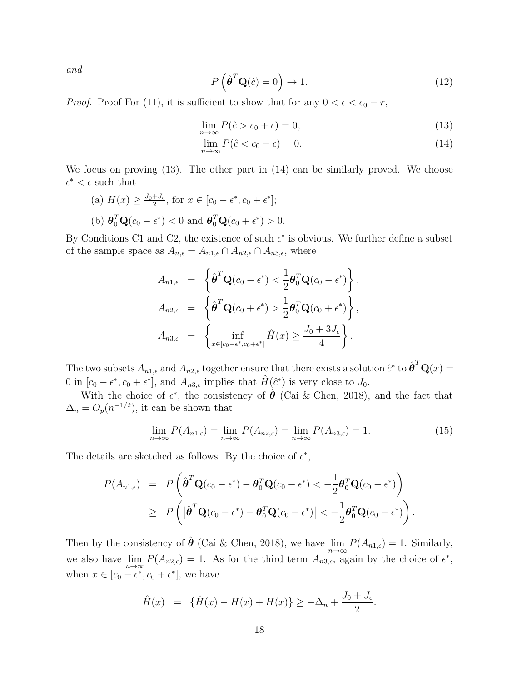and

<span id="page-17-2"></span>
$$
P\left(\hat{\boldsymbol{\theta}}^T \mathbf{Q}(\hat{c}) = 0\right) \to 1. \tag{12}
$$

*Proof.* Proof For [\(11\)](#page-16-0), it is sufficient to show that for any  $0 < \epsilon < c_0 - r$ ,

<span id="page-17-0"></span>
$$
\lim_{n \to \infty} P(\hat{c} > c_0 + \epsilon) = 0,\tag{13}
$$

$$
\lim_{n \to \infty} P(\hat{c} < c_0 - \epsilon) = 0. \tag{14}
$$

We focus on proving [\(13\)](#page-17-0). The other part in [\(14\)](#page-17-0) can be similarly proved. We choose  $\epsilon^* < \epsilon$  such that

(a)  $H(x) \geq \frac{J_0 + J_{\epsilon}}{2}$  $\frac{+J_{\epsilon}}{2}$ , for  $x \in [c_0 - \epsilon^*, c_0 + \epsilon^*];$ (b)  $\boldsymbol{\theta}_0^T \mathbf{Q}(c_0 - \epsilon^*) < 0$  and  $\boldsymbol{\theta}_0^T \mathbf{Q}(c_0 + \epsilon^*) > 0$ .

By Conditions C1 and C2, the existence of such  $\epsilon^*$  is obvious. We further define a subset of the sample space as  $A_{n,\epsilon} = A_{n1,\epsilon} \cap A_{n2,\epsilon} \cap A_{n3,\epsilon}$ , where

$$
A_{n1,\epsilon} = \left\{ \hat{\boldsymbol{\theta}}^T \mathbf{Q}(c_0 - \epsilon^*) < \frac{1}{2} \boldsymbol{\theta}_0^T \mathbf{Q}(c_0 - \epsilon^*) \right\},
$$
  
\n
$$
A_{n2,\epsilon} = \left\{ \hat{\boldsymbol{\theta}}^T \mathbf{Q}(c_0 + \epsilon^*) > \frac{1}{2} \boldsymbol{\theta}_0^T \mathbf{Q}(c_0 + \epsilon^*) \right\},
$$
  
\n
$$
A_{n3,\epsilon} = \left\{ \inf_{x \in [c_0 - \epsilon^*, c_0 + \epsilon^*]} \hat{H}(x) \ge \frac{J_0 + 3J_{\epsilon}}{4} \right\}.
$$

The two subsets  $A_{n1,\epsilon}$  and  $A_{n2,\epsilon}$  together ensure that there exists a solution  $\hat{c}^*$  to  $\hat{\boldsymbol{\theta}}^T \mathbf{Q}(x) =$ 0 in  $[c_0 - \epsilon^*, c_0 + \epsilon^*]$ , and  $A_{n3,\epsilon}$  implies that  $\hat{H}(\hat{c}^*)$  is very close to  $J_0$ .

With the choice of  $\epsilon^*$ , the consistency of  $\hat{\theta}$  [\(Cai & Chen, 2018\)](#page-21-9), and the fact that  $\Delta_n = O_p(n^{-1/2})$ , it can be shown that

<span id="page-17-1"></span>
$$
\lim_{n \to \infty} P(A_{n1,\epsilon}) = \lim_{n \to \infty} P(A_{n2,\epsilon}) = \lim_{n \to \infty} P(A_{n3,\epsilon}) = 1.
$$
\n(15)

The details are sketched as follows. By the choice of  $\epsilon^*$ ,

$$
P(A_{n1,\epsilon}) = P\left(\hat{\boldsymbol{\theta}}^T \mathbf{Q}(c_0 - \epsilon^*) - \boldsymbol{\theta}_0^T \mathbf{Q}(c_0 - \epsilon^*) < -\frac{1}{2} \boldsymbol{\theta}_0^T \mathbf{Q}(c_0 - \epsilon^*)\right)
$$
  
\n
$$
\geq P\left(|\hat{\boldsymbol{\theta}}^T \mathbf{Q}(c_0 - \epsilon^*) - \boldsymbol{\theta}_0^T \mathbf{Q}(c_0 - \epsilon^*)| < -\frac{1}{2} \boldsymbol{\theta}_0^T \mathbf{Q}(c_0 - \epsilon^*)\right).
$$

Then by the consistency of  $\hat{\theta}$  [\(Cai & Chen, 2018\)](#page-21-9), we have  $\lim_{n\to\infty} P(A_{n1,\epsilon}) = 1$ . Similarly, we also have  $\lim_{n\to\infty} P(A_{n2,\epsilon}) = 1$ . As for the third term  $A_{n3,\epsilon}$ , again by the choice of  $\epsilon^*$ , when  $x \in [c_0 - \epsilon^*, c_0 + \epsilon^*]$ , we have

$$
\hat{H}(x) = {\hat{H}(x) - H(x) + H(x)} \ge -\Delta_n + \frac{J_0 + J_{\epsilon}}{2}.
$$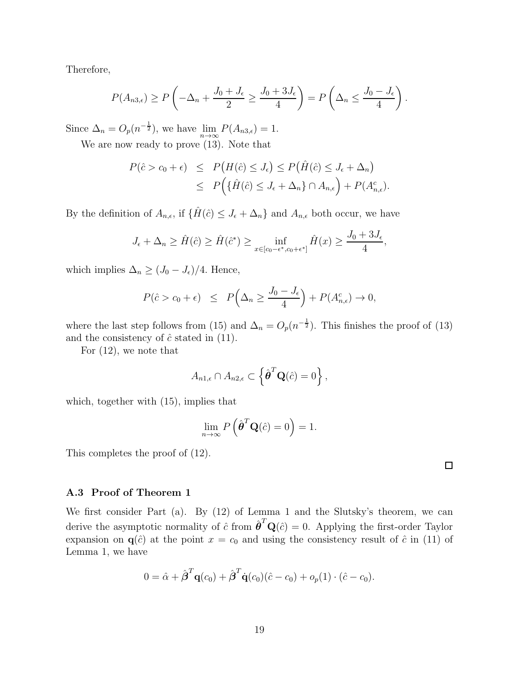Therefore,

$$
P(A_{n3,\epsilon}) \ge P\left(-\Delta_n + \frac{J_0 + J_{\epsilon}}{2} \ge \frac{J_0 + 3J_{\epsilon}}{4}\right) = P\left(\Delta_n \le \frac{J_0 - J_{\epsilon}}{4}\right).
$$

Since  $\Delta_n = O_p(n^{-\frac{1}{2}})$ , we have  $\lim_{n \to \infty} P(A_{n3,\epsilon}) = 1$ .

We are now ready to prove [\(13\)](#page-17-0). Note that

$$
P(\hat{c} > c_0 + \epsilon) \le P(H(\hat{c}) \le J_{\epsilon}) \le P(\hat{H}(\hat{c}) \le J_{\epsilon} + \Delta_n)
$$
  

$$
\le P(\{\hat{H}(\hat{c}) \le J_{\epsilon} + \Delta_n\} \cap A_{n,\epsilon}) + P(A_{n,\epsilon}^c).
$$

By the definition of  $A_{n,\epsilon}$ , if  $\{\hat{H}(\hat{c}) \leq J_{\epsilon} + \Delta_n\}$  and  $A_{n,\epsilon}$  both occur, we have

$$
J_{\epsilon} + \Delta_n \ge \hat{H}(\hat{c}) \ge \hat{H}(\hat{c}^*) \ge \inf_{x \in [c_0 - \epsilon^*, c_0 + \epsilon^*]} \hat{H}(x) \ge \frac{J_0 + 3J_{\epsilon}}{4},
$$

which implies  $\Delta_n \geq (J_0 - J_\epsilon)/4$ . Hence,

$$
P(\hat{c} > c_0 + \epsilon) \leq P\left(\Delta_n \geq \frac{J_0 - J_{\epsilon}}{4}\right) + P(A_{n,\epsilon}^c) \to 0,
$$

where the last step follows from [\(15\)](#page-17-1) and  $\Delta_n = O_p(n^{-\frac{1}{2}})$ . This finishes the proof of [\(13\)](#page-17-0) and the consistency of  $\hat{c}$  stated in [\(11\)](#page-16-0).

For [\(12\)](#page-17-2), we note that

$$
A_{n1,\epsilon} \cap A_{n2,\epsilon} \subset \left\{ \hat{\boldsymbol{\theta}}^T \mathbf{Q}(\hat{c}) = 0 \right\},\,
$$

which, together with [\(15\)](#page-17-1), implies that

$$
\lim_{n \to \infty} P\left(\hat{\boldsymbol{\theta}}^T \mathbf{Q}(\hat{c}) = 0\right) = 1.
$$

This completes the proof of [\(12\)](#page-17-2).

# A.3 Proof of Theorem 1

We first consider Part (a). By [\(12\)](#page-17-2) of Lemma 1 and the Slutsky's theorem, we can derive the asymptotic normality of  $\hat{c}$  from  $\hat{\boldsymbol{\theta}}^T \mathbf{Q}(\hat{c}) = 0$ . Applying the first-order Taylor expansion on  $q(\hat{c})$  at the point  $x = c_0$  and using the consistency result of  $\hat{c}$  in [\(11\)](#page-16-0) of Lemma 1, we have

$$
0 = \hat{\alpha} + \hat{\beta}^T \mathbf{q}(c_0) + \hat{\beta}^T \dot{\mathbf{q}}(c_0)(\hat{c} - c_0) + o_p(1) \cdot (\hat{c} - c_0).
$$

 $\Box$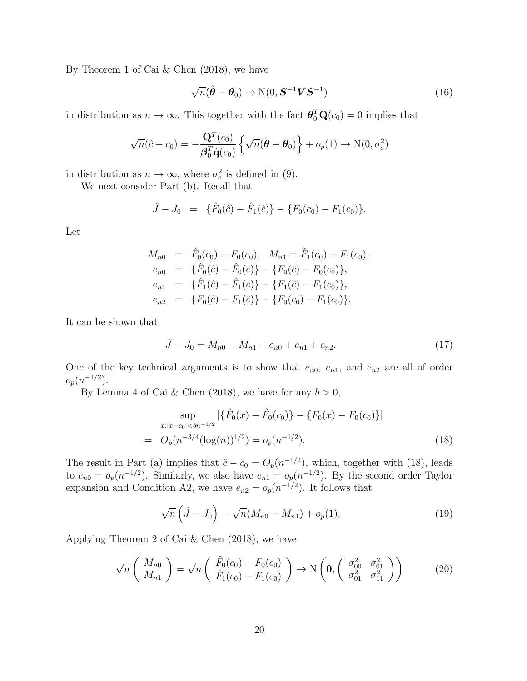By Theorem 1 of [Cai & Chen \(2018](#page-21-9)), we have

$$
\sqrt{n}(\hat{\boldsymbol{\theta}} - \boldsymbol{\theta}_0) \rightarrow \mathcal{N}(0, \boldsymbol{S}^{-1} \boldsymbol{V} \boldsymbol{S}^{-1})
$$
\n(16)

in distribution as  $n \to \infty$ . This together with the fact  $\boldsymbol{\theta}_0^T \mathbf{Q}(c_0) = 0$  implies that

$$
\sqrt{n}(\hat{c} - c_0) = -\frac{\mathbf{Q}^T(c_0)}{\boldsymbol{\beta}_0^T \dot{\mathbf{q}}(c_0)} \left\{ \sqrt{n}(\hat{\boldsymbol{\theta}} - \boldsymbol{\theta}_0) \right\} + o_p(1) \rightarrow \mathrm{N}(0, \sigma_c^2)
$$

in distribution as  $n \to \infty$ , where  $\sigma_c^2$  is defined in [\(9\)](#page-5-0).

We next consider Part (b). Recall that

$$
\hat{J} - J_0 = \{\hat{F}_0(\hat{c}) - \hat{F}_1(\hat{c})\} - \{F_0(c_0) - F_1(c_0)\}.
$$

Let

$$
M_{n0} = \hat{F}_0(c_0) - F_0(c_0), \quad M_{n1} = \hat{F}_1(c_0) - F_1(c_0),
$$
  
\n
$$
e_{n0} = \{\hat{F}_0(\hat{c}) - \hat{F}_0(c)\} - \{F_0(\hat{c}) - F_0(c_0)\},
$$
  
\n
$$
e_{n1} = \{\hat{F}_1(\hat{c}) - \hat{F}_1(c)\} - \{F_1(\hat{c}) - F_1(c_0)\},
$$
  
\n
$$
e_{n2} = \{F_0(\hat{c}) - F_1(\hat{c})\} - \{F_0(c_0) - F_1(c_0)\}.
$$

It can be shown that

$$
\hat{J} - J_0 = M_{n0} - M_{n1} + e_{n0} + e_{n1} + e_{n2}.
$$
\n(17)

One of the key technical arguments is to show that  $e_{n0}$ ,  $e_{n1}$ , and  $e_{n2}$  are all of order  $o_p(n^{-1/2})$ .

By Lemma 4 of [Cai & Chen \(2018](#page-21-9)), we have for any  $b > 0$ ,

<span id="page-19-0"></span>
$$
\sup_{x:|x-c_0|< bn^{-1/2}} |\{\hat{F}_0(x) - \hat{F}_0(c_0)\} - \{F_0(x) - F_0(c_0)\}|
$$
\n
$$
= O_p(n^{-3/4}(\log(n))^{1/2}) = o_p(n^{-1/2}).
$$
\n(18)

The result in Part (a) implies that  $\hat{c} - c_0 = O_p(n^{-1/2})$ , which, together with [\(18\)](#page-19-0), leads to  $e_{n0} = o_p(n^{-1/2})$ . Similarly, we also have  $e_{n1} = o_p(n^{-1/2})$ . By the second order Taylor expansion and Condition A2, we have  $e_{n2} = o_p(n^{-1/2})$ . It follows that

$$
\sqrt{n}\left(\hat{J} - J_0\right) = \sqrt{n}(M_{n0} - M_{n1}) + o_p(1). \tag{19}
$$

Applying Theorem 2 of [Cai & Chen \(2018\)](#page-21-9), we have

$$
\sqrt{n}\left(\begin{array}{c} M_{n0} \\ M_{n1} \end{array}\right) = \sqrt{n}\left(\begin{array}{c} \hat{F}_0(c_0) - F_0(c_0) \\ \hat{F}_1(c_0) - F_1(c_0) \end{array}\right) \to \mathcal{N}\left(\mathbf{0}, \begin{pmatrix} \sigma_{00}^2 & \sigma_{01}^2 \\ \sigma_{01}^2 & \sigma_{11}^2 \end{pmatrix}\right) \tag{20}
$$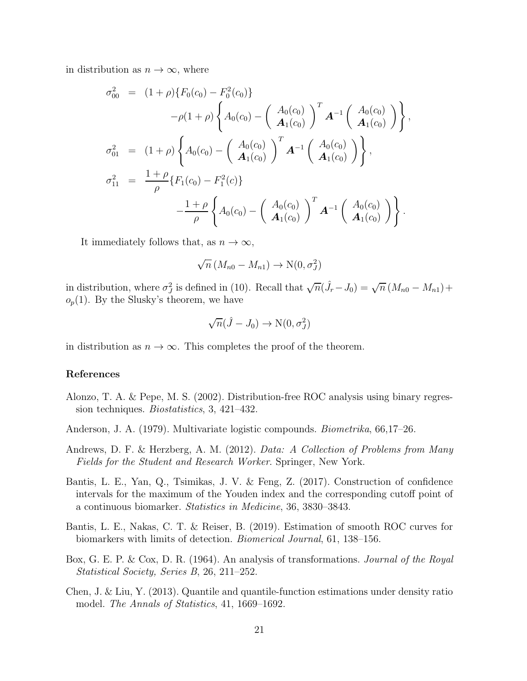in distribution as  $n \to \infty$ , where

$$
\sigma_{00}^{2} = (1+\rho)\{F_{0}(c_{0}) - F_{0}^{2}(c_{0})\}\n-\rho(1+\rho)\left\{A_{0}(c_{0}) - \left(\begin{array}{c} A_{0}(c_{0}) \\ A_{1}(c_{0}) \end{array}\right)^{T} A^{-1} \left(\begin{array}{c} A_{0}(c_{0}) \\ A_{1}(c_{0}) \end{array}\right)\right\},\n\sigma_{01}^{2} = (1+\rho)\left\{A_{0}(c_{0}) - \left(\begin{array}{c} A_{0}(c_{0}) \\ A_{1}(c_{0}) \end{array}\right)^{T} A^{-1} \left(\begin{array}{c} A_{0}(c_{0}) \\ A_{1}(c_{0}) \end{array}\right)\right\},\n\sigma_{11}^{2} = \frac{1+\rho}{\rho}\left\{F_{1}(c_{0}) - F_{1}^{2}(c)\right\}\n-\frac{1+\rho}{\rho}\left\{A_{0}(c_{0}) - \left(\begin{array}{c} A_{0}(c_{0}) \\ A_{1}(c_{0}) \end{array}\right)^{T} A^{-1} \left(\begin{array}{c} A_{0}(c_{0}) \\ A_{1}(c_{0}) \end{array}\right)\right\}.
$$

It immediately follows that, as  $n \to \infty$ ,

$$
\sqrt{n}\left(M_{n0} - M_{n1}\right) \to \mathcal{N}(0, \sigma_J^2)
$$

in distribution, where  $\sigma_j^2$  is defined in [\(10\)](#page-5-1). Recall that  $\sqrt{n}(\hat{J}_r - J_0) = \sqrt{n} (M_{n0} - M_{n1}) +$  $o_p(1)$ . By the Slusky's theorem, we have

$$
\sqrt{n}(\hat{J}-J_0)\to \mathcal{N}(0,\sigma^2_J)
$$

in distribution as  $n \to \infty$ . This completes the proof of the theorem.

#### References

- <span id="page-20-3"></span>Alonzo, T. A. & Pepe, M. S. (2002). Distribution-free ROC analysis using binary regression techniques. *Biostatistics*, 3, 421–432.
- <span id="page-20-4"></span>Anderson, J. A. (1979). Multivariate logistic compounds. Biometrika, 66,17–26.
- <span id="page-20-6"></span>Andrews, D. F. & Herzberg, A. M. (2012). Data: A Collection of Problems from Many Fields for the Student and Research Worker. Springer, New York.
- <span id="page-20-1"></span>Bantis, L. E., Yan, Q., Tsimikas, J. V. & Feng, Z. (2017). Construction of confidence intervals for the maximum of the Youden index and the corresponding cutoff point of a continuous biomarker. Statistics in Medicine, 36, 3830–3843.
- <span id="page-20-2"></span>Bantis, L. E., Nakas, C. T. & Reiser, B. (2019). Estimation of smooth ROC curves for biomarkers with limits of detection. Biomerical Journal, 61, 138–156.
- <span id="page-20-0"></span>Box, G. E. P. & Cox, D. R. (1964). An analysis of transformations. Journal of the Royal Statistical Society, Series B, 26, 211–252.
- <span id="page-20-5"></span>Chen, J. & Liu, Y. (2013). Quantile and quantile-function estimations under density ratio model. The Annals of Statistics, 41, 1669–1692.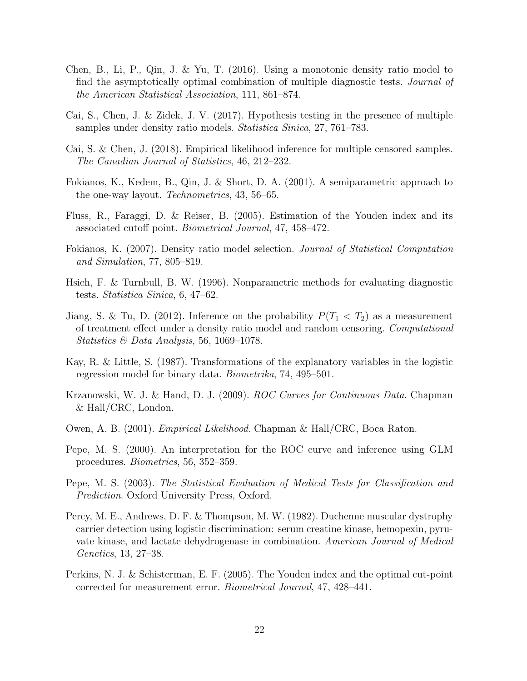- <span id="page-21-2"></span>Chen, B., Li, P., Qin, J. & Yu, T. (2016). Using a monotonic density ratio model to find the asymptotically optimal combination of multiple diagnostic tests. Journal of the American Statistical Association, 111, 861–874.
- <span id="page-21-7"></span>Cai, S., Chen, J. & Zidek, J. V. (2017). Hypothesis testing in the presence of multiple samples under density ratio models. Statistica Sinica, 27, 761–783.
- <span id="page-21-9"></span>Cai, S. & Chen, J. (2018). Empirical likelihood inference for multiple censored samples. The Canadian Journal of Statistics, 46, 212–232.
- Fokianos, K., Kedem, B., Qin, J. & Short, D. A. (2001). A semiparametric approach to the one-way layout. Technometrics, 43, 56–65.
- <span id="page-21-3"></span>Fluss, R., Faraggi, D. & Reiser, B. (2005). Estimation of the Youden index and its associated cutoff point. Biometrical Journal, 47, 458–472.
- Fokianos, K. (2007). Density ratio model selection. Journal of Statistical Computation and Simulation, 77, 805–819.
- <span id="page-21-4"></span>Hsieh, F. & Turnbull, B. W. (1996). Nonparametric methods for evaluating diagnostic tests. Statistica Sinica, 6, 47–62.
- <span id="page-21-6"></span>Jiang, S. & Tu, D. (2012). Inference on the probability  $P(T_1 < T_2)$  as a measurement of treatment effect under a density ratio model and random censoring. Computational Statistics & Data Analysis, 56, 1069–1078.
- Kay, R. & Little, S. (1987). Transformations of the explanatory variables in the logistic regression model for binary data. Biometrika, 74, 495–501.
- <span id="page-21-1"></span>Krzanowski, W. J. & Hand, D. J. (2009). ROC Curves for Continuous Data. Chapman & Hall/CRC, London.
- <span id="page-21-8"></span>Owen, A. B. (2001). Empirical Likelihood. Chapman & Hall/CRC, Boca Raton.
- <span id="page-21-5"></span>Pepe, M. S. (2000). An interpretation for the ROC curve and inference using GLM procedures. Biometrics, 56, 352–359.
- <span id="page-21-0"></span>Pepe, M. S. (2003). The Statistical Evaluation of Medical Tests for Classification and Prediction. Oxford University Press, Oxford.
- <span id="page-21-10"></span>Percy, M. E., Andrews, D. F. & Thompson, M. W. (1982). Duchenne muscular dystrophy carrier detection using logistic discrimination: serum creatine kinase, hemopexin, pyruvate kinase, and lactate dehydrogenase in combination. American Journal of Medical Genetics, 13, 27–38.
- Perkins, N. J. & Schisterman, E. F. (2005). The Youden index and the optimal cut-point corrected for measurement error. Biometrical Journal, 47, 428–441.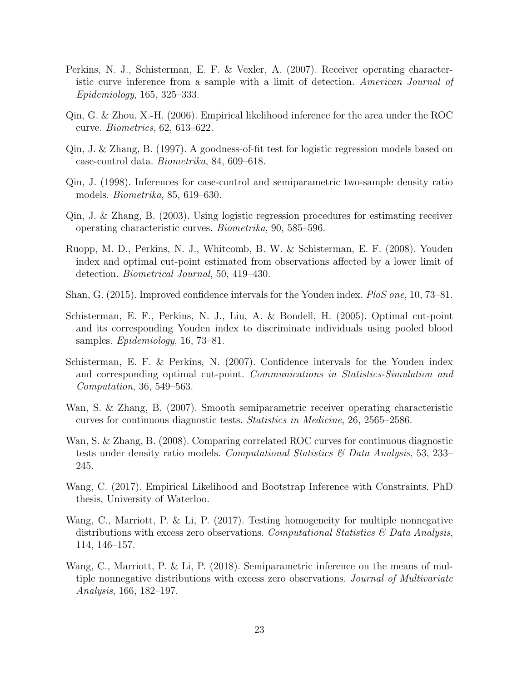- Perkins, N. J., Schisterman, E. F. & Vexler, A. (2007). Receiver operating characteristic curve inference from a sample with a limit of detection. American Journal of Epidemiology, 165, 325–333.
- <span id="page-22-6"></span>Qin, G. & Zhou, X.-H. (2006). Empirical likelihood inference for the area under the ROC curve. Biometrics, 62, 613–622.
- <span id="page-22-4"></span>Qin, J. & Zhang, B. (1997). A goodness-of-fit test for logistic regression models based on case-control data. Biometrika, 84, 609–618.
- Qin, J. (1998). Inferences for case-control and semiparametric two-sample density ratio models. Biometrika, 85, 619–630.
- <span id="page-22-3"></span>Qin, J. & Zhang, B. (2003). Using logistic regression procedures for estimating receiver operating characteristic curves. Biometrika, 90, 585–596.
- <span id="page-22-2"></span>Ruopp, M. D., Perkins, N. J., Whitcomb, B. W. & Schisterman, E. F. (2008). Youden index and optimal cut-point estimated from observations affected by a lower limit of detection. Biometrical Journal, 50, 419–430.
- <span id="page-22-0"></span>Shan, G. (2015). Improved confidence intervals for the Youden index. PloS one, 10, 73–81.
- Schisterman, E. F., Perkins, N. J., Liu, A. & Bondell, H. (2005). Optimal cut-point and its corresponding Youden index to discriminate individuals using pooled blood samples. Epidemiology, 16, 73–81.
- <span id="page-22-1"></span>Schisterman, E. F. & Perkins, N. (2007). Confidence intervals for the Youden index and corresponding optimal cut-point. Communications in Statistics-Simulation and Computation, 36, 549–563.
- <span id="page-22-5"></span>Wan, S. & Zhang, B. (2007). Smooth semiparametric receiver operating characteristic curves for continuous diagnostic tests. Statistics in Medicine, 26, 2565–2586.
- <span id="page-22-7"></span>Wan, S. & Zhang, B. (2008). Comparing correlated ROC curves for continuous diagnostic tests under density ratio models. Computational Statistics  $\mathscr{C}$  Data Analysis, 53, 233– 245.
- <span id="page-22-10"></span>Wang, C. (2017). Empirical Likelihood and Bootstrap Inference with Constraints. PhD thesis, University of Waterloo.
- <span id="page-22-8"></span>Wang, C., Marriott, P. & Li, P. (2017). Testing homogeneity for multiple nonnegative distributions with excess zero observations. Computational Statistics  $\mathcal{B}$  Data Analysis, 114, 146–157.
- <span id="page-22-9"></span>Wang, C., Marriott, P. & Li, P. (2018). Semiparametric inference on the means of multiple nonnegative distributions with excess zero observations. Journal of Multivariate Analysis, 166, 182–197.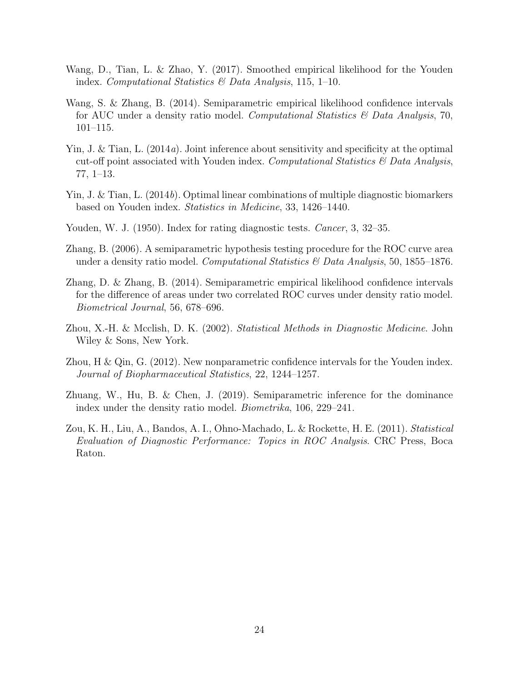- <span id="page-23-5"></span>Wang, D., Tian, L. & Zhao, Y. (2017). Smoothed empirical likelihood for the Youden index. Computational Statistics  $\mathcal{O}(Data Analysis, 115, 1-10)$ .
- <span id="page-23-8"></span>Wang, S. & Zhang, B. (2014). Semiparametric empirical likelihood confidence intervals for AUC under a density ratio model. Computational Statistics & Data Analysis, 70, 101–115.
- <span id="page-23-4"></span>Yin, J. & Tian, L. (2014a). Joint inference about sensitivity and specificity at the optimal cut-off point associated with Youden index. Computational Statistics  $\mathcal{C}$  Data Analysis, 77, 1–13.
- <span id="page-23-10"></span>Yin, J. & Tian, L. (2014b). Optimal linear combinations of multiple diagnostic biomarkers based on Youden index. Statistics in Medicine, 33, 1426–1440.
- <span id="page-23-2"></span>Youden, W. J. (1950). Index for rating diagnostic tests. *Cancer*, 3, 32–35.
- <span id="page-23-7"></span>Zhang, B. (2006). A semiparametric hypothesis testing procedure for the ROC curve area under a density ratio model. Computational Statistics  $\mathcal{B}$  Data Analysis, 50, 1855–1876.
- <span id="page-23-9"></span>Zhang, D. & Zhang, B. (2014). Semiparametric empirical likelihood confidence intervals for the difference of areas under two correlated ROC curves under density ratio model. Biometrical Journal, 56, 678–696.
- <span id="page-23-0"></span>Zhou, X.-H. & Mcclish, D. K. (2002). Statistical Methods in Diagnostic Medicine. John Wiley & Sons, New York.
- <span id="page-23-3"></span>Zhou, H & Qin, G. (2012). New nonparametric confidence intervals for the Youden index. Journal of Biopharmaceutical Statistics, 22, 1244–1257.
- <span id="page-23-6"></span>Zhuang, W., Hu, B. & Chen, J. (2019). Semiparametric inference for the dominance index under the density ratio model. Biometrika, 106, 229–241.
- <span id="page-23-1"></span>Zou, K. H., Liu, A., Bandos, A. I., Ohno-Machado, L. & Rockette, H. E. (2011). Statistical Evaluation of Diagnostic Performance: Topics in ROC Analysis. CRC Press, Boca Raton.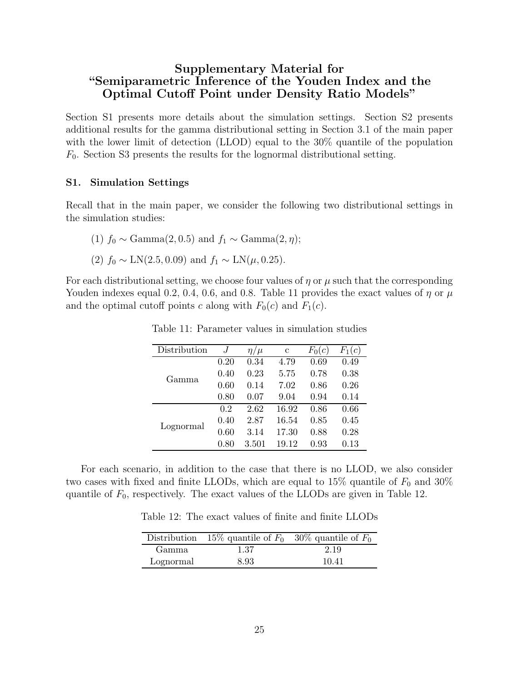# Supplementary Material for "Semiparametric Inference of the Youden Index and the Optimal Cutoff Point under Density Ratio Models"

Section S1 presents more details about the simulation settings. Section S2 presents additional results for the gamma distributional setting in Section 3.1 of the main paper with the lower limit of detection (LLOD) equal to the 30% quantile of the population  $F_0$ . Section S3 presents the results for the lognormal distributional setting.

## S1. Simulation Settings

Recall that in the main paper, we consider the following two distributional settings in the simulation studies:

- (1)  $f_0 \sim \text{Gamma}(2, 0.5)$  and  $f_1 \sim \text{Gamma}(2, \eta)$ ;
- (2)  $f_0 \sim \text{LN}(2.5, 0.09)$  and  $f_1 \sim \text{LN}(\mu, 0.25)$ .

<span id="page-24-0"></span>For each distributional setting, we choose four values of  $\eta$  or  $\mu$  such that the corresponding Youden indexes equal 0.2, 0.4, 0.6, and 0.8. Table [11](#page-24-0) provides the exact values of  $\eta$  or  $\mu$ and the optimal cutoff points c along with  $F_0(c)$  and  $F_1(c)$ .

| Distribution | .Т   | $\eta/\mu$ | C     | $F_0(c)$ | (c       |
|--------------|------|------------|-------|----------|----------|
|              | 0.20 | 0.34       | 4.79  | 0.69     | 0.49     |
| Gamma        | 0.40 | 0.23       | 5.75  | 0.78     | 0.38     |
|              | 0.60 | 0.14       | 7.02  | 0.86     | 0.26     |
|              | 0.80 | 0.07       | 9.04  | 0.94     | 0.14     |
|              | 0.2  | 2.62       | 16.92 | 0.86     | 0.66     |
|              | 0.40 | 2.87       | 16.54 | 0.85     | 0.45     |
| Lognormal    | 0.60 | 3.14       | 17.30 | 0.88     | 0.28     |
|              | 0.80 | $3.501\,$  | 19.12 | $0.93\,$ | $0.13\,$ |

Table 11: Parameter values in simulation studies

<span id="page-24-1"></span>For each scenario, in addition to the case that there is no LLOD, we also consider two cases with fixed and finite LLODs, which are equal to 15% quantile of  $F_0$  and 30% quantile of  $F_0$ , respectively. The exact values of the LLODs are given in Table [12.](#page-24-1)

Table 12: The exact values of finite and finite LLODs

|           | Distribution 15% quantile of $F_0$ 30% quantile of $F_0$ |       |
|-----------|----------------------------------------------------------|-------|
| Gamma     | 1.37                                                     | 2.19  |
| Lognormal | 8.93                                                     | 10.41 |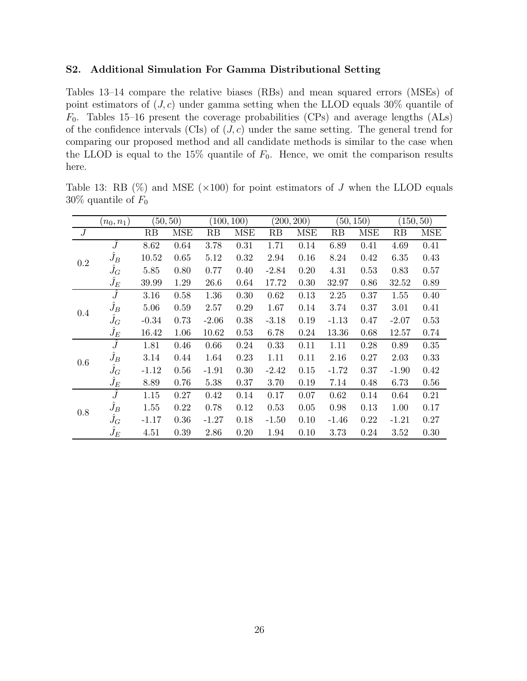# S2. Additional Simulation For Gamma Distributional Setting

Tables [13](#page-25-0)[–14](#page-26-0) compare the relative biases (RBs) and mean squared errors (MSEs) of point estimators of  $(J, c)$  under gamma setting when the LLOD equals 30% quantile of  $F_0$ . Tables [15](#page-26-1)[–16](#page-27-0) present the coverage probabilities (CPs) and average lengths (ALs) of the confidence intervals (CIs) of  $(J, c)$  under the same setting. The general trend for comparing our proposed method and all candidate methods is similar to the case when the LLOD is equal to the 15% quantile of  $F_0$ . Hence, we omit the comparison results here.

|     | $(n_0,n_1)$    |         | (50, 50)   |         | (100, 100) |         | (200, 200) |         | (50, 150)  |         | (150, 50)  |
|-----|----------------|---------|------------|---------|------------|---------|------------|---------|------------|---------|------------|
| J   |                | RB      | <b>MSE</b> | RB      | <b>MSE</b> | RB      | <b>MSE</b> | RB      | <b>MSE</b> | RB      | <b>MSE</b> |
|     | $\hat{J}$      | 8.62    | 0.64       | 3.78    | 0.31       | 1.71    | 0.14       | 6.89    | 0.41       | 4.69    | 0.41       |
| 0.2 | $\hat{J}_B$    | 10.52   | 0.65       | 5.12    | 0.32       | 2.94    | 0.16       | 8.24    | 0.42       | 6.35    | 0.43       |
|     | $\hat{J}_G$    | 5.85    | 0.80       | 0.77    | 0.40       | $-2.84$ | 0.20       | 4.31    | 0.53       | 0.83    | 0.57       |
|     | $\hat{J}_E$    | 39.99   | 1.29       | 26.6    | 0.64       | 17.72   | 0.30       | 32.97   | 0.86       | 32.52   | 0.89       |
|     | $\overline{J}$ | 3.16    | 0.58       | 1.36    | 0.30       | 0.62    | 0.13       | 2.25    | 0.37       | 1.55    | 0.40       |
| 0.4 | $\hat{J}_B$    | 5.06    | 0.59       | 2.57    | 0.29       | 1.67    | 0.14       | 3.74    | 0.37       | 3.01    | 0.41       |
|     | $\tilde{j_G}$  | $-0.34$ | 0.73       | $-2.06$ | 0.38       | $-3.18$ | 0.19       | $-1.13$ | 0.47       | $-2.07$ | 0.53       |
|     | $\hat{J}_E$    | 16.42   | 1.06       | 10.62   | 0.53       | 6.78    | 0.24       | 13.36   | 0.68       | 12.57   | 0.74       |
|     | $\hat{J}$      | 1.81    | 0.46       | 0.66    | 0.24       | 0.33    | 0.11       | 1.11    | 0.28       | 0.89    | 0.35       |
| 0.6 | $\hat{J}_B$    | 3.14    | 0.44       | 1.64    | 0.23       | 1.11    | 0.11       | 2.16    | 0.27       | 2.03    | 0.33       |
|     | $\hat{J}_G$    | $-1.12$ | 0.56       | $-1.91$ | 0.30       | $-2.42$ | 0.15       | $-1.72$ | 0.37       | $-1.90$ | 0.42       |
|     | $\hat{J}_E$    | 8.89    | 0.76       | 5.38    | 0.37       | 3.70    | 0.19       | 7.14    | 0.48       | 6.73    | 0.56       |
|     | $\widehat{J}$  | 1.15    | 0.27       | 0.42    | 0.14       | 0.17    | 0.07       | 0.62    | 0.14       | 0.64    | 0.21       |
| 0.8 | $\hat{J}_B$    | 1.55    | 0.22       | 0.78    | 0.12       | 0.53    | 0.05       | 0.98    | 0.13       | 1.00    | 0.17       |
|     | $\hat{J}_G$    | $-1.17$ | 0.36       | $-1.27$ | 0.18       | $-1.50$ | 0.10       | $-1.46$ | 0.22       | $-1.21$ | 0.27       |
|     | $\hat{J}_E$    | 4.51    | 0.39       | 2.86    | 0.20       | 1.94    | 0.10       | 3.73    | 0.24       | 3.52    | 0.30       |

<span id="page-25-0"></span>Table 13: RB  $(\%)$  and MSE  $(\times 100)$  for point estimators of J when the LLOD equals 30\% quantile of  $F_0$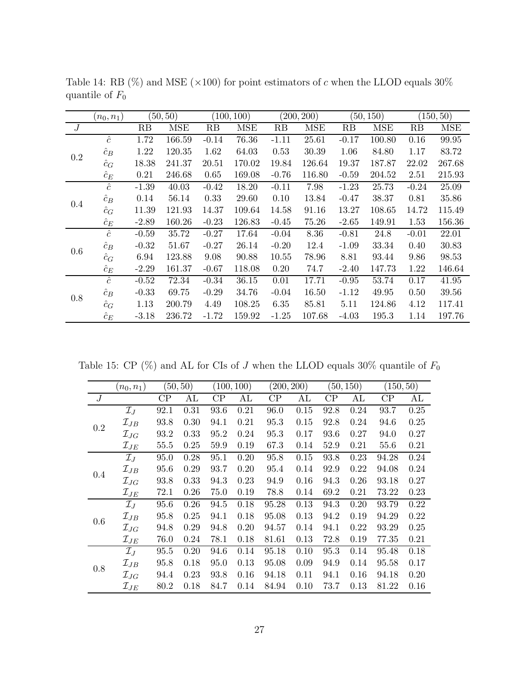|     | $(n_0,n_1)$ |         | (50, 50)   |         | (100, 100) |         | (200, 200) |         | (50, 150)  |         | (150, 50)  |
|-----|-------------|---------|------------|---------|------------|---------|------------|---------|------------|---------|------------|
| J   |             | RB      | <b>MSE</b> | RB      | <b>MSE</b> | RB      | <b>MSE</b> | RB      | <b>MSE</b> | RB      | <b>MSE</b> |
|     | $\hat{c}$   | 1.72    | 166.59     | $-0.14$ | 76.36      | $-1.11$ | 25.61      | $-0.17$ | 100.80     | 0.16    | 99.95      |
| 0.2 | $\hat{c}_B$ | 1.22    | 120.35     | 1.62    | 64.03      | 0.53    | 30.39      | 1.06    | 84.80      | 1.17    | 83.72      |
|     | $\hat{c}_G$ | 18.38   | 241.37     | 20.51   | 170.02     | 19.84   | 126.64     | 19.37   | 187.87     | 22.02   | 267.68     |
|     | $\hat{c}_E$ | 0.21    | 246.68     | 0.65    | 169.08     | $-0.76$ | 116.80     | $-0.59$ | 204.52     | 2.51    | 215.93     |
|     | $\hat{c}$   | $-1.39$ | 40.03      | $-0.42$ | 18.20      | $-0.11$ | 7.98       | $-1.23$ | 25.73      | $-0.24$ | 25.09      |
|     | $\hat{c}_B$ | 0.14    | 56.14      | 0.33    | 29.60      | 0.10    | 13.84      | $-0.47$ | 38.37      | 0.81    | 35.86      |
| 0.4 | $\hat{c}_G$ | 11.39   | 121.93     | 14.37   | 109.64     | 14.58   | 91.16      | 13.27   | 108.65     | 14.72   | 115.49     |
|     | $\hat{c}_E$ | $-2.89$ | 160.26     | $-0.23$ | 126.83     | $-0.45$ | 75.26      | $-2.65$ | 149.91     | 1.53    | 156.36     |
|     | $\hat{c}$   | $-0.59$ | 35.72      | $-0.27$ | 17.64      | $-0.04$ | 8.36       | $-0.81$ | 24.8       | $-0.01$ | 22.01      |
| 0.6 | $\hat{c}_B$ | $-0.32$ | 51.67      | $-0.27$ | 26.14      | $-0.20$ | 12.4       | $-1.09$ | 33.34      | 0.40    | 30.83      |
|     | $\hat{c}_G$ | 6.94    | 123.88     | 9.08    | 90.88      | 10.55   | 78.96      | 8.81    | 93.44      | 9.86    | 98.53      |
|     | $\hat{c}_E$ | $-2.29$ | 161.37     | $-0.67$ | 118.08     | 0.20    | 74.7       | $-2.40$ | 147.73     | 1.22    | 146.64     |
|     | $\hat{c}$   | $-0.52$ | 72.34      | $-0.34$ | 36.15      | 0.01    | 17.71      | $-0.95$ | 53.74      | 0.17    | 41.95      |
| 0.8 | $\hat{c}_B$ | $-0.33$ | 69.75      | $-0.29$ | 34.76      | $-0.04$ | 16.50      | $-1.12$ | 49.95      | 0.50    | 39.56      |
|     | $\hat{c}_G$ | 1.13    | 200.79     | 4.49    | 108.25     | 6.35    | 85.81      | 5.11    | 124.86     | 4.12    | 117.41     |
|     | $\hat{c}_E$ | $-3.18$ | 236.72     | $-1.72$ | 159.92     | $-1.25$ | 107.68     | $-4.03$ | 195.3      | 1.14    | 197.76     |

<span id="page-26-0"></span>Table 14: RB (%) and MSE ( $\times$ 100) for point estimators of c when the LLOD equals 30% quantile of  $\mathcal{F}_0$ 

<span id="page-26-1"></span>Table 15: CP (%) and AL for CIs of  $J$  when the LLOD equals 30% quantile of  $F_0$ 

|     | $(n_0,n_1)$        |      | (50, 50) |      | (100, 100) | (200, 200) |      |          | (50, 150) | (150, 50) |      |
|-----|--------------------|------|----------|------|------------|------------|------|----------|-----------|-----------|------|
| J   |                    | CP   | AL       | CP   | AL         | CP         | AL   | $\rm CP$ | AL        | $\rm CP$  | AL   |
|     | $\mathcal{I}_{J}$  | 92.1 | 0.31     | 93.6 | 0.21       | 96.0       | 0.15 | 92.8     | 0.24      | 93.7      | 0.25 |
| 0.2 | $\mathcal{I}_{JB}$ | 93.8 | 0.30     | 94.1 | 0.21       | 95.3       | 0.15 | 92.8     | 0.24      | 94.6      | 0.25 |
|     | $\mathcal{I}_{JG}$ | 93.2 | 0.33     | 95.2 | 0.24       | 95.3       | 0.17 | 93.6     | 0.27      | 94.0      | 0.27 |
|     | $\mathcal{I}_{JE}$ | 55.5 | 0.25     | 59.9 | 0.19       | 67.3       | 0.14 | 52.9     | 0.21      | 55.6      | 0.21 |
|     | $\mathcal{I}_J$    | 95.0 | 0.28     | 95.1 | 0.20       | 95.8       | 0.15 | 93.8     | 0.23      | 94.28     | 0.24 |
| 0.4 | $\mathcal{I}_{JB}$ | 95.6 | 0.29     | 93.7 | 0.20       | 95.4       | 0.14 | 92.9     | 0.22      | 94.08     | 0.24 |
|     | $\mathcal{I}_{JG}$ | 93.8 | 0.33     | 94.3 | 0.23       | 94.9       | 0.16 | 94.3     | 0.26      | 93.18     | 0.27 |
|     | $\mathcal{I}_{JE}$ | 72.1 | 0.26     | 75.0 | 0.19       | 78.8       | 0.14 | 69.2     | 0.21      | 73.22     | 0.23 |
|     | $\mathcal{I}_J$    | 95.6 | 0.26     | 94.5 | 0.18       | 95.28      | 0.13 | 94.3     | 0.20      | 93.79     | 0.22 |
| 0.6 | $\mathcal{I}_{JB}$ | 95.8 | 0.25     | 94.1 | 0.18       | 95.08      | 0.13 | 94.2     | 0.19      | 94.29     | 0.22 |
|     | $\mathcal{I}_{JG}$ | 94.8 | 0.29     | 94.8 | 0.20       | 94.57      | 0.14 | 94.1     | 0.22      | 93.29     | 0.25 |
|     | $\mathcal{I}_{JE}$ | 76.0 | 0.24     | 78.1 | 0.18       | 81.61      | 0.13 | 72.8     | 0.19      | 77.35     | 0.21 |
|     | $\mathcal{I}_{J}$  | 95.5 | 0.20     | 94.6 | 0.14       | 95.18      | 0.10 | 95.3     | 0.14      | 95.48     | 0.18 |
| 0.8 | $\mathcal{I}_{JB}$ | 95.8 | 0.18     | 95.0 | 0.13       | 95.08      | 0.09 | 94.9     | 0.14      | 95.58     | 0.17 |
|     | $\mathcal{I}_{JG}$ | 94.4 | 0.23     | 93.8 | 0.16       | 94.18      | 0.11 | 94.1     | 0.16      | 94.18     | 0.20 |
|     | $\mathcal{I}_{JE}$ | 80.2 | 0.18     | 84.7 | 0.14       | 84.94      | 0.10 | 73.7     | 0.13      | 81.22     | 0.16 |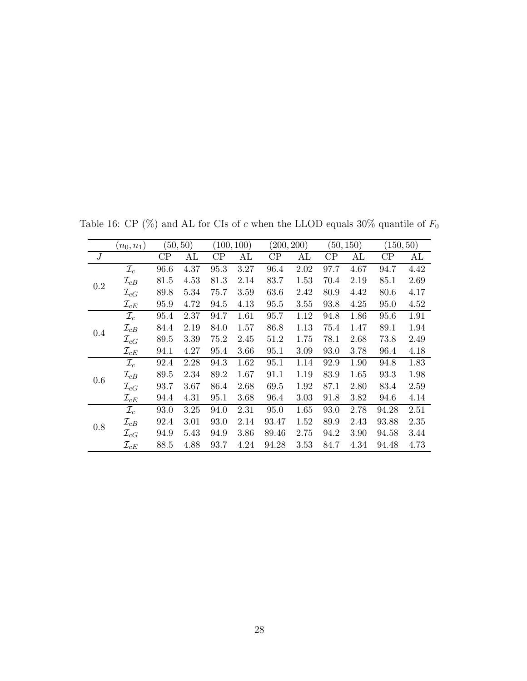|     | $(n_0,n_1)$        | (50, 50)      |      | (100, 100)    |      | (200, 200) |      |          | (50, 150) | (150, 50) |      |
|-----|--------------------|---------------|------|---------------|------|------------|------|----------|-----------|-----------|------|
| J   |                    | $\mathrm{CP}$ | AL   | $\mathrm{CP}$ | AL   | $\rm CP$   | AL   | $\rm CP$ | AL        | $\rm CP$  | AL   |
|     | $\mathcal{I}_c$    | 96.6          | 4.37 | 95.3          | 3.27 | 96.4       | 2.02 | 97.7     | 4.67      | 94.7      | 4.42 |
| 0.2 | $\mathcal{I}_{cB}$ | 81.5          | 4.53 | 81.3          | 2.14 | 83.7       | 1.53 | 70.4     | 2.19      | 85.1      | 2.69 |
|     | $\mathcal{I}_{cG}$ | 89.8          | 5.34 | 75.7          | 3.59 | 63.6       | 2.42 | 80.9     | 4.42      | 80.6      | 4.17 |
|     | $\mathcal{I}_{cE}$ | 95.9          | 4.72 | 94.5          | 4.13 | 95.5       | 3.55 | 93.8     | 4.25      | 95.0      | 4.52 |
|     | $\mathcal{I}_c$    | 95.4          | 2.37 | 94.7          | 1.61 | 95.7       | 1.12 | 94.8     | 1.86      | 95.6      | 1.91 |
| 0.4 | $\mathcal{I}_{cB}$ | 84.4          | 2.19 | 84.0          | 1.57 | 86.8       | 1.13 | 75.4     | 1.47      | 89.1      | 1.94 |
|     | $\mathcal{I}_{cG}$ | 89.5          | 3.39 | 75.2          | 2.45 | 51.2       | 1.75 | 78.1     | 2.68      | 73.8      | 2.49 |
|     | $\mathcal{I}_{cE}$ | 94.1          | 4.27 | 95.4          | 3.66 | 95.1       | 3.09 | 93.0     | 3.78      | 96.4      | 4.18 |
|     | $\mathcal{I}_c$    | 92.4          | 2.28 | 94.3          | 1.62 | 95.1       | 1.14 | 92.9     | 1.90      | 94.8      | 1.83 |
| 0.6 | $\mathcal{I}_{cB}$ | 89.5          | 2.34 | 89.2          | 1.67 | 91.1       | 1.19 | 83.9     | 1.65      | 93.3      | 1.98 |
|     | $\mathcal{I}_{cG}$ | 93.7          | 3.67 | 86.4          | 2.68 | 69.5       | 1.92 | 87.1     | 2.80      | 83.4      | 2.59 |
|     | $\mathcal{I}_{cE}$ | 94.4          | 4.31 | 95.1          | 3.68 | 96.4       | 3.03 | 91.8     | 3.82      | 94.6      | 4.14 |
|     | $\mathcal{I}_c$    | 93.0          | 3.25 | 94.0          | 2.31 | 95.0       | 1.65 | 93.0     | 2.78      | 94.28     | 2.51 |
| 0.8 | $\mathcal{I}_{cB}$ | 92.4          | 3.01 | 93.0          | 2.14 | 93.47      | 1.52 | 89.9     | 2.43      | 93.88     | 2.35 |
|     | $\mathcal{I}_{cG}$ | 94.9          | 5.43 | 94.9          | 3.86 | 89.46      | 2.75 | 94.2     | 3.90      | 94.58     | 3.44 |
|     | $\mathcal{I}_{cE}$ | 88.5          | 4.88 | 93.7          | 4.24 | 94.28      | 3.53 | 84.7     | 4.34      | 94.48     | 4.73 |

<span id="page-27-0"></span>Table 16: CP (%) and AL for CIs of  $c$  when the LLOD equals 30% quantile of  $F_0$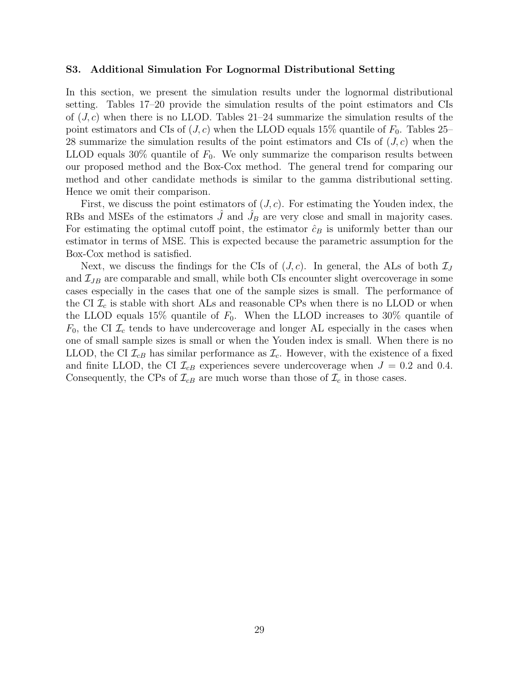#### S3. Additional Simulation For Lognormal Distributional Setting

In this section, we present the simulation results under the lognormal distributional setting. Tables [17–](#page-29-0)[20](#page-32-0) provide the simulation results of the point estimators and CIs of  $(J, c)$  when there is no LLOD. Tables [21–](#page-33-0)[24](#page-34-0) summarize the simulation results of the point estimators and CIs of  $(J, c)$  when the LLOD equals 15% quantile of  $F_0$ . Tables [25–](#page-35-0) [28](#page-36-0) summarize the simulation results of the point estimators and CIs of  $(J, c)$  when the LLOD equals 30% quantile of  $F_0$ . We only summarize the comparison results between our proposed method and the Box-Cox method. The general trend for comparing our method and other candidate methods is similar to the gamma distributional setting. Hence we omit their comparison.

First, we discuss the point estimators of  $(J, c)$ . For estimating the Youden index, the RBs and MSEs of the estimators  $\hat{J}$  and  $\hat{J}_B$  are very close and small in majority cases. For estimating the optimal cutoff point, the estimator  $\hat{c}_B$  is uniformly better than our estimator in terms of MSE. This is expected because the parametric assumption for the Box-Cox method is satisfied.

Next, we discuss the findings for the CIs of  $(J, c)$ . In general, the ALs of both  $\mathcal{I}_J$ and  $\mathcal{I}_{JB}$  are comparable and small, while both CIs encounter slight overcoverage in some cases especially in the cases that one of the sample sizes is small. The performance of the CI  $\mathcal{I}_c$  is stable with short ALs and reasonable CPs when there is no LLOD or when the LLOD equals 15% quantile of  $F_0$ . When the LLOD increases to 30% quantile of  $F_0$ , the CI  $\mathcal{I}_c$  tends to have undercoverage and longer AL especially in the cases when one of small sample sizes is small or when the Youden index is small. When there is no LLOD, the CI  $\mathcal{I}_{cB}$  has similar performance as  $\mathcal{I}_{c}$ . However, with the existence of a fixed and finite LLOD, the CI  $\mathcal{I}_{cB}$  experiences severe undercoverage when  $J = 0.2$  and 0.4. Consequently, the CPs of  $\mathcal{I}_{cB}$  are much worse than those of  $\mathcal{I}_c$  in those cases.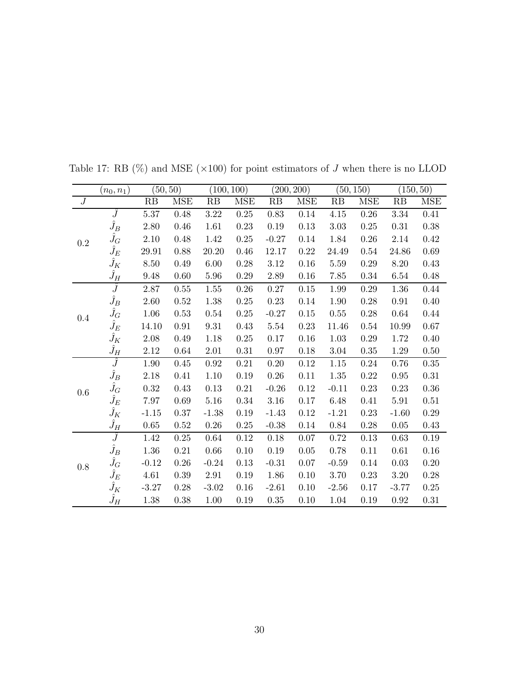|                  | $(n_0,n_1)$   |          | (50, 50)   | (100, 100) |            |          | (200, 200) |          | (50, 150)  |          | (150, 50)  |
|------------------|---------------|----------|------------|------------|------------|----------|------------|----------|------------|----------|------------|
| $\boldsymbol{J}$ |               | RB       | <b>MSE</b> | RB         | <b>MSE</b> | RB       | <b>MSE</b> | RB       | <b>MSE</b> | RB       | <b>MSE</b> |
|                  | $\widehat{J}$ | $5.37\,$ | 0.48       | 3.22       | 0.25       | 0.83     | 0.14       | 4.15     | 0.26       | 3.34     | 0.41       |
|                  | $\hat{J}_B$   | 2.80     | 0.46       | 1.61       | $0.23\,$   | $0.19\,$ | 0.13       | $3.03\,$ | $0.25\,$   | 0.31     | $0.38\,$   |
| $\rm 0.2$        | $\hat{J}_G$   | $2.10\,$ | 0.48       | 1.42       | $0.25\,$   | $-0.27$  | $0.14\,$   | 1.84     | $0.26\,$   | $2.14\,$ | 0.42       |
|                  | $\hat{J}_E$   | 29.91    | 0.88       | $20.20\,$  | $0.46\,$   | 12.17    | $0.22\,$   | 24.49    | 0.54       | 24.86    | $0.69\,$   |
|                  | $\hat{J}_K$   | 8.50     | 0.49       | $6.00\,$   | 0.28       | 3.12     | $0.16\,$   | 5.59     | 0.29       | 8.20     | $0.43\,$   |
|                  | $\hat{J}_H$   | 9.48     | 0.60       | $5.96\,$   | 0.29       | $2.89\,$ | $0.16\,$   | 7.85     | 0.34       | 6.54     | $0.48\,$   |
|                  | $\hat{J}$     | 2.87     | 0.55       | 1.55       | 0.26       | 0.27     | 0.15       | 1.99     | 0.29       | 1.36     | 0.44       |
|                  | $\hat{J}_B$   | 2.60     | 0.52       | 1.38       | 0.25       | 0.23     | 0.14       | 1.90     | 0.28       | 0.91     | 0.40       |
| 0.4              | $\hat{J}_G$   | 1.06     | 0.53       | 0.54       | $0.25\,$   | $-0.27$  | $0.15\,$   | 0.55     | $0.28\,$   | 0.64     | 0.44       |
|                  | $\hat{J}_E$   | 14.10    | $\rm 0.91$ | $\,9.31$   | $0.43\,$   | $5.54\,$ | $0.23\,$   | 11.46    | 0.54       | 10.99    | 0.67       |
|                  | $\hat{J}_K$   | 2.08     | 0.49       | 1.18       | $0.25\,$   | $0.17\,$ | $0.16\,$   | $1.03\,$ | 0.29       | 1.72     | $0.40\,$   |
|                  | $\hat{J}_H$   | 2.12     | 0.64       | $2.01\,$   | $0.31\,$   | 0.97     | $0.18\,$   | $3.04\,$ | 0.35       | 1.29     | 0.50       |
|                  | $\hat{J}$     | 1.90     | 0.45       | 0.92       | 0.21       | 0.20     | 0.12       | 1.15     | 0.24       | 0.76     | 0.35       |
|                  | $\hat{J}_B$   | 2.18     | 0.41       | 1.10       | 0.19       | 0.26     | 0.11       | 1.35     | 0.22       | $0.95\,$ | 0.31       |
| 0.6              | $\hat{J}_G$   | 0.32     | 0.43       | 0.13       | 0.21       | $-0.26$  | 0.12       | $-0.11$  | 0.23       | 0.23     | $0.36\,$   |
|                  | $\hat{J}_E$   | 7.97     | 0.69       | $5.16\,$   | 0.34       | $3.16\,$ | 0.17       | 6.48     | 0.41       | 5.91     | 0.51       |
|                  | $\hat{J}_K$   | $-1.15$  | 0.37       | $-1.38$    | 0.19       | $-1.43$  | 0.12       | $-1.21$  | 0.23       | $-1.60$  | $0.29\,$   |
|                  | $\hat{J}_H$   | 0.65     | $0.52\,$   | 0.26       | 0.25       | $-0.38$  | 0.14       | 0.84     | 0.28       | 0.05     | 0.43       |
|                  | Ĵ             | 1.42     | $0.25\,$   | 0.64       | 0.12       | 0.18     | 0.07       | $0.72\,$ | 0.13       | 0.63     | 0.19       |
|                  | $\hat{J}_B$   | 1.36     | $0.21\,$   | 0.66       | 0.10       | 0.19     | 0.05       | 0.78     | 0.11       | 0.61     | $0.16\,$   |
| 0.8              | $\hat{J}_G$   | $-0.12$  | 0.26       | $-0.24$    | 0.13       | $-0.31$  | 0.07       | $-0.59$  | 0.14       | 0.03     | 0.20       |
|                  | $\hat{J}_E$   | 4.61     | 0.39       | 2.91       | 0.19       | 1.86     | 0.10       | 3.70     | 0.23       | $3.20\,$ | $0.28\,$   |
|                  | $\hat{J}_K$   | $-3.27$  | $0.28\,$   | $-3.02$    | 0.16       | $-2.61$  | 0.10       | $-2.56$  | 0.17       | $-3.77$  | $0.25\,$   |
|                  | $\hat{J}_H$   | 1.38     | 0.38       | 1.00       | 0.19       | 0.35     | 0.10       | 1.04     | 0.19       | 0.92     | 0.31       |

<span id="page-29-0"></span>Table 17: RB  $(\%)$  and MSE  $(\times 100)$  for point estimators of  $J$  when there is no LLOD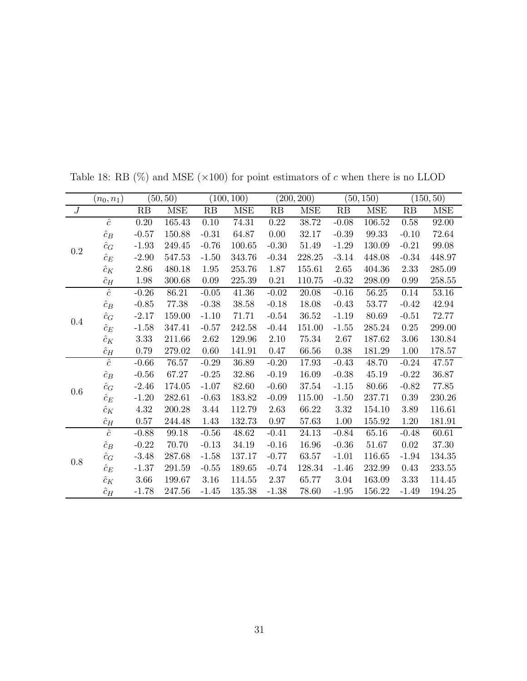|                  | $(n_0,n_1)$ |          | (50, 50)   |          | (100, 100) |          | (200, 200) |          | (50, 150) |          | (150, 50)  |
|------------------|-------------|----------|------------|----------|------------|----------|------------|----------|-----------|----------|------------|
| $\boldsymbol{J}$ |             | RB       | <b>MSE</b> | RB       | MSE        | RB       | MSE        | RB       | MSE       | RB       | <b>MSE</b> |
|                  | $\hat{c}$   | 0.20     | 165.43     | $0.10\,$ | 74.31      | $0.22\,$ | 38.72      | $-0.08$  | 106.52    | 0.58     | 92.00      |
|                  | $\hat{c}_B$ | $-0.57$  | 150.88     | $-0.31$  | 64.87      | 0.00     | $32.17\,$  | $-0.39$  | 99.33     | $-0.10$  | 72.64      |
| 0.2              | $\hat{c}_G$ | $-1.93$  | 249.45     | $-0.76$  | 100.65     | $-0.30$  | $51.49\,$  | $-1.29$  | 130.09    | $-0.21$  | 99.08      |
|                  | $\hat{c}_E$ | $-2.90$  | 547.53     | $-1.50$  | 343.76     | $-0.34$  | 228.25     | $-3.14$  | 448.08    | $-0.34$  | 448.97     |
|                  | $\hat{c}_K$ | 2.86     | 480.18     | 1.95     | 253.76     | 1.87     | 155.61     | 2.65     | 404.36    | 2.33     | 285.09     |
|                  | $\hat{c}_H$ | 1.98     | 300.68     | 0.09     | 225.39     | $0.21\,$ | 110.75     | $-0.32$  | 298.09    | 0.99     | 258.55     |
|                  | $\hat{c}$   | $-0.26$  | 86.21      | $-0.05$  | 41.36      | $-0.02$  | 20.08      | $-0.16$  | 56.25     | 0.14     | 53.16      |
|                  | $\hat{c}_B$ | $-0.85$  | 77.38      | $-0.38$  | 38.58      | $-0.18$  | 18.08      | $-0.43$  | 53.77     | $-0.42$  | 42.94      |
| 0.4              | $\hat{c}_G$ | $-2.17$  | 159.00     | $-1.10$  | 71.71      | $-0.54$  | 36.52      | $-1.19$  | 80.69     | $-0.51$  | 72.77      |
|                  | $\hat{c}_E$ | $-1.58$  | 347.41     | $-0.57$  | 242.58     | $-0.44$  | 151.00     | $-1.55$  | 285.24    | $0.25\,$ | 299.00     |
|                  | $\hat{c}_K$ | 3.33     | 211.66     | $2.62\,$ | 129.96     | $2.10\,$ | 75.34      | $2.67\,$ | 187.62    | 3.06     | 130.84     |
|                  | $\hat{c}_H$ | 0.79     | 279.02     | 0.60     | 141.91     | 0.47     | 66.56      | 0.38     | 181.29    | 1.00     | 178.57     |
|                  | $\hat{c}$   | $-0.66$  | 76.57      | $-0.29$  | 36.89      | $-0.20$  | 17.93      | $-0.43$  | 48.70     | $-0.24$  | 47.57      |
|                  | $\hat{c}_B$ | $-0.56$  | 67.27      | $-0.25$  | 32.86      | $-0.19$  | 16.09      | $-0.38$  | 45.19     | $-0.22$  | 36.87      |
|                  | $\hat{c}_G$ | $-2.46$  | 174.05     | $-1.07$  | 82.60      | $-0.60$  | 37.54      | $-1.15$  | 80.66     | $-0.82$  | 77.85      |
| 0.6              | $\hat{c}_E$ | $-1.20$  | 282.61     | $-0.63$  | 183.82     | $-0.09$  | 115.00     | $-1.50$  | 237.71    | $0.39\,$ | 230.26     |
|                  | $\hat{c}_K$ | 4.32     | 200.28     | 3.44     | 112.79     | 2.63     | 66.22      | 3.32     | 154.10    | 3.89     | 116.61     |
|                  | $\hat{c}_H$ | $0.57\,$ | 244.48     | 1.43     | 132.73     | 0.97     | 57.63      | 1.00     | 155.92    | 1.20     | 181.91     |
|                  | $\hat{c}$   | $-0.88$  | 99.18      | $-0.56$  | 48.62      | $-0.41$  | 24.13      | $-0.84$  | 65.16     | $-0.48$  | 60.61      |
|                  | $\hat{c}_B$ | $-0.22$  | 70.70      | $-0.13$  | 34.19      | $-0.16$  | 16.96      | $-0.36$  | 51.67     | 0.02     | 37.30      |
|                  | $\hat{c}_G$ | $-3.48$  | 287.68     | $-1.58$  | 137.17     | $-0.77$  | 63.57      | $-1.01$  | 116.65    | $-1.94$  | 134.35     |
| 0.8              | $\hat{c}_E$ | $-1.37$  | 291.59     | $-0.55$  | 189.65     | $-0.74$  | 128.34     | $-1.46$  | 232.99    | 0.43     | 233.55     |
|                  | $\hat{c}_K$ | 3.66     | 199.67     | $3.16\,$ | 114.55     | 2.37     | 65.77      | 3.04     | 163.09    | 3.33     | 114.45     |
|                  | $\hat{c}_H$ | $-1.78$  | 247.56     | $-1.45$  | 135.38     | $-1.38$  | 78.60      | $-1.95$  | 156.22    | $-1.49$  | 194.25     |

Table 18: RB (%) and MSE (×100) for point estimators of  $c$  when there is no LLOD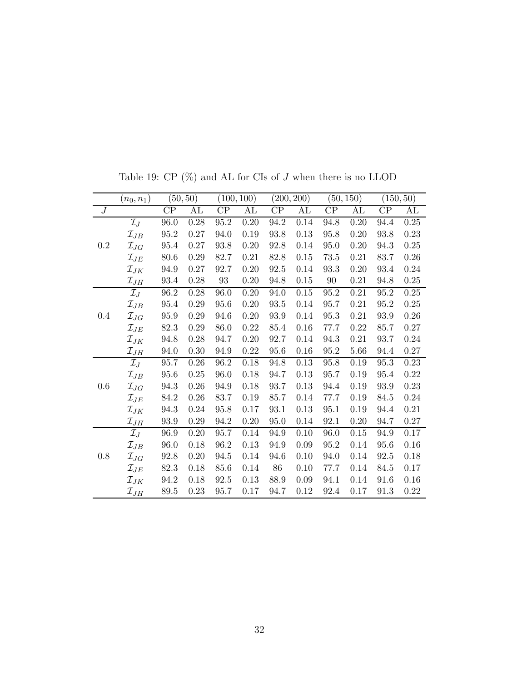|                  | $(n_0, n_1)$                   |          | (50, 50) |                   | (100, 100) |               | (200, 200) |          | (50, 150) |          | (150, 50) |
|------------------|--------------------------------|----------|----------|-------------------|------------|---------------|------------|----------|-----------|----------|-----------|
| $\boldsymbol{J}$ |                                | $\rm CP$ | AL       | CP                | AL         | $\mathrm{CP}$ | AL         | $\rm CP$ | AL        | $\rm CP$ | AL        |
|                  | $\mathcal{I}_J$                | 96.0     | 0.28     | $95.2\,$          | $0.20\,$   | 94.2          | 0.14       | 94.8     | $0.20\,$  | 94.4     | 0.25      |
|                  | $\mathcal{I}_{JB}$             | 95.2     | 0.27     | 94.0              | 0.19       | 93.8          | 0.13       | 95.8     | 0.20      | 93.8     | 0.23      |
| $\rm 0.2$        | $\mathcal{I}_{JG}$             | 95.4     | 0.27     | 93.8              | 0.20       | 92.8          | 0.14       | 95.0     | 0.20      | 94.3     | 0.25      |
|                  | $\mathcal{I}_{JE}$             | 80.6     | 0.29     | 82.7              | 0.21       | 82.8          | 0.15       | 73.5     | 0.21      | 83.7     | 0.26      |
|                  | $\mathcal{I}_{JK}$             | 94.9     | 0.27     | 92.7              | 0.20       | 92.5          | 0.14       | 93.3     | 0.20      | 93.4     | 0.24      |
|                  | $\mathcal{I}_{JH}$             | 93.4     | 0.28     | $\boldsymbol{93}$ | $0.20\,$   | 94.8          | $0.15\,$   | $90\,$   | 0.21      | 94.8     | 0.25      |
|                  | $\mathcal{I}_J$                | 96.2     | 0.28     | 96.0              | $0.20\,$   | 94.0          | $0.15\,$   | 95.2     | 0.21      | 95.2     | 0.25      |
|                  | $\mathcal{I}_{JB}$             | 95.4     | 0.29     | 95.6              | 0.20       | $93.5\,$      | 0.14       | 95.7     | $0.21\,$  | 95.2     | 0.25      |
| 0.4              | $\mathcal{I}_{JG}$             | 95.9     | $0.29\,$ | 94.6              | 0.20       | 93.9          | 0.14       | 95.3     | 0.21      | 93.9     | 0.26      |
|                  | $\mathcal{I}_{JE}$             | 82.3     | 0.29     | 86.0              | 0.22       | 85.4          | 0.16       | 77.7     | 0.22      | 85.7     | 0.27      |
|                  | $\mathcal{I}_{JK}$             | 94.8     | $0.28\,$ | 94.7              | $0.20\,$   | 92.7          | 0.14       | 94.3     | $0.21\,$  | 93.7     | $0.24\,$  |
|                  | $\mathcal{I}_{JH}$             | 94.0     | $0.30\,$ | 94.9              | $0.22\,$   | 95.6          | $0.16\,$   | 95.2     | 5.66      | 94.4     | 0.27      |
|                  | $\mathcal{I}_J$                | 95.7     | 0.26     | 96.2              | $0.18\,$   | 94.8          | $0.13\,$   | 95.8     | 0.19      | 95.3     | 0.23      |
|                  | $\mathcal{I}_{JB}$             | $95.6\,$ | 0.25     | 96.0              | 0.18       | 94.7          | 0.13       | 95.7     | 0.19      | 95.4     | 0.22      |
| 0.6              | $\mathcal{I}_{JG}$             | 94.3     | 0.26     | 94.9              | 0.18       | 93.7          | 0.13       | 94.4     | 0.19      | 93.9     | 0.23      |
|                  | $\mathcal{I}_{JE}$             | 84.2     | $0.26\,$ | 83.7              | $0.19\,$   | 85.7          | 0.14       | 77.7     | 0.19      | 84.5     | 0.24      |
|                  | $\mathcal{I}_{JK}$             | 94.3     | 0.24     | $95.8\,$          | 0.17       | 93.1          | 0.13       | 95.1     | 0.19      | 94.4     | 0.21      |
|                  | $\mathcal{I}_{JH}$             | 93.9     | 0.29     | 94.2              | 0.20       | 95.0          | 0.14       | 92.1     | 0.20      | 94.7     | 0.27      |
|                  | $\mathcal{I}_J$                | 96.9     | 0.20     | 95.7              | 0.14       | 94.9          | 0.10       | 96.0     | 0.15      | 94.9     | 0.17      |
|                  | $\mathcal{I}_{JB}$             | 96.0     | 0.18     | 96.2              | 0.13       | 94.9          | 0.09       | 95.2     | 0.14      | 95.6     | 0.16      |
| 0.8              | $\mathcal{I}_{JG}$             | 92.8     | 0.20     | 94.5              | 0.14       | 94.6          | 0.10       | 94.0     | 0.14      | 92.5     | 0.18      |
|                  | $\mathcal{I}_{JE}$             | 82.3     | 0.18     | 85.6              | 0.14       | 86            | 0.10       | 77.7     | 0.14      | 84.5     | 0.17      |
|                  | $\mathcal{I}_{JK}$             | 94.2     | 0.18     | 92.5              | 0.13       | 88.9          | 0.09       | 94.1     | 0.14      | 91.6     | 0.16      |
|                  | $\mathcal{I}_{J\underline{H}}$ | 89.5     | 0.23     | 95.7              | 0.17       | 94.7          | 0.12       | 92.4     | 0.17      | 91.3     | 0.22      |

Table 19: CP  $(\%)$  and AL for CIs of  $J$  when there is no LLOD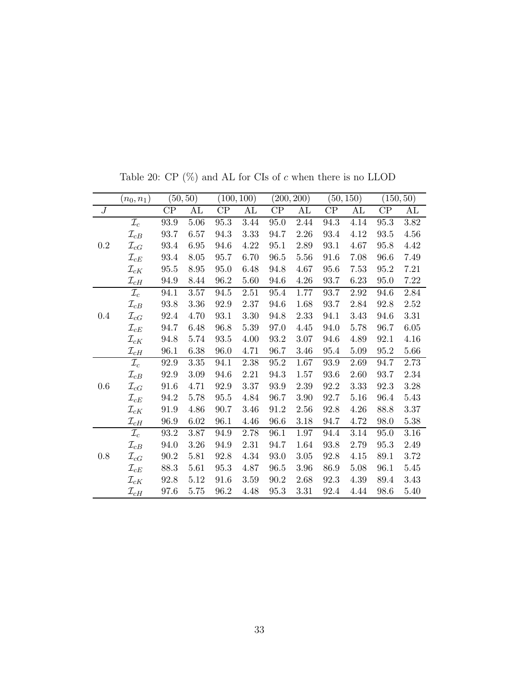<span id="page-32-0"></span>

|                  | $(n_0,n_1)$        |          | (50, 50) |                     | (100, 100) |          | (200, 200)    |          | (50, 150) |          | (150, 50) |
|------------------|--------------------|----------|----------|---------------------|------------|----------|---------------|----------|-----------|----------|-----------|
| $\boldsymbol{J}$ |                    | $\rm CP$ | AL       | CP                  | AL         | $\rm CP$ | $\mathrm{AL}$ | $\rm CP$ | AL        | $\rm CP$ | AL        |
|                  | $\mathcal{I}_c$    | 93.9     | 5.06     | $95.3\,$            | 3.44       | 95.0     | 2.44          | 94.3     | 4.14      | 95.3     | 3.82      |
|                  | $\mathcal{I}_{cB}$ | 93.7     | 6.57     | 94.3                | 3.33       | 94.7     | 2.26          | 93.4     | 4.12      | 93.5     | 4.56      |
| 0.2              | $\mathcal{I}_{cG}$ | 93.4     | 6.95     | 94.6                | 4.22       | 95.1     | 2.89          | 93.1     | 4.67      | 95.8     | 4.42      |
|                  | $\mathcal{I}_{cE}$ | 93.4     | 8.05     | 95.7                | 6.70       | 96.5     | 5.56          | 91.6     | 7.08      | 96.6     | 7.49      |
|                  | $\mathcal{I}_{cK}$ | 95.5     | 8.95     | 95.0                | 6.48       | 94.8     | 4.67          | 95.6     | 7.53      | 95.2     | 7.21      |
|                  | $\mathcal{I}_{cH}$ | 94.9     | 8.44     | 96.2                | 5.60       | 94.6     | $4.26\,$      | 93.7     | 6.23      | 95.0     | 7.22      |
|                  | $\mathcal{I}_c$    | 94.1     | 3.57     | 94.5                | 2.51       | 95.4     | 1.77          | 93.7     | 2.92      | 94.6     | 2.84      |
|                  | $\mathcal{I}_{cB}$ | 93.8     | 3.36     | 92.9                | 2.37       | 94.6     | 1.68          | 93.7     | 2.84      | 92.8     | 2.52      |
| 0.4              | $\mathcal{I}_{cG}$ | 92.4     | 4.70     | 93.1                | 3.30       | 94.8     | 2.33          | 94.1     | 3.43      | 94.6     | 3.31      |
|                  | $\mathcal{I}_{cE}$ | 94.7     | 6.48     | 96.8                | 5.39       | 97.0     | 4.45          | 94.0     | 5.78      | 96.7     | 6.05      |
|                  | $\mathcal{I}_{cK}$ | 94.8     | 5.74     | $\boldsymbol{93.5}$ | 4.00       | 93.2     | 3.07          | 94.6     | 4.89      | 92.1     | 4.16      |
|                  | $\mathcal{I}_{cH}$ | 96.1     | 6.38     | 96.0                | 4.71       | 96.7     | 3.46          | 95.4     | 5.09      | 95.2     | 5.66      |
|                  | $\mathcal{I}_c$    | 92.9     | $3.35\,$ | 94.1                | $2.38\,$   | $95.2\,$ | 1.67          | 93.9     | 2.69      | 94.7     | 2.73      |
|                  | $\mathcal{I}_{cB}$ | 92.9     | $3.09\,$ | 94.6                | $2.21\,$   | 94.3     | 1.57          | $93.6\,$ | 2.60      | 93.7     | 2.34      |
| 0.6              | $\mathcal{I}_{cG}$ | 91.6     | 4.71     | 92.9                | 3.37       | 93.9     | 2.39          | 92.2     | 3.33      | 92.3     | 3.28      |
|                  | $\mathcal{I}_{cE}$ | 94.2     | 5.78     | $95.5\,$            | 4.84       | 96.7     | 3.90          | 92.7     | 5.16      | 96.4     | 5.43      |
|                  | $\mathcal{I}_{cK}$ | 91.9     | 4.86     | 90.7                | 3.46       | 91.2     | 2.56          | 92.8     | 4.26      | 88.8     | 3.37      |
|                  | $\mathcal{I}_{cH}$ | 96.9     | 6.02     | 96.1                | 4.46       | 96.6     | 3.18          | 94.7     | 4.72      | 98.0     | 5.38      |
|                  | $\mathcal{I}_c$    | 93.2     | 3.87     | 94.9                | 2.78       | 96.1     | $1.97\,$      | 94.4     | 3.14      | 95.0     | 3.16      |
|                  | $\mathcal{I}_{cB}$ | 94.0     | 3.26     | 94.9                | 2.31       | 94.7     | 1.64          | 93.8     | 2.79      | 95.3     | 2.49      |
| 0.8              | $\mathcal{I}_{cG}$ | 90.2     | 5.81     | 92.8                | 4.34       | 93.0     | 3.05          | 92.8     | 4.15      | 89.1     | 3.72      |
|                  | $\mathcal{I}_{cE}$ | 88.3     | 5.61     | 95.3                | 4.87       | 96.5     | 3.96          | 86.9     | 5.08      | 96.1     | 5.45      |
|                  | $\mathcal{I}_{cK}$ | 92.8     | 5.12     | 91.6                | 3.59       | 90.2     | 2.68          | 92.3     | 4.39      | 89.4     | 3.43      |
|                  | $\mathcal{I}_{cH}$ | 97.6     | 5.75     | 96.2                | 4.48       | 95.3     | 3.31          | 92.4     | 4.44      | 98.6     | 5.40      |

Table 20: CP  $(\%)$  and AL for CIs of  $c$  when there is no LLOD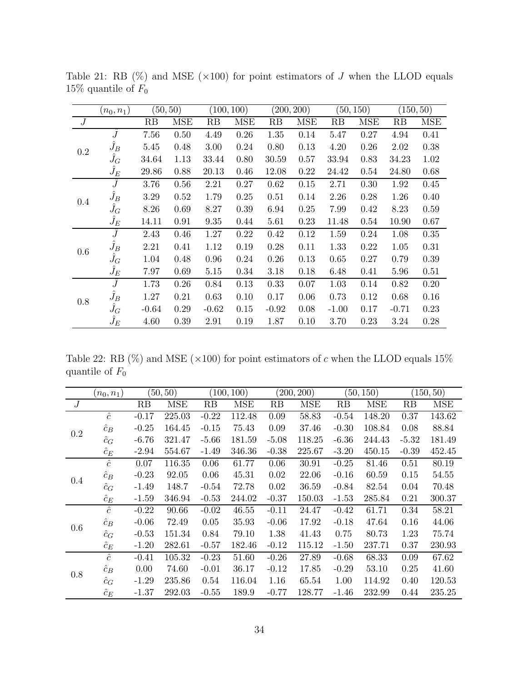|         | $(n_0,n_1)$   |         | (50, 50)   |          | (100, 100) |         | (200, 200) |         | (50, 150)  |         | (150, 50) |
|---------|---------------|---------|------------|----------|------------|---------|------------|---------|------------|---------|-----------|
| J       |               | RB      | <b>MSE</b> | RB       | <b>MSE</b> | RB      | <b>MSE</b> | RB      | <b>MSE</b> | RB      | MSE       |
|         | Ĵ             | 7.56    | 0.50       | 4.49     | 0.26       | 1.35    | 0.14       | 5.47    | 0.27       | 4.94    | 0.41      |
| 0.2     | $\hat{J}_B$   | 5.45    | 0.48       | 3.00     | 0.24       | 0.80    | 0.13       | 4.20    | 0.26       | 2.02    | 0.38      |
|         | $\hat{J}_G$   | 34.64   | 1.13       | 33.44    | 0.80       | 30.59   | 0.57       | 33.94   | 0.83       | 34.23   | 1.02      |
|         | $\hat{J}_E$   | 29.86   | 0.88       | 20.13    | 0.46       | 12.08   | 0.22       | 24.42   | 0.54       | 24.80   | 0.68      |
|         | Ĵ             | 3.76    | 0.56       | 2.21     | 0.27       | 0.62    | 0.15       | 2.71    | 0.30       | 1.92    | 0.45      |
| $0.4\,$ | $\hat{J}_B$   | 3.29    | 0.52       | 1.79     | 0.25       | 0.51    | 0.14       | 2.26    | 0.28       | 1.26    | 0.40      |
|         | $\hat{J}_G$   | 8.26    | 0.69       | 8.27     | 0.39       | 6.94    | 0.25       | 7.99    | 0.42       | 8.23    | 0.59      |
|         | $\hat{J}_E$   | 14.11   | 0.91       | $\,9.35$ | 0.44       | 5.61    | 0.23       | 11.48   | 0.54       | 10.90   | 0.67      |
|         | $\widehat{J}$ | 2.43    | 0.46       | 1.27     | 0.22       | 0.42    | 0.12       | 1.59    | 0.24       | 1.08    | 0.35      |
| 0.6     | $\hat{J}_B$   | 2.21    | 0.41       | 1.12     | 0.19       | 0.28    | 0.11       | 1.33    | 0.22       | 1.05    | 0.31      |
|         | $\hat{J}_G$   | 1.04    | 0.48       | 0.96     | 0.24       | 0.26    | 0.13       | 0.65    | 0.27       | 0.79    | 0.39      |
|         | $\hat{J}_E$   | 7.97    | 0.69       | 5.15     | 0.34       | 3.18    | 0.18       | 6.48    | 0.41       | 5.96    | 0.51      |
|         | $\widehat{J}$ | 1.73    | 0.26       | 0.84     | 0.13       | 0.33    | 0.07       | 1.03    | 0.14       | 0.82    | 0.20      |
| 0.8     | $\hat{J}_B$   | 1.27    | 0.21       | 0.63     | 0.10       | 0.17    | 0.06       | 0.73    | 0.12       | 0.68    | 0.16      |
|         | $\hat{J}_G$   | $-0.64$ | 0.29       | $-0.62$  | 0.15       | $-0.92$ | 0.08       | $-1.00$ | 0.17       | $-0.71$ | 0.23      |
|         | $\hat{J}_E$   | 4.60    | 0.39       | 2.91     | 0.19       | 1.87    | 0.10       | 3.70    | 0.23       | 3.24    | 0.28      |

<span id="page-33-0"></span>Table 21: RB  $(\%)$  and MSE  $(\times 100)$  for point estimators of J when the LLOD equals 15% quantile of  $F_0$ 

Table 22: RB (%) and MSE ( $\times 100$ ) for point estimators of c when the LLOD equals 15% quantile of  $F_0$ 

|                | $(n_0,n_1)$ |         | (50, 50)   |         | (100, 100) |         | (200, 200) |         | (50, 150)  |         | 150, 50)   |
|----------------|-------------|---------|------------|---------|------------|---------|------------|---------|------------|---------|------------|
| $\overline{J}$ |             | RB      | <b>MSE</b> | RB      | <b>MSE</b> | RB      | <b>MSE</b> | RB      | <b>MSE</b> | RB      | <b>MSE</b> |
|                | $\hat{c}$   | $-0.17$ | 225.03     | $-0.22$ | 112.48     | 0.09    | 58.83      | $-0.54$ | 148.20     | 0.37    | 143.62     |
| $0.2\,$        | $\hat{c}_B$ | $-0.25$ | 164.45     | $-0.15$ | 75.43      | 0.09    | 37.46      | $-0.30$ | 108.84     | 0.08    | 88.84      |
|                | $\hat{c}_G$ | $-6.76$ | 321.47     | $-5.66$ | 181.59     | $-5.08$ | 118.25     | $-6.36$ | 244.43     | $-5.32$ | 181.49     |
|                | $\hat{c}_E$ | $-2.94$ | 554.67     | $-1.49$ | 346.36     | $-0.38$ | 225.67     | $-3.20$ | 450.15     | $-0.39$ | 452.45     |
|                | $\hat{c}$   | 0.07    | 116.35     | 0.06    | 61.77      | 0.06    | 30.91      | $-0.25$ | 81.46      | 0.51    | 80.19      |
|                | $\hat{c}_B$ | $-0.23$ | 92.05      | 0.06    | 45.31      | 0.02    | 22.06      | $-0.16$ | 60.59      | 0.15    | 54.55      |
| 0.4            | $\hat{c}_G$ | $-1.49$ | 148.7      | $-0.54$ | 72.78      | 0.02    | 36.59      | $-0.84$ | 82.54      | 0.04    | 70.48      |
|                | $\hat{c}_E$ | $-1.59$ | 346.94     | $-0.53$ | 244.02     | $-0.37$ | 150.03     | $-1.53$ | 285.84     | 0.21    | 300.37     |
|                | $\hat{c}$   | $-0.22$ | 90.66      | $-0.02$ | 46.55      | $-0.11$ | 24.47      | $-0.42$ | 61.71      | 0.34    | 58.21      |
| 0.6            | $\hat{c}_B$ | $-0.06$ | 72.49      | 0.05    | 35.93      | $-0.06$ | 17.92      | $-0.18$ | 47.64      | 0.16    | 44.06      |
|                | $\hat{c}_G$ | $-0.53$ | 151.34     | 0.84    | 79.10      | 1.38    | 41.43      | 0.75    | 80.73      | 1.23    | 75.74      |
|                | $\hat{c}_E$ | $-1.20$ | 282.61     | $-0.57$ | 182.46     | $-0.12$ | 115.12     | $-1.50$ | 237.71     | 0.37    | 230.93     |
|                | $\hat{c}$   | $-0.41$ | 105.32     | $-0.23$ | 51.60      | $-0.26$ | 27.89      | $-0.68$ | 68.33      | 0.09    | 67.62      |
| 0.8            | $\hat{c}_B$ | 0.00    | 74.60      | $-0.01$ | 36.17      | $-0.12$ | 17.85      | $-0.29$ | 53.10      | 0.25    | 41.60      |
|                | $\hat{c}_G$ | $-1.29$ | 235.86     | 0.54    | 116.04     | 1.16    | 65.54      | 1.00    | 114.92     | 0.40    | 120.53     |
|                | $\hat{c}_E$ | -1.37   | 292.03     | $-0.55$ | 189.9      | $-0.77$ | 128.77     | $-1.46$ | 232.99     | 0.44    | 235.25     |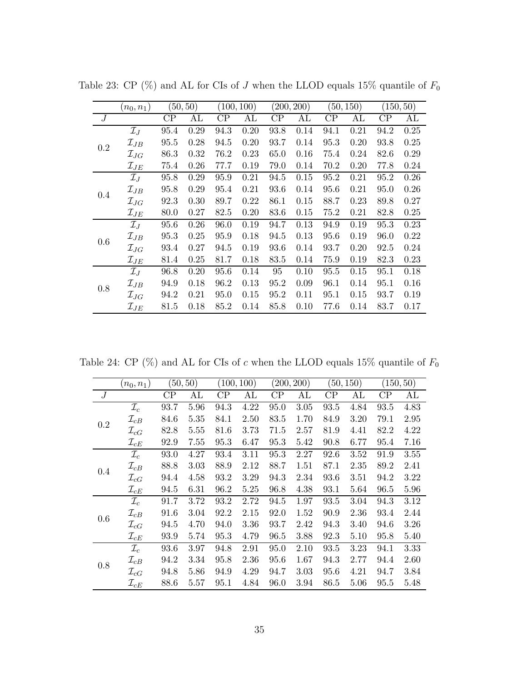|     | $(n_0,n_1)$        |          | (50, 50) |          | (100, 100) |          | (200, 200) |          | (50, 150) |          | (150, 50) |
|-----|--------------------|----------|----------|----------|------------|----------|------------|----------|-----------|----------|-----------|
| J   |                    | $\rm CP$ | AL       | $\rm CP$ | AL         | $\rm CP$ | AL         | $\rm CP$ | AL        | $\rm CP$ | AL        |
|     | $\mathcal{I}_J$    | 95.4     | 0.29     | 94.3     | 0.20       | 93.8     | 0.14       | 94.1     | 0.21      | 94.2     | 0.25      |
| 0.2 | $\mathcal{I}_{JB}$ | 95.5     | 0.28     | 94.5     | 0.20       | 93.7     | 0.14       | 95.3     | 0.20      | 93.8     | 0.25      |
|     | $\mathcal{I}_{JG}$ | 86.3     | 0.32     | 76.2     | 0.23       | 65.0     | 0.16       | 75.4     | 0.24      | 82.6     | 0.29      |
|     | $\mathcal{I}_{JE}$ | 75.4     | 0.26     | 77.7     | 0.19       | 79.0     | 0.14       | 70.2     | 0.20      | 77.8     | 0.24      |
|     | $\mathcal{I}_J$    | 95.8     | 0.29     | 95.9     | 0.21       | 94.5     | 0.15       | 95.2     | 0.21      | 95.2     | 0.26      |
| 0.4 | $\mathcal{I}_{JB}$ | 95.8     | 0.29     | 95.4     | 0.21       | 93.6     | 0.14       | 95.6     | 0.21      | 95.0     | 0.26      |
|     | $\mathcal{I}_{JG}$ | 92.3     | 0.30     | 89.7     | 0.22       | 86.1     | 0.15       | 88.7     | 0.23      | 89.8     | 0.27      |
|     | $\mathcal{I}_{JE}$ | 80.0     | 0.27     | 82.5     | 0.20       | 83.6     | 0.15       | 75.2     | 0.21      | 82.8     | 0.25      |
|     | $\mathcal{I}_J$    | 95.6     | 0.26     | 96.0     | 0.19       | 94.7     | 0.13       | 94.9     | 0.19      | 95.3     | 0.23      |
| 0.6 | $\mathcal{I}_{JB}$ | 95.3     | 0.25     | 95.9     | 0.18       | 94.5     | 0.13       | 95.6     | 0.19      | 96.0     | 0.22      |
|     | $\mathcal{I}_{JG}$ | 93.4     | 0.27     | 94.5     | 0.19       | 93.6     | 0.14       | 93.7     | 0.20      | 92.5     | 0.24      |
|     | $\mathcal{I}_{JE}$ | 81.4     | 0.25     | 81.7     | 0.18       | 83.5     | 0.14       | 75.9     | 0.19      | 82.3     | 0.23      |
|     | $\mathcal{I}_J$    | 96.8     | 0.20     | 95.6     | 0.14       | 95       | 0.10       | 95.5     | 0.15      | 95.1     | 0.18      |
| 0.8 | $\mathcal{I}_{JB}$ | 94.9     | 0.18     | 96.2     | 0.13       | 95.2     | 0.09       | 96.1     | 0.14      | 95.1     | 0.16      |
|     | $\mathcal{I}_{JG}$ | 94.2     | 0.21     | 95.0     | 0.15       | 95.2     | 0.11       | 95.1     | 0.15      | 93.7     | 0.19      |
|     | $\mathcal{I}_{JE}$ | 81.5     | 0.18     | 85.2     | 0.14       | 85.8     | 0.10       | 77.6     | 0.14      | 83.7     | 0.17      |

Table 23: CP (%) and AL for CIs of  $J$  when the LLOD equals 15% quantile of  $F_0$ 

<span id="page-34-0"></span>Table 24: CP (%) and AL for CIs of  $c$  when the LLOD equals 15% quantile of  $F_0$ 

|     | $(n_0, n_1)$       |          | (50, 50) |      | (100, 100) |          | (200, 200) |      | (50, 150) |          | (150, 50) |
|-----|--------------------|----------|----------|------|------------|----------|------------|------|-----------|----------|-----------|
| J   |                    | $\rm CP$ | AL       | CP   | AL         | $\rm CP$ | AL         | CP   | AL        | $\rm CP$ | AL        |
|     | $\mathcal{I}_c$    | 93.7     | 5.96     | 94.3 | 4.22       | 95.0     | 3.05       | 93.5 | 4.84      | 93.5     | 4.83      |
| 0.2 | $\mathcal{I}_{cB}$ | 84.6     | 5.35     | 84.1 | 2.50       | 83.5     | 1.70       | 84.9 | 3.20      | 79.1     | 2.95      |
|     | $\mathcal{I}_{cG}$ | 82.8     | 5.55     | 81.6 | 3.73       | 71.5     | 2.57       | 81.9 | 4.41      | 82.2     | 4.22      |
|     | $\mathcal{I}_{cE}$ | 92.9     | 7.55     | 95.3 | 6.47       | 95.3     | 5.42       | 90.8 | 6.77      | 95.4     | 7.16      |
|     | $\mathcal{I}_c$    | 93.0     | 4.27     | 93.4 | 3.11       | 95.3     | 2.27       | 92.6 | 3.52      | 91.9     | 3.55      |
| 0.4 | $\mathcal{I}_{cB}$ | 88.8     | 3.03     | 88.9 | 2.12       | 88.7     | 1.51       | 87.1 | 2.35      | 89.2     | 2.41      |
|     | $\mathcal{I}_{cG}$ | 94.4     | 4.58     | 93.2 | 3.29       | 94.3     | 2.34       | 93.6 | 3.51      | 94.2     | 3.22      |
|     | $\mathcal{I}_{cE}$ | 94.5     | 6.31     | 96.2 | 5.25       | 96.8     | 4.38       | 93.1 | 5.64      | 96.5     | 5.96      |
|     | $\mathcal{I}_c$    | 91.7     | 3.72     | 93.2 | 2.72       | 94.5     | 1.97       | 93.5 | 3.04      | 94.3     | 3.12      |
| 0.6 | $\mathcal{I}_{cB}$ | 91.6     | 3.04     | 92.2 | 2.15       | 92.0     | 1.52       | 90.9 | 2.36      | 93.4     | 2.44      |
|     | $\mathcal{I}_{cG}$ | 94.5     | 4.70     | 94.0 | 3.36       | 93.7     | 2.42       | 94.3 | 3.40      | 94.6     | 3.26      |
|     | $\mathcal{I}_{cE}$ | 93.9     | 5.74     | 95.3 | 4.79       | 96.5     | 3.88       | 92.3 | 5.10      | 95.8     | 5.40      |
|     | $\mathcal{I}_c$    | 93.6     | 3.97     | 94.8 | 2.91       | 95.0     | 2.10       | 93.5 | 3.23      | 94.1     | 3.33      |
| 0.8 | $\mathcal{I}_{cB}$ | 94.2     | 3.34     | 95.8 | 2.36       | 95.6     | 1.67       | 94.3 | 2.77      | 94.4     | 2.60      |
|     | $\mathcal{I}_{cG}$ | 94.8     | 5.86     | 94.9 | 4.29       | 94.7     | 3.03       | 95.6 | 4.21      | 94.7     | 3.84      |
|     | $\mathcal{I}_{cE}$ | 88.6     | 5.57     | 95.1 | 4.84       | 96.0     | 3.94       | 86.5 | 5.06      | 95.5     | 5.48      |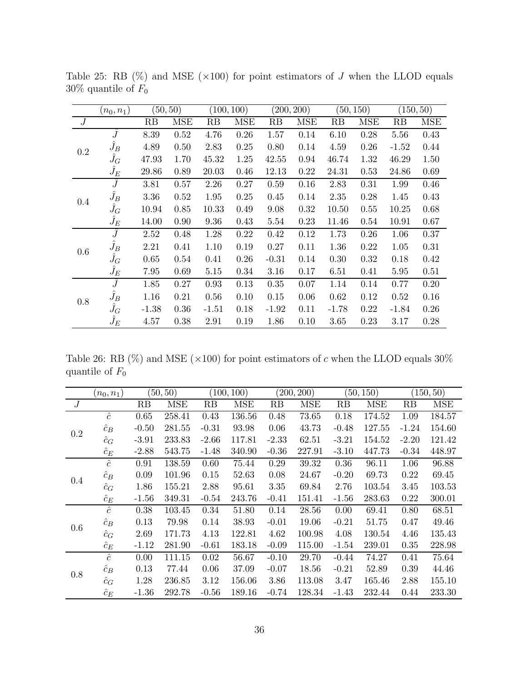|         | $(n_0,n_1)$       | (50, 50) |            | (100, 100) |            | (200, 200) |      | (50, 150) |            | (150, 50) |      |
|---------|-------------------|----------|------------|------------|------------|------------|------|-----------|------------|-----------|------|
| J       |                   | RB       | <b>MSE</b> | RB         | <b>MSE</b> | RB         | MSE  | RB        | <b>MSE</b> | RB        | MSE  |
| 0.2     | $\hat{J}$         | 8.39     | 0.52       | 4.76       | 0.26       | 1.57       | 0.14 | 6.10      | 0.28       | 5.56      | 0.43 |
|         | $\hat{J}_B$       | 4.89     | 0.50       | 2.83       | 0.25       | 0.80       | 0.14 | 4.59      | 0.26       | $-1.52$   | 0.44 |
|         | $\hat{J}_G$       | 47.93    | 1.70       | 45.32      | 1.25       | 42.55      | 0.94 | 46.74     | 1.32       | 46.29     | 1.50 |
|         | $\hat{J}_E$       | 29.86    | 0.89       | 20.03      | 0.46       | 12.13      | 0.22 | 24.31     | 0.53       | 24.86     | 0.69 |
| $0.4\,$ | Ĵ                 | 3.81     | 0.57       | 2.26       | 0.27       | 0.59       | 0.16 | 2.83      | 0.31       | 1.99      | 0.46 |
|         | $\hat{J}_B$       | 3.36     | 0.52       | 1.95       | 0.25       | 0.45       | 0.14 | 2.35      | 0.28       | 1.45      | 0.43 |
|         | $\hat{J}_G$       | 10.94    | 0.85       | 10.33      | 0.49       | 9.08       | 0.32 | 10.50     | 0.55       | 10.25     | 0.68 |
|         | $\hat{J}_E$       | 14.00    | 0.90       | 9.36       | 0.43       | 5.54       | 0.23 | 11.46     | 0.54       | 10.91     | 0.67 |
|         | $\widehat{J}$     | 2.52     | 0.48       | 1.28       | 0.22       | 0.42       | 0.12 | 1.73      | 0.26       | 1.06      | 0.37 |
| 0.6     | $\hat{J}_B$       | 2.21     | 0.41       | 1.10       | 0.19       | 0.27       | 0.11 | 1.36      | 0.22       | 1.05      | 0.31 |
|         | $\hat{J}_G$       | 0.65     | 0.54       | 0.41       | 0.26       | $-0.31$    | 0.14 | 0.30      | 0.32       | 0.18      | 0.42 |
|         | $\widetilde{J}_E$ | 7.95     | 0.69       | 5.15       | 0.34       | 3.16       | 0.17 | 6.51      | 0.41       | 5.95      | 0.51 |
| 0.8     | Ĵ                 | 1.85     | 0.27       | 0.93       | 0.13       | 0.35       | 0.07 | 1.14      | 0.14       | 0.77      | 0.20 |
|         | $\hat{J}_B$       | 1.16     | 0.21       | 0.56       | 0.10       | 0.15       | 0.06 | 0.62      | 0.12       | 0.52      | 0.16 |
|         | $\hat{J}_G$       | $-1.38$  | 0.36       | $-1.51$    | 0.18       | $-1.92$    | 0.11 | $-1.78$   | 0.22       | $-1.84$   | 0.26 |
|         | $\hat{J}_E$       | 4.57     | 0.38       | 2.91       | 0.19       | 1.86       | 0.10 | 3.65      | 0.23       | 3.17      | 0.28 |

<span id="page-35-0"></span>Table 25: RB  $(\%)$  and MSE  $(\times 100)$  for point estimators of J when the LLOD equals  $30\%$  quantile of  $F_0$ 

Table 26: RB (%) and MSE ( $\times 100$ ) for point estimators of c when the LLOD equals 30% quantile of  $F_0$ 

|                  | $(n_0,n_1)$ | (50, 50) |            | (100, 100) |            | (200, 200) |            | (50, 150) |            | (150, 50) |            |
|------------------|-------------|----------|------------|------------|------------|------------|------------|-----------|------------|-----------|------------|
| $\boldsymbol{J}$ |             | RB       | <b>MSE</b> | RB         | <b>MSE</b> | RB         | <b>MSE</b> | RB        | <b>MSE</b> | RB        | <b>MSE</b> |
| 0.2              | $\hat{c}$   | 0.65     | 258.41     | 0.43       | 136.56     | 0.48       | 73.65      | 0.18      | 174.52     | 1.09      | 184.57     |
|                  | $\hat{c}_B$ | $-0.50$  | 281.55     | $-0.31$    | 93.98      | 0.06       | 43.73      | $-0.48$   | 127.55     | $-1.24$   | 154.60     |
|                  | $\hat{c}_G$ | $-3.91$  | 233.83     | $-2.66$    | 117.81     | $-2.33$    | 62.51      | $-3.21$   | 154.52     | $-2.20$   | 121.42     |
|                  | $\hat{c}_E$ | $-2.88$  | 543.75     | $-1.48$    | 340.90     | $-0.36$    | 227.91     | $-3.10$   | 447.73     | $-0.34$   | 448.97     |
| 0.4              | $\hat{c}$   | 0.91     | 138.59     | 0.60       | 75.44      | 0.29       | 39.32      | 0.36      | 96.11      | 1.06      | 96.88      |
|                  | $\hat{c}_B$ | 0.09     | 101.96     | 0.15       | 52.63      | 0.08       | 24.67      | $-0.20$   | 69.73      | 0.22      | 69.45      |
|                  | $\hat{c}_G$ | 1.86     | 155.21     | 2.88       | 95.61      | 3.35       | 69.84      | 2.76      | 103.54     | 3.45      | 103.53     |
|                  | $\hat{c}_E$ | $-1.56$  | 349.31     | $-0.54$    | 243.76     | $-0.41$    | 151.41     | $-1.56$   | 283.63     | 0.22      | 300.01     |
|                  | $\hat{c}$   | 0.38     | 103.45     | 0.34       | 51.80      | 0.14       | 28.56      | 0.00      | 69.41      | 0.80      | 68.51      |
| 0.6              | $\hat{c}_B$ | 0.13     | 79.98      | 0.14       | 38.93      | $-0.01$    | 19.06      | $-0.21$   | 51.75      | 0.47      | 49.46      |
|                  | $\hat{c}_G$ | 2.69     | 171.73     | 4.13       | 122.81     | 4.62       | 100.98     | 4.08      | 130.54     | 4.46      | 135.43     |
|                  | $\hat{c}_E$ | $-1.12$  | 281.90     | $-0.61$    | 183.18     | $-0.09$    | 115.00     | $-1.54$   | 239.01     | 0.35      | 228.98     |
| 0.8              | $\hat{c}$   | 0.00     | 111.15     | 0.02       | 56.67      | $-0.10$    | 29.70      | $-0.44$   | 74.27      | 0.41      | 75.64      |
|                  | $\hat{c}_B$ | 0.13     | 77.44      | 0.06       | 37.09      | $-0.07$    | 18.56      | $-0.21$   | 52.89      | 0.39      | 44.46      |
|                  | $\hat{c}_G$ | 1.28     | 236.85     | 3.12       | 156.06     | 3.86       | 113.08     | 3.47      | 165.46     | 2.88      | 155.10     |
|                  | $\hat{c}_E$ | $-1.36$  | 292.78     | $-0.56$    | 189.16     | $-0.74$    | 128.34     | $-1.43$   | 232.44     | 0.44      | 233.30     |